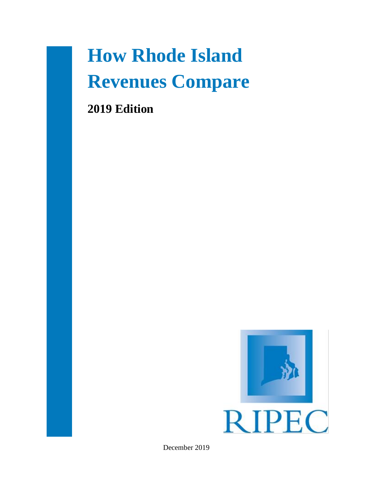# **How Rhode Island Revenues Compare**

**2019 Edition**



December 2019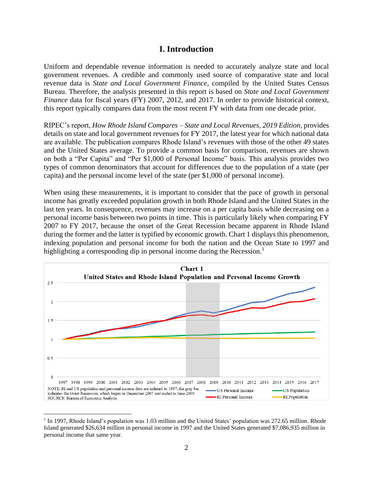## **I. Introduction**

Uniform and dependable revenue information is needed to accurately analyze state and local government revenues. A credible and commonly used source of comparative state and local revenue data is *State and Local Government Finance*, compiled by the United States Census Bureau. Therefore, the analysis presented in this report is based on *State and Local Government Finance* data for fiscal years (FY) 2007, 2012, and 2017. In order to provide historical context, this report typically compares data from the most recent FY with data from one decade prior.

RIPEC's report, *How Rhode Island Compares – State and Local Revenues, 2019 Edition*, provides details on state and local government revenues for FY 2017, the latest year for which national data are available. The publication compares Rhode Island's revenues with those of the other 49 states and the United States average. To provide a common basis for comparison, revenues are shown on both a "Per Capita" and "Per \$1,000 of Personal Income" basis. This analysis provides two types of common denominators that account for differences due to the population of a state (per capita) and the personal income level of the state (per \$1,000 of personal income).

When using these measurements, it is important to consider that the pace of growth in personal income has greatly exceeded population growth in both Rhode Island and the United States in the last ten years. In consequence, revenues may increase on a per capita basis while decreasing on a personal income basis between two points in time. This is particularly likely when comparing FY 2007 to FY 2017, because the onset of the Great Recession became apparent in Rhode Island during the former and the latter is typified by economic growth. Chart 1 displays this phenomenon, indexing population and personal income for both the nation and the Ocean State to 1997 and highlighting a corresponding dip in personal income during the Recession.<sup>1</sup>



<sup>&</sup>lt;sup>1</sup> In 1997, Rhode Island's population was 1.03 million and the United States' population was 272.65 million. Rhode Island generated \$26,634 million in personal income in 1997 and the United States generated \$7,086,935 million in personal income that same year.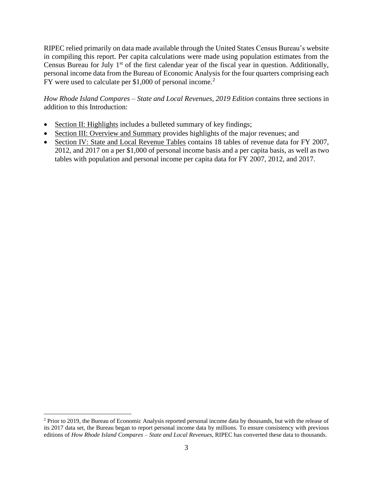RIPEC relied primarily on data made available through the United States Census Bureau's website in compiling this report. Per capita calculations were made using population estimates from the Census Bureau for July  $1<sup>st</sup>$  of the first calendar year of the fiscal year in question. Additionally, personal income data from the Bureau of Economic Analysis for the four quarters comprising each FY were used to calculate per \$1,000 of personal income.<sup>2</sup>

*How Rhode Island Compares – State and Local Revenues, 2019 Edition* contains three sections in addition to this Introduction:

- Section II: Highlights includes a bulleted summary of key findings;
- Section III: Overview and Summary provides highlights of the major revenues; and
- Section IV: State and Local Revenue Tables contains 18 tables of revenue data for FY 2007, 2012, and 2017 on a per \$1,000 of personal income basis and a per capita basis, as well as two tables with population and personal income per capita data for FY 2007, 2012, and 2017.

<sup>2</sup> Prior to 2019, the Bureau of Economic Analysis reported personal income data by thousands, but with the release of its 2017 data set, the Bureau began to report personal income data by millions. To ensure consistency with previous editions of *How Rhode Island Compares – State and Local Revenues*, RIPEC has converted these data to thousands.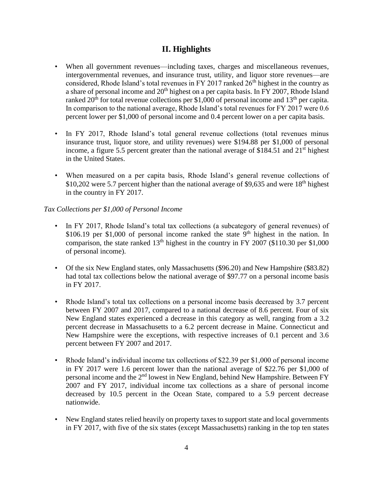# **II. Highlights**

- When all government revenues—including taxes, charges and miscellaneous revenues, intergovernmental revenues, and insurance trust, utility, and liquor store revenues—are considered, Rhode Island's total revenues in FY 2017 ranked  $26<sup>th</sup>$  highest in the country as a share of personal income and  $20<sup>th</sup>$  highest on a per capita basis. In FY 2007, Rhode Island ranked  $20<sup>th</sup>$  for total revenue collections per \$1,000 of personal income and 13<sup>th</sup> per capita. In comparison to the national average, Rhode Island's total revenues for FY 2017 were 0.6 percent lower per \$1,000 of personal income and 0.4 percent lower on a per capita basis.
- In FY 2017, Rhode Island's total general revenue collections (total revenues minus insurance trust, liquor store, and utility revenues) were \$194.88 per \$1,000 of personal income, a figure 5.5 percent greater than the national average of \$184.51 and  $21<sup>st</sup>$  highest in the United States.
- When measured on a per capita basis, Rhode Island's general revenue collections of  $$10,202$  were 5.7 percent higher than the national average of \$9,635 and were 18<sup>th</sup> highest in the country in FY 2017.

## *Tax Collections per \$1,000 of Personal Income*

- In FY 2017, Rhode Island's total tax collections (a subcategory of general revenues) of \$106.19 per \$1,000 of personal income ranked the state  $9<sup>th</sup>$  highest in the nation. In comparison, the state ranked  $13<sup>th</sup>$  highest in the country in FY 2007 (\$110.30 per \$1,000) of personal income).
- Of the six New England states, only Massachusetts (\$96.20) and New Hampshire (\$83.82) had total tax collections below the national average of \$97.77 on a personal income basis in FY 2017.
- Rhode Island's total tax collections on a personal income basis decreased by 3.7 percent between FY 2007 and 2017, compared to a national decrease of 8.6 percent. Four of six New England states experienced a decrease in this category as well, ranging from a 3.2 percent decrease in Massachusetts to a 6.2 percent decrease in Maine. Connecticut and New Hampshire were the exceptions, with respective increases of 0.1 percent and 3.6 percent between FY 2007 and 2017.
- Rhode Island's individual income tax collections of \$22.39 per \$1,000 of personal income in FY 2017 were 1.6 percent lower than the national average of \$22.76 per \$1,000 of personal income and the 2nd lowest in New England, behind New Hampshire. Between FY 2007 and FY 2017, individual income tax collections as a share of personal income decreased by 10.5 percent in the Ocean State, compared to a 5.9 percent decrease nationwide.
- New England states relied heavily on property taxes to support state and local governments in FY 2017, with five of the six states (except Massachusetts) ranking in the top ten states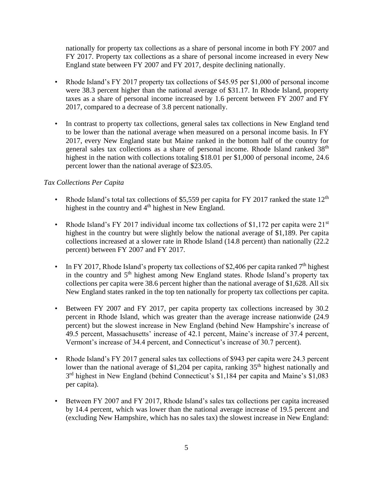nationally for property tax collections as a share of personal income in both FY 2007 and FY 2017. Property tax collections as a share of personal income increased in every New England state between FY 2007 and FY 2017, despite declining nationally.

- Rhode Island's FY 2017 property tax collections of \$45.95 per \$1,000 of personal income were 38.3 percent higher than the national average of \$31.17. In Rhode Island, property taxes as a share of personal income increased by 1.6 percent between FY 2007 and FY 2017, compared to a decrease of 3.8 percent nationally.
- In contrast to property tax collections, general sales tax collections in New England tend to be lower than the national average when measured on a personal income basis. In FY 2017, every New England state but Maine ranked in the bottom half of the country for general sales tax collections as a share of personal income. Rhode Island ranked 38<sup>th</sup> highest in the nation with collections totaling \$18.01 per \$1,000 of personal income, 24.6 percent lower than the national average of \$23.05.

## *Tax Collections Per Capita*

- Rhode Island's total tax collections of \$5,559 per capita for FY 2017 ranked the state  $12<sup>th</sup>$ highest in the country and 4<sup>th</sup> highest in New England.
- Rhode Island's FY 2017 individual income tax collections of \$1,172 per capita were  $21<sup>st</sup>$ highest in the country but were slightly below the national average of \$1,189. Per capita collections increased at a slower rate in Rhode Island (14.8 percent) than nationally (22.2 percent) between FY 2007 and FY 2017.
- In FY 2017, Rhode Island's property tax collections of \$2,406 per capita ranked  $7<sup>th</sup>$  highest in the country and  $5<sup>th</sup>$  highest among New England states. Rhode Island's property tax collections per capita were 38.6 percent higher than the national average of \$1,628. All six New England states ranked in the top ten nationally for property tax collections per capita.
- Between FY 2007 and FY 2017, per capita property tax collections increased by 30.2 percent in Rhode Island, which was greater than the average increase nationwide (24.9 percent) but the slowest increase in New England (behind New Hampshire's increase of 49.5 percent, Massachusetts' increase of 42.1 percent, Maine's increase of 37.4 percent, Vermont's increase of 34.4 percent, and Connecticut's increase of 30.7 percent).
- Rhode Island's FY 2017 general sales tax collections of \$943 per capita were 24.3 percent lower than the national average of \$1,204 per capita, ranking 35<sup>th</sup> highest nationally and 3<sup>rd</sup> highest in New England (behind Connecticut's \$1,184 per capita and Maine's \$1,083 per capita).
- Between FY 2007 and FY 2017, Rhode Island's sales tax collections per capita increased by 14.4 percent, which was lower than the national average increase of 19.5 percent and (excluding New Hampshire, which has no sales tax) the slowest increase in New England: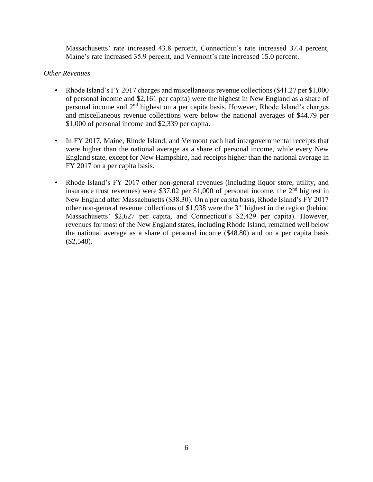Massachusetts' rate increased 43.8 percent, Connecticut's rate increased 37.4 percent, Maine's rate increased 35.9 percent, and Vermont's rate increased 15.0 percent.

### *Other Revenues*

- Rhode Island's FY 2017 charges and miscellaneous revenue collections (\$41.27 per \$1,000) of personal income and \$2,161 per capita) were the highest in New England as a share of personal income and 2<sup>nd</sup> highest on a per capita basis. However, Rhode Island's charges and miscellaneous revenue collections were below the national averages of \$44.79 per \$1,000 of personal income and \$2,339 per capita.
- In FY 2017, Maine, Rhode Island, and Vermont each had intergovernmental receipts that were higher than the national average as a share of personal income, while every New England state, except for New Hampshire, had receipts higher than the national average in FY 2017 on a per capita basis.
- Rhode Island's FY 2017 other non-general revenues (including liquor store, utility, and insurance trust revenues) were \$37.02 per \$1,000 of personal income, the  $2<sup>nd</sup>$  highest in New England after Massachusetts (\$38.30). On a per capita basis, Rhode Island's FY 2017 other non-general revenue collections of \$1,938 were the 3rd highest in the region (behind Massachusetts' \$2,627 per capita, and Connecticut's \$2,429 per capita). However, revenues for most of the New England states, including Rhode Island, remained well below the national average as a share of personal income (\$48.80) and on a per capita basis (\$2,548).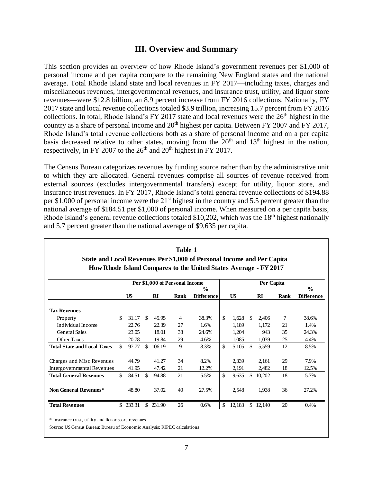# **III. Overview and Summary**

This section provides an overview of how Rhode Island's government revenues per \$1,000 of personal income and per capita compare to the remaining New England states and the national average. Total Rhode Island state and local revenues in FY 2017—including taxes, charges and miscellaneous revenues, intergovernmental revenues, and insurance trust, utility, and liquor store revenues—were \$12.8 billion, an 8.9 percent increase from FY 2016 collections. Nationally, FY 2017 state and local revenue collections totaled \$3.9 trillion, increasing 15.7 percent from FY 2016 collections. In total, Rhode Island's FY 2017 state and local revenues were the  $26<sup>th</sup>$  highest in the country as a share of personal income and 20<sup>th</sup> highest per capita. Between FY 2007 and FY 2017, Rhode Island's total revenue collections both as a share of personal income and on a per capita basis decreased relative to other states, moving from the  $20<sup>th</sup>$  and  $13<sup>th</sup>$  highest in the nation, respectively, in FY 2007 to the  $26<sup>th</sup>$  and  $20<sup>th</sup>$  highest in FY 2017.

The Census Bureau categorizes revenues by funding source rather than by the administrative unit to which they are allocated. General revenues comprise all sources of revenue received from external sources (excludes intergovernmental transfers) except for utility, liquor store, and insurance trust revenues. In FY 2017, Rhode Island's total general revenue collections of \$194.88 per \$1,000 of personal income were the 21<sup>st</sup> highest in the country and 5.5 percent greater than the national average of \$184.51 per \$1,000 of personal income. When measured on a per capita basis, Rhode Island's general revenue collections totaled \$10,202, which was the 18<sup>th</sup> highest nationally and 5.7 percent greater than the national average of \$9,635 per capita.

|                                                                        |                                                                                                                  |           |               |           | Table 1 |                   |               |           |     |          |      |                   |  |  |
|------------------------------------------------------------------------|------------------------------------------------------------------------------------------------------------------|-----------|---------------|-----------|---------|-------------------|---------------|-----------|-----|----------|------|-------------------|--|--|
| State and Local Revenues Per \$1,000 of Personal Income and Per Capita |                                                                                                                  |           |               |           |         |                   |               |           |     |          |      |                   |  |  |
|                                                                        | How Rhode Island Compares to the United States Average - FY 2017<br>Per \$1,000 of Personal Income<br>Per Capita |           |               |           |         |                   |               |           |     |          |      |                   |  |  |
|                                                                        |                                                                                                                  |           |               |           |         | $\frac{6}{9}$     |               |           |     |          |      | $\frac{0}{0}$     |  |  |
|                                                                        |                                                                                                                  | <b>US</b> |               | RI        | Rank    | <b>Difference</b> |               | <b>US</b> |     | RI       | Rank | <b>Difference</b> |  |  |
| <b>Tax Revenues</b>                                                    |                                                                                                                  |           |               |           |         |                   |               |           |     |          |      |                   |  |  |
| Property                                                               | \$                                                                                                               | 31.17     | -S            | 45.95     | 4       | 38.3%             | $\mathcal{S}$ | 1,628     | \$  | 2,406    | 7    | 38.6%             |  |  |
| Individual Income                                                      |                                                                                                                  | 22.76     |               | 22.39     | 27      | 1.6%              |               | 1,189     |     | 1,172    | 21   | 1.4%              |  |  |
| <b>General Sales</b>                                                   |                                                                                                                  | 23.05     |               | 18.01     | 38      | 24.6%             |               | 1,204     |     | 943      | 35   | 24.3%             |  |  |
| <b>Other Taxes</b>                                                     |                                                                                                                  | 20.78     |               | 19.84     | 29      | 4.6%              |               | 1,085     |     | 1,039    | 25   | 4.4%              |  |  |
| <b>Total State and Local Taxes</b>                                     | \$                                                                                                               | 97.77     | $\mathcal{S}$ | 106.19    | 9       | 8.3%              | \$            | 5,105     | \$  | 5,559    | 12   | 8.5%              |  |  |
| Charges and Misc Revenues                                              |                                                                                                                  | 44.79     |               | 41.27     | 34      | 8.2%              |               | 2,339     |     | 2,161    | 29   | 7.9%              |  |  |
| Intergovernmental Revenues                                             |                                                                                                                  | 41.95     |               | 47.42     | 21      | 12.2%             |               | 2,191     |     | 2,482    | 18   | 12.5%             |  |  |
| <b>Total General Revenues</b>                                          | \$                                                                                                               | 184.51    | \$.           | 194.88    | 21      | 5.5%              | \$            | 9,635     | \$. | 10.202   | 18   | 5.7%              |  |  |
| Non General Revenues*                                                  |                                                                                                                  | 48.80     |               | 37.02     | 40      | 27.5%             |               | 2,548     |     | 1,938    | 36   | 27.2%             |  |  |
| <b>Total Revenues</b>                                                  |                                                                                                                  | \$233.31  |               | \$ 231.90 | 26      | 0.6%              | \$            | 12,183    |     | \$12,140 | 20   | 0.4%              |  |  |

\* Insurance trust, utility and liquor store revenues

Source: US Census Bureau; Bureau of Economic Analysis; RIPEC calculations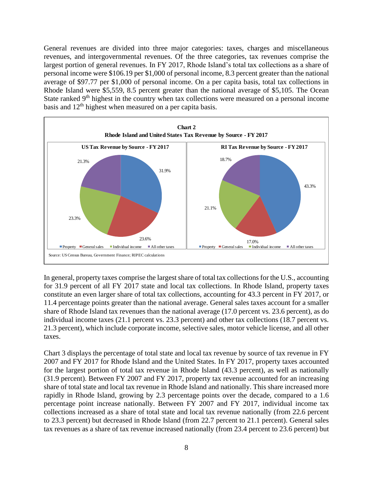General revenues are divided into three major categories: taxes, charges and miscellaneous revenues, and intergovernmental revenues. Of the three categories, tax revenues comprise the largest portion of general revenues. In FY 2017, Rhode Island's total tax collections as a share of personal income were \$106.19 per \$1,000 of personal income, 8.3 percent greater than the national average of \$97.77 per \$1,000 of personal income. On a per capita basis, total tax collections in Rhode Island were \$5,559, 8.5 percent greater than the national average of \$5,105. The Ocean State ranked  $9<sup>th</sup>$  highest in the country when tax collections were measured on a personal income basis and 12<sup>th</sup> highest when measured on a per capita basis.



In general, property taxes comprise the largest share of total tax collections for the U.S., accounting for 31.9 percent of all FY 2017 state and local tax collections. In Rhode Island, property taxes constitute an even larger share of total tax collections, accounting for 43.3 percent in FY 2017, or 11.4 percentage points greater than the national average. General sales taxes account for a smaller share of Rhode Island tax revenues than the national average (17.0 percent vs. 23.6 percent), as do individual income taxes (21.1 percent vs. 23.3 percent) and other tax collections (18.7 percent vs. 21.3 percent), which include corporate income, selective sales, motor vehicle license, and all other taxes.

Chart 3 displays the percentage of total state and local tax revenue by source of tax revenue in FY 2007 and FY 2017 for Rhode Island and the United States. In FY 2017, property taxes accounted for the largest portion of total tax revenue in Rhode Island (43.3 percent), as well as nationally (31.9 percent). Between FY 2007 and FY 2017, property tax revenue accounted for an increasing share of total state and local tax revenue in Rhode Island and nationally. This share increased more rapidly in Rhode Island, growing by 2.3 percentage points over the decade, compared to a 1.6 percentage point increase nationally. Between FY 2007 and FY 2017, individual income tax collections increased as a share of total state and local tax revenue nationally (from 22.6 percent to 23.3 percent) but decreased in Rhode Island (from 22.7 percent to 21.1 percent). General sales tax revenues as a share of tax revenue increased nationally (from 23.4 percent to 23.6 percent) but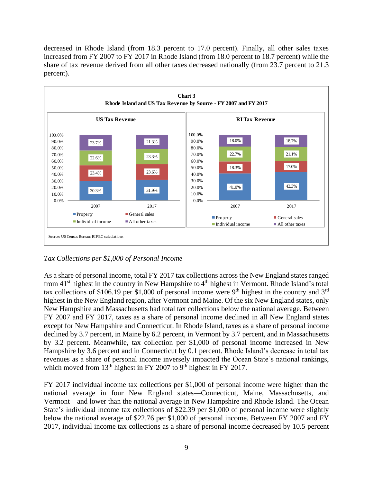decreased in Rhode Island (from 18.3 percent to 17.0 percent). Finally, all other sales taxes increased from FY 2007 to FY 2017 in Rhode Island (from 18.0 percent to 18.7 percent) while the share of tax revenue derived from all other taxes decreased nationally (from 23.7 percent to 21.3 percent).



## *Tax Collections per \$1,000 of Personal Income*

As a share of personal income, total FY 2017 tax collections across the New England states ranged from 41<sup>st</sup> highest in the country in New Hampshire to 4<sup>th</sup> highest in Vermont. Rhode Island's total tax collections of \$106.19 per \$1,000 of personal income were 9<sup>th</sup> highest in the country and 3<sup>rd</sup> highest in the New England region, after Vermont and Maine. Of the six New England states, only New Hampshire and Massachusetts had total tax collections below the national average. Between FY 2007 and FY 2017, taxes as a share of personal income declined in all New England states except for New Hampshire and Connecticut. In Rhode Island, taxes as a share of personal income declined by 3.7 percent, in Maine by 6.2 percent, in Vermont by 3.7 percent, and in Massachusetts by 3.2 percent. Meanwhile, tax collection per \$1,000 of personal income increased in New Hampshire by 3.6 percent and in Connecticut by 0.1 percent. Rhode Island's decrease in total tax revenues as a share of personal income inversely impacted the Ocean State's national rankings, which moved from  $13<sup>th</sup>$  highest in FY 2007 to 9<sup>th</sup> highest in FY 2017.

FY 2017 individual income tax collections per \$1,000 of personal income were higher than the national average in four New England states—Connecticut, Maine, Massachusetts, and Vermont—and lower than the national average in New Hampshire and Rhode Island. The Ocean State's individual income tax collections of \$22.39 per \$1,000 of personal income were slightly below the national average of \$22.76 per \$1,000 of personal income. Between FY 2007 and FY 2017, individual income tax collections as a share of personal income decreased by 10.5 percent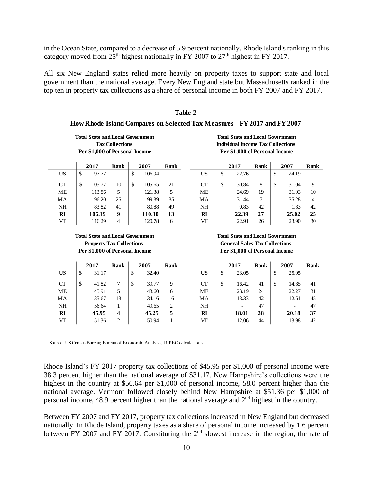in the Ocean State, compared to a decrease of 5.9 percent nationally. Rhode Island's ranking in this category moved from  $25<sup>th</sup>$  highest nationally in FY 2007 to  $27<sup>th</sup>$  highest in FY 2017.

All six New England states relied more heavily on property taxes to support state and local government than the national average. Every New England state but Massachusetts ranked in the top ten in property tax collections as a share of personal income in both FY 2007 and FY 2017.

|           |               | <b>Total State and Local Government</b><br>Per \$1,000 of Personal Income | <b>Tax Collections</b> |              |        |                |           |               | <b>Total State and Local Government</b><br><b>Individual Income Tax Collections</b><br>Per \$1,000 of Personal Income |             |                    |                          |                |
|-----------|---------------|---------------------------------------------------------------------------|------------------------|--------------|--------|----------------|-----------|---------------|-----------------------------------------------------------------------------------------------------------------------|-------------|--------------------|--------------------------|----------------|
|           |               | 2017                                                                      | Rank                   |              | 2007   | Rank           |           |               | 2017                                                                                                                  | <b>Rank</b> |                    | 2007                     | Rank           |
| US        | $\mathsf{\$}$ | 97.77                                                                     |                        | $\mathbb{S}$ | 106.94 |                | <b>US</b> | \$            | 22.76                                                                                                                 |             | $\mathbf{\hat{S}}$ | 24.19                    |                |
| CT        | \$            | 105.77                                                                    | 10                     | \$           | 105.65 | 21             | CT        | \$            | 30.84                                                                                                                 | 8           | \$                 | 31.04                    | 9              |
| <b>ME</b> |               | 113.86                                                                    | 5                      |              | 121.38 | 5              | <b>ME</b> |               | 24.69                                                                                                                 | 19          |                    | 31.03                    | 10             |
| <b>MA</b> |               | 96.20                                                                     | 25                     |              | 99.39  | 35             | <b>MA</b> |               | 31.44                                                                                                                 | 7           |                    | 35.28                    | $\overline{4}$ |
| <b>NH</b> |               | 83.82                                                                     | 41                     |              | 80.88  | 49             | <b>NH</b> |               | 0.83                                                                                                                  | 42          |                    | 1.83                     | 42             |
| RI        |               | 106.19                                                                    | 9                      |              | 110.30 | 13             | RI        |               | 22.39                                                                                                                 | 27          |                    | 25.02                    | 25             |
| VT        |               | 116.29                                                                    | 4                      |              | 120.78 | 6              | VT        |               | 22.91                                                                                                                 | 26          |                    | 23.90                    | 30             |
|           |               | <b>Total State and Local Government</b>                                   |                        |              |        |                |           |               | <b>Total State and Local Government</b>                                                                               |             |                    |                          |                |
|           |               | <b>Property Tax Collections</b>                                           |                        |              |        |                |           |               | <b>General Sales Tax Collections</b>                                                                                  |             |                    |                          |                |
|           |               | Per \$1,000 of Personal Income                                            |                        |              |        |                |           |               | Per \$1,000 of Personal Income                                                                                        |             |                    |                          |                |
|           |               | 2017                                                                      | Rank                   |              | 2007   | Rank           |           |               | 2017                                                                                                                  | <b>Rank</b> |                    | 2007                     | <b>Rank</b>    |
| <b>US</b> | \$            | 31.17                                                                     |                        | \$           | 32.40  |                | <b>US</b> | \$            | 23.05                                                                                                                 |             | \$                 | 25.05                    |                |
| CT        | \$            | 41.82                                                                     | 7                      | \$           | 39.77  | 9              | CT        | $\mathcal{S}$ | 16.42                                                                                                                 | 41          | \$                 | 14.85                    | 41             |
| <b>ME</b> |               | 45.91                                                                     | 5                      |              | 43.60  | 6              | <b>ME</b> |               | 23.19                                                                                                                 | 24          |                    | 22.27                    | 31             |
| MA        |               | 35.67                                                                     | 13                     |              | 34.16  | 16             | <b>MA</b> |               | 13.33                                                                                                                 | 42          |                    | 12.61                    | 45             |
| <b>NH</b> |               | 56.64                                                                     | $\mathbf{1}$           |              | 49.65  | $\mathfrak{2}$ | <b>NH</b> |               | $\sim$                                                                                                                | 47          |                    | $\overline{\phantom{0}}$ | 47             |
| RI        |               | 45.95                                                                     | 4                      |              | 45.25  | 5              | RI        |               | 18.01                                                                                                                 | 38          |                    | 20.18                    | 37             |
| VT        |               | 51.36                                                                     | $\overline{c}$         |              | 50.94  | $\mathbf{1}$   | <b>VT</b> |               | 12.06                                                                                                                 | 44          |                    | 13.98                    | 42             |

Rhode Island's FY 2017 property tax collections of \$45.95 per \$1,000 of personal income were 38.3 percent higher than the national average of \$31.17. New Hampshire's collections were the highest in the country at \$56.64 per \$1,000 of personal income, 58.0 percent higher than the national average. Vermont followed closely behind New Hampshire at \$51.36 per \$1,000 of personal income, 48.9 percent higher than the national average and  $2<sup>nd</sup>$  highest in the country.

Between FY 2007 and FY 2017, property tax collections increased in New England but decreased nationally. In Rhode Island, property taxes as a share of personal income increased by 1.6 percent between FY 2007 and FY 2017. Constituting the  $2<sup>nd</sup>$  slowest increase in the region, the rate of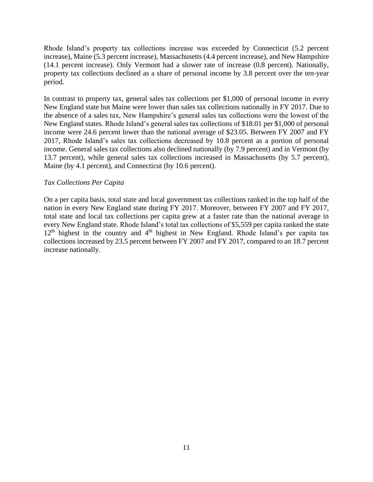Rhode Island's property tax collections increase was exceeded by Connecticut (5.2 percent increase), Maine (5.3 percent increase), Massachusetts (4.4 percent increase), and New Hampshire (14.1 percent increase). Only Vermont had a slower rate of increase (0.8 percent). Nationally, property tax collections declined as a share of personal income by 3.8 percent over the ten-year period.

In contrast to property tax, general sales tax collections per \$1,000 of personal income in every New England state but Maine were lower than sales tax collections nationally in FY 2017. Due to the absence of a sales tax, New Hampshire's general sales tax collections were the lowest of the New England states. Rhode Island's general sales tax collections of \$18.01 per \$1,000 of personal income were 24.6 percent lower than the national average of \$23.05. Between FY 2007 and FY 2017, Rhode Island's sales tax collections decreased by 10.8 percent as a portion of personal income. General sales tax collections also declined nationally (by 7.9 percent) and in Vermont (by 13.7 percent), while general sales tax collections increased in Massachusetts (by 5.7 percent), Maine (by 4.1 percent), and Connecticut (by 10.6 percent).

#### *Tax Collections Per Capita*

On a per capita basis, total state and local government tax collections ranked in the top half of the nation in every New England state during FY 2017. Moreover, between FY 2007 and FY 2017, total state and local tax collections per capita grew at a faster rate than the national average in every New England state. Rhode Island's total tax collections of \$5,559 per capita ranked the state 12<sup>th</sup> highest in the country and 4<sup>th</sup> highest in New England. Rhode Island's per capita tax collections increased by 23.5 percent between FY 2007 and FY 2017, compared to an 18.7 percent increase nationally.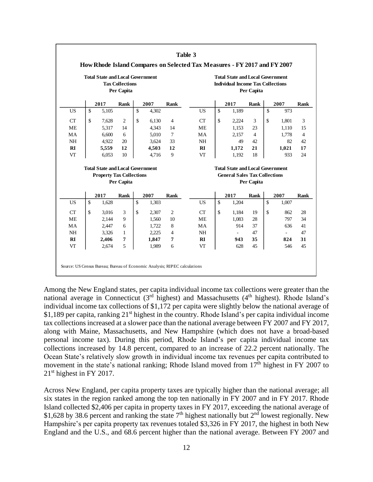|           |                    | <b>Total State and Local Government</b> | <b>Tax Collections</b><br>Per Capita |             |                |           |                    | <b>Total State and Local Government</b><br><b>Individual Income Tax Collections</b> | Per Capita |                          |                |
|-----------|--------------------|-----------------------------------------|--------------------------------------|-------------|----------------|-----------|--------------------|-------------------------------------------------------------------------------------|------------|--------------------------|----------------|
|           |                    | 2017                                    | Rank                                 | 2007        | <b>Rank</b>    |           |                    | 2017                                                                                | Rank       | 2007                     | Rank           |
| <b>US</b> | $\mathbf{\hat{S}}$ | 5.105                                   |                                      | \$<br>4.302 |                | <b>US</b> | $\mathsf{\$}$      | 1.189                                                                               |            | \$<br>973                |                |
| CT        | \$                 | 7.628                                   | 2                                    | \$<br>6.130 | $\overline{4}$ | <b>CT</b> | \$                 | 2.224                                                                               | 3          | \$<br>1.801              | 3              |
| <b>ME</b> |                    | 5.317                                   | 14                                   | 4.343       | 14             | <b>ME</b> |                    | 1.153                                                                               | 23         | 1.110                    | 15             |
| MA        |                    | 6,600                                   | 6                                    | 5,010       | $\tau$         | MA        |                    | 2.157                                                                               | $\Delta$   | 1,778                    | $\overline{4}$ |
| <b>NH</b> |                    | 4,922                                   | 20                                   | 3,624       | 33             | NH        |                    | 49                                                                                  | 42         | 82                       | 42             |
| RI        |                    | 5,559                                   | 12                                   | 4,503       | 12             | RI        |                    | 1.172                                                                               | 21         | 1.021                    | 17             |
| <b>VT</b> |                    | 6,053                                   | 10                                   | 4,716       | 9              | <b>VT</b> |                    | 1.192                                                                               | 18         | 933                      | 24             |
|           |                    | <b>Total State and Local Government</b> |                                      |             |                |           |                    | <b>Total State and Local Government</b>                                             |            |                          |                |
|           |                    | <b>Property Tax Collections</b>         |                                      |             |                |           |                    | <b>General Sales Tax Collections</b>                                                |            |                          |                |
|           |                    |                                         | Per Capita                           |             |                |           |                    |                                                                                     | Per Capita |                          |                |
|           |                    | 2017                                    | Rank                                 | 2007        | <b>Rank</b>    |           |                    | 2017                                                                                | Rank       | 2007                     | Rank           |
| <b>US</b> | \$                 | 1.628                                   |                                      | \$<br>1.303 |                | <b>US</b> | $\mathsf{\$}$      | 1.204                                                                               |            | \$<br>1.007              |                |
| CT        | \$                 | 3,016                                   | 3                                    | \$<br>2,307 | 2              | CT        | $\mathbf{\hat{S}}$ | 1,184                                                                               | 19         | \$<br>862                | 28             |
| <b>ME</b> |                    | 2.144                                   | 9                                    | 1.560       | 10             | ME        |                    | 1.083                                                                               | 28         | 797                      | 34             |
|           |                    | 2,447                                   | 6                                    | 1.722       | 8              | MA        |                    | 914                                                                                 | 37         | 636                      | 41             |
| MA        |                    | 3.326                                   | $\mathbf{1}$                         | 2.225       | $\overline{4}$ | <b>NH</b> |                    |                                                                                     | 47         | $\overline{\phantom{0}}$ | 47             |
| <b>NH</b> |                    | 2,406                                   | 7                                    | 1,847       | 7              | RI        |                    | 943                                                                                 | 35         | 824                      | 31             |
| RI        |                    |                                         |                                      |             |                |           |                    |                                                                                     |            |                          |                |

Among the New England states, per capita individual income tax collections were greater than the national average in Connecticut (3<sup>rd</sup> highest) and Massachusetts (4<sup>th</sup> highest). Rhode Island's individual income tax collections of \$1,172 per capita were slightly below the national average of \$1,189 per capita, ranking  $21<sup>st</sup>$  highest in the country. Rhode Island's per capita individual income tax collections increased at a slower pace than the national average between FY 2007 and FY 2017, along with Maine, Massachusetts, and New Hampshire (which does not have a broad-based personal income tax). During this period, Rhode Island's per capita individual income tax collections increased by 14.8 percent, compared to an increase of 22.2 percent nationally. The Ocean State's relatively slow growth in individual income tax revenues per capita contributed to movement in the state's national ranking; Rhode Island moved from 17<sup>th</sup> highest in FY 2007 to  $21<sup>st</sup>$  highest in FY 2017.

Across New England, per capita property taxes are typically higher than the national average; all six states in the region ranked among the top ten nationally in FY 2007 and in FY 2017. Rhode Island collected \$2,406 per capita in property taxes in FY 2017, exceeding the national average of \$1,628 by 38.6 percent and ranking the state  $7<sup>th</sup>$  highest nationally but  $2<sup>nd</sup>$  lowest regionally. New Hampshire's per capita property tax revenues totaled \$3,326 in FY 2017, the highest in both New England and the U.S., and 68.6 percent higher than the national average. Between FY 2007 and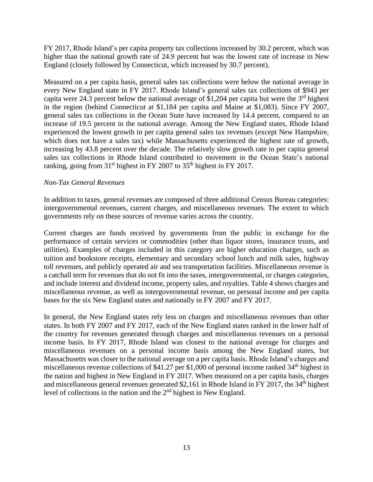FY 2017, Rhode Island's per capita property tax collections increased by 30.2 percent, which was higher than the national growth rate of 24.9 percent but was the lowest rate of increase in New England (closely followed by Connecticut, which increased by 30.7 percent).

Measured on a per capita basis, general sales tax collections were below the national average in every New England state in FY 2017. Rhode Island's general sales tax collections of \$943 per capita were 24.3 percent below the national average of \$1,204 per capita but were the  $3<sup>rd</sup>$  highest in the region (behind Connecticut at \$1,184 per capita and Maine at \$1,083). Since FY 2007, general sales tax collections in the Ocean State have increased by 14.4 percent, compared to an increase of 19.5 percent in the national average. Among the New England states, Rhode Island experienced the lowest growth in per capita general sales tax revenues (except New Hampshire, which does not have a sales tax) while Massachusetts experienced the highest rate of growth, increasing by 43.8 percent over the decade. The relatively slow growth rate in per capita general sales tax collections in Rhode Island contributed to movement in the Ocean State's national ranking, going from 31<sup>st</sup> highest in FY 2007 to 35<sup>th</sup> highest in FY 2017.

#### *Non-Tax General Revenues*

In addition to taxes, general revenues are composed of three additional Census Bureau categories: intergovernmental revenues, current charges, and miscellaneous revenues. The extent to which governments rely on these sources of revenue varies across the country.

Current charges are funds received by governments from the public in exchange for the performance of certain services or commodities (other than liquor stores, insurance trusts, and utilities). Examples of charges included in this category are higher education charges, such as tuition and bookstore receipts, elementary and secondary school lunch and milk sales, highway toll revenues, and publicly operated air and sea transportation facilities. Miscellaneous revenue is a catchall term for revenues that do not fit into the taxes, intergovernmental, or charges categories, and include interest and dividend income, property sales, and royalties. Table 4 shows charges and miscellaneous revenue, as well as intergovernmental revenue, on personal income and per capita bases for the six New England states and nationally in FY 2007 and FY 2017.

In general, the New England states rely less on charges and miscellaneous revenues than other states. In both FY 2007 and FY 2017, each of the New England states ranked in the lower half of the country for revenues generated through charges and miscellaneous revenues on a personal income basis. In FY 2017, Rhode Island was closest to the national average for charges and miscellaneous revenues on a personal income basis among the New England states, but Massachusetts was closer to the national average on a per capita basis. Rhode Island's charges and miscellaneous revenue collections of \$41.27 per \$1,000 of personal income ranked 34<sup>th</sup> highest in the nation and highest in New England in FY 2017. When measured on a per capita basis, charges and miscellaneous general revenues generated \$2,161 in Rhode Island in FY 2017, the 34<sup>th</sup> highest level of collections in the nation and the 2nd highest in New England.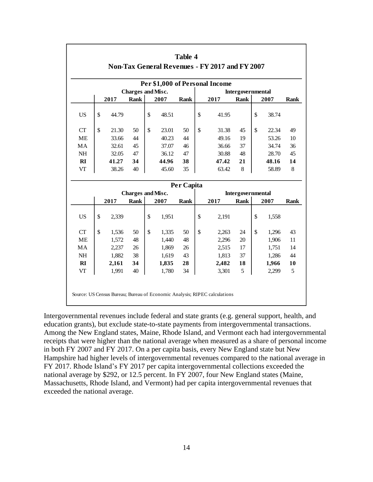| Per \$1,000 of Personal Income |    |       |                          |    |       |             |               |       |                   |             |             |
|--------------------------------|----|-------|--------------------------|----|-------|-------------|---------------|-------|-------------------|-------------|-------------|
|                                |    |       | <b>Charges and Misc.</b> |    |       |             |               |       | Intergovernmental |             |             |
|                                |    | 2017  | <b>Rank</b>              |    | 2007  | <b>Rank</b> |               | 2017  | Rank              | 2007        | <b>Rank</b> |
| <b>US</b>                      | \$ | 44.79 |                          | \$ | 48.51 |             | \$            | 41.95 |                   | \$<br>38.74 |             |
| CT                             | \$ | 21.30 | 50                       | \$ | 23.01 | 50          | \$            | 31.38 | 45                | \$<br>22.34 | 49          |
| <b>ME</b>                      |    | 33.66 | 44                       |    | 40.23 | 44          |               | 49.16 | 19                | 53.26       | 10          |
| MA                             |    | 32.61 | 45                       |    | 37.07 | 46          |               | 36.66 | 37                | 34.74       | 36          |
| $\rm NH$                       |    | 32.05 | 47                       |    | 36.12 | 47          |               | 30.88 | 48                | 28.70       | 45          |
| R1                             |    | 41.27 | 34                       |    | 44.96 | 38          |               | 47.42 | 21                | 48.16       | 14          |
| VT                             |    | 38.26 | 40                       |    | 45.60 | 35          |               | 63.42 | 8                 | 58.89       | 8           |
|                                |    |       |                          |    |       | Per Capita  |               |       |                   |             |             |
|                                |    |       | <b>Charges and Misc.</b> |    |       |             |               |       | Intergovernmental |             |             |
|                                |    | 2017  | <b>Rank</b>              |    | 2007  | <b>Rank</b> |               | 2017  | Rank              | 2007        | <b>Rank</b> |
| US                             | \$ | 2,339 |                          | \$ | 1,951 |             | \$            | 2,191 |                   | \$<br>1,558 |             |
| CT                             | \$ | 1,536 | 50                       | \$ | 1,335 | 50          | $\mathcal{S}$ | 2,263 | 24                | \$<br>1,296 | 43          |
| <b>ME</b>                      |    | 1,572 | 48                       |    | 1,440 | 48          |               | 2,296 | 20                | 1,906       | 11          |
| MA                             |    | 2,237 | 26                       |    | 1,869 | 26          |               | 2,515 | 17                | 1,751       | 14          |
| <b>NH</b>                      |    | 1,882 | 38                       |    | 1,619 | 43          |               | 1,813 | 37                | 1,286       | 44          |
| $\mathbf{R}$                   |    | 2,161 | 34                       |    | 1,835 | 28          |               | 2,482 | 18                | 1,966       | 10          |
| VT                             |    | 1,991 | 40                       |    | 1,780 | 34          |               | 3,301 | 5                 | 2,299       | 5           |

Intergovernmental revenues include federal and state grants (e.g. general support, health, and education grants), but exclude state-to-state payments from intergovernmental transactions. Among the New England states, Maine, Rhode Island, and Vermont each had intergovernmental receipts that were higher than the national average when measured as a share of personal income in both FY 2007 and FY 2017. On a per capita basis, every New England state but New Hampshire had higher levels of intergovernmental revenues compared to the national average in FY 2017. Rhode Island's FY 2017 per capita intergovernmental collections exceeded the national average by \$292, or 12.5 percent. In FY 2007, four New England states (Maine, Massachusetts, Rhode Island, and Vermont) had per capita intergovernmental revenues that exceeded the national average.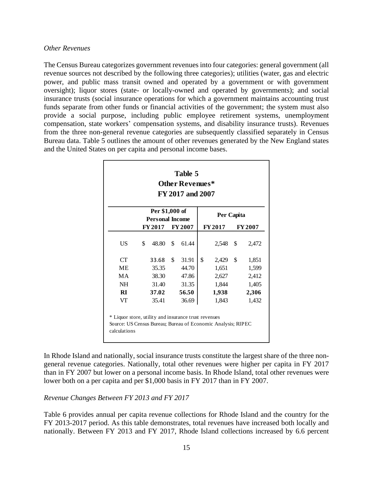#### *Other Revenues*

The Census Bureau categorizes government revenues into four categories: general government (all revenue sources not described by the following three categories); utilities (water, gas and electric power, and public mass transit owned and operated by a government or with government oversight); liquor stores (state- or locally-owned and operated by governments); and social insurance trusts (social insurance operations for which a government maintains accounting trust funds separate from other funds or financial activities of the government; the system must also provide a social purpose, including public employee retirement systems, unemployment compensation, state workers' compensation systems, and disability insurance trusts). Revenues from the three non-general revenue categories are subsequently classified separately in Census Bureau data. Table 5 outlines the amount of other revenues generated by the New England states and the United States on per capita and personal income bases.

|                                                                                                                                      |                                          |    | <b>Other Revenues*</b><br>FY 2017 and 2007 |    |               |    |               |  |  |  |
|--------------------------------------------------------------------------------------------------------------------------------------|------------------------------------------|----|--------------------------------------------|----|---------------|----|---------------|--|--|--|
|                                                                                                                                      | Per \$1,000 of<br><b>Personal Income</b> |    |                                            |    | Per Capita    |    |               |  |  |  |
|                                                                                                                                      | FY 2017 FY 2007                          |    |                                            |    | <b>FY2017</b> |    | <b>FY2007</b> |  |  |  |
| US.                                                                                                                                  | \$<br>48.80                              | \$ | 61.44                                      |    | 2,548         | \$ | 2,472         |  |  |  |
| CT                                                                                                                                   | 33.68                                    | \$ | 31.91                                      | \$ | 2,429         | \$ | 1,851         |  |  |  |
| МE                                                                                                                                   | 35.35                                    |    | 44.70                                      |    | 1,651         |    | 1,599         |  |  |  |
| MA.                                                                                                                                  | 38.30                                    |    | 47.86                                      |    | 2,627         |    | 2,412         |  |  |  |
| NH.                                                                                                                                  | 31.40                                    |    | 31.35                                      |    | 1,844         |    | 1,405         |  |  |  |
| RI                                                                                                                                   | 37.02                                    |    | 56.50                                      |    | 1,938         |    | 2,306         |  |  |  |
| VT                                                                                                                                   | 35.41                                    |    | 36.69                                      |    | 1,843         |    | 1,432         |  |  |  |
| * Liquor store, utility and insurance trust revenues<br>Source: US Census Bureau; Bureau of Economic Analysis; RIPEC<br>calculations |                                          |    |                                            |    |               |    |               |  |  |  |

In Rhode Island and nationally, social insurance trusts constitute the largest share of the three nongeneral revenue categories. Nationally, total other revenues were higher per capita in FY 2017 than in FY 2007 but lower on a personal income basis. In Rhode Island, total other revenues were lower both on a per capita and per \$1,000 basis in FY 2017 than in FY 2007.

#### *Revenue Changes Between FY 2013 and FY 2017*

Table 6 provides annual per capita revenue collections for Rhode Island and the country for the FY 2013-2017 period. As this table demonstrates, total revenues have increased both locally and nationally. Between FY 2013 and FY 2017, Rhode Island collections increased by 6.6 percent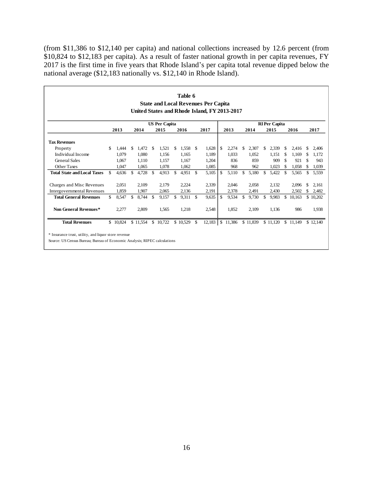(from \$11,386 to \$12,140 per capita) and national collections increased by 12.6 percent (from \$10,824 to \$12,183 per capita). As a result of faster national growth in per capita revenues, FY 2017 is the first time in five years that Rhode Island's per capita total revenue dipped below the national average (\$12,183 nationally vs. \$12,140 in Rhode Island).

|                                                                                                                                   |     |          |     |          |     |                      |     | Table 6    |               | <b>State and Local Revenues Per Capita</b><br>United States and Rhode Island, FY 2013-2017 |    |                      |    |          |     |                      |     |          |     |          |
|-----------------------------------------------------------------------------------------------------------------------------------|-----|----------|-----|----------|-----|----------------------|-----|------------|---------------|--------------------------------------------------------------------------------------------|----|----------------------|----|----------|-----|----------------------|-----|----------|-----|----------|
|                                                                                                                                   |     |          |     |          |     | <b>US Per Capita</b> |     |            |               |                                                                                            |    |                      |    |          |     | <b>RI</b> Per Capita |     |          |     |          |
|                                                                                                                                   |     | 2013     |     | 2014     |     | 2015                 |     | 2016       |               | 2017                                                                                       |    | 2013                 |    | 2014     |     | 2015                 |     | 2016     |     | 2017     |
| <b>Tax Revenues</b>                                                                                                               |     |          |     |          |     |                      |     |            |               |                                                                                            |    |                      |    |          |     |                      |     |          |     |          |
| Property                                                                                                                          | \$. | 1,444    | \$  | 1,472    | -\$ | 1,521                | \$. | $1,558$ \$ |               | 1,628                                                                                      | -S | 2,274                | S  | 2,307    | \$. | 2,339                | \$  | 2,416    | \$  | 2,406    |
| Individual Income                                                                                                                 |     | 1,079    |     | 1,080    |     | 1.156                |     | 1,165      |               | 1,189                                                                                      |    | 1.033                |    | 1,052    |     | 1,151                | \$  | 1,169    | \$  | 1,172    |
| <b>General Sales</b>                                                                                                              |     | 1.067    |     | 1.110    |     | 1.157                |     | 1,167      |               | 1,204                                                                                      |    | 836                  |    | 859      |     | 909                  | \$  | 921      | \$  | 943      |
| <b>Other Taxes</b>                                                                                                                |     | 1.047    |     | 1,065    |     | 1.078                |     | 1,062      |               | 1,085                                                                                      |    | 968                  |    | 962      |     | 1,023                | \$. | 1,058    | \$. | 1,039    |
| <b>Total State and Local Taxes</b>                                                                                                | \$  | 4,636    | \$. | 4,728    | -\$ | 4,913                | \$  | 4,951      | - \$          | 5,105                                                                                      | -S | 5,110                | \$ | 5,180    | \$  | 5,422                | \$  | 5,565    | \$  | 5,559    |
| Charges and Misc Revenues                                                                                                         |     | 2,051    |     | 2.109    |     | 2.179                |     | 2,224      |               | 2,339                                                                                      |    | 2,046                |    | 2,058    |     | 2,132                |     | 2,096    | \$  | 2,161    |
| Intergovernmental Revenues                                                                                                        |     | 1,859    |     | 1.907    |     | 2.065                |     | 2,136      |               | 2,191                                                                                      |    | 2,378                |    | 2,491    |     | 2,430                |     | 2,502    | \$  | 2,482    |
| <b>Total General Revenues</b>                                                                                                     | \$. | 8,547    | \$  | 8,744    | -\$ | 9,157                | S.  | 9,311      | <sup>\$</sup> | 9,635                                                                                      | -S | 9,534                | \$ | 9,730    | \$. | 9,983                | \$. | 10,163   | \$  | 10,202   |
| Non General Revenues*                                                                                                             |     | 2,277    |     | 2.809    |     | 1.565                |     | 1,218      |               | 2,548                                                                                      |    | 1,852                |    | 2,109    |     | 1,136                |     | 986      |     | 1,938    |
| <b>Total Revenues</b>                                                                                                             |     | \$10,824 |     | \$11,554 |     | \$10,722             |     | \$10,529   | S             |                                                                                            |    | $12,183$ \ \$ 11,386 |    | \$11,839 |     | \$11,120             |     | \$11,149 |     | \$12,140 |
| * Insurance trust, utility, and liquor store revenue<br>Source: US Census Bureau; Bureau of Economic Analysis; RIPEC calculations |     |          |     |          |     |                      |     |            |               |                                                                                            |    |                      |    |          |     |                      |     |          |     |          |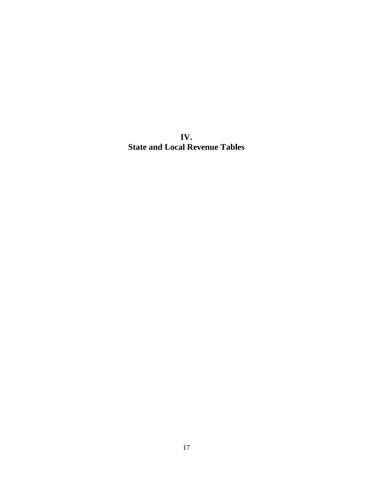**IV. State and Local Revenue Tables**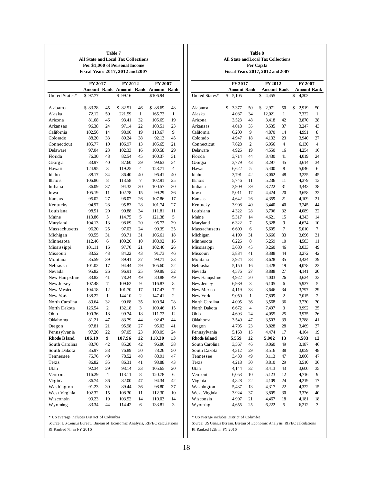|                                                                           | All State and Local Tax Collections<br>Fiscal Years 2017, 2012 and 2007 |                | Table 7<br>Per \$1,000 of Personal Income |                |                 |                |                                                                           |                    |                | Table 8<br><b>All State and Local Tax Collections</b><br>Per Capita<br>Fiscal Years 2017, 2012 and 2007 |              |                |                    |
|---------------------------------------------------------------------------|-------------------------------------------------------------------------|----------------|-------------------------------------------|----------------|-----------------|----------------|---------------------------------------------------------------------------|--------------------|----------------|---------------------------------------------------------------------------------------------------------|--------------|----------------|--------------------|
|                                                                           | FY 2017                                                                 |                | FY 2012                                   |                | FY 2007         |                |                                                                           | FY 2017            |                | FY 2012                                                                                                 |              |                | FY 2007            |
|                                                                           |                                                                         |                | Amount Rank Amount Rank Amount Rank       |                |                 |                |                                                                           | <b>Amount Rank</b> |                | <b>Amount Rank</b>                                                                                      |              |                | <b>Amount Rank</b> |
| United States*                                                            | \$97.77                                                                 |                | \$99.16                                   |                | \$106.94        |                | United States*                                                            | \$5,105            |                | \$<br>4,455                                                                                             |              | \$<br>4,302    |                    |
| Alabama                                                                   | \$83.28                                                                 | 45             | \$82.51                                   | 46             | \$88.69         | 48             | Alabama                                                                   | \$<br>3,377        | 50             | 2,971<br>\$                                                                                             | 50           | \$<br>2,919    | 50                 |
| Alaska                                                                    | 72.12                                                                   | 50             | 221.59                                    | $\mathbf{1}$   | 165.72          | 1              | Alaska                                                                    | 4,087              | 34             | 12,021                                                                                                  | $\mathbf{1}$ | 7,322          | 1                  |
| Arizona                                                                   | 81.68                                                                   | 46             | 93.41                                     | 32             | 105.69          | 19             | Arizona                                                                   | 3,523              | 48             | 3,418                                                                                                   | 42           | 3,870          | 28                 |
| Arkansas                                                                  | 96.38                                                                   | 24             | 97.14                                     | 22             | 103.51          | 23             | Arkansas                                                                  | 4,018              | 35             | 3,535                                                                                                   | 37           | 3,247          | 43                 |
| California                                                                | 102.56                                                                  | 14             | 98.96                                     | 19             | 113.67          | 9              | California                                                                | 6,200              | 9              | 4,870                                                                                                   | 14           | 4,991          | 8                  |
| Colorado                                                                  | 88.20                                                                   | 33             | 89.24                                     | 38             | 92.13           | 45             | Colorado                                                                  | 4,947              | 18             | 4,132                                                                                                   | 23           | 3,940          | 27                 |
| Connecticut                                                               | 105.77                                                                  | 10             | 106.97                                    | 13             | 105.65          | 21             | Connecticut                                                               | 7,628              | $\overline{c}$ | 6,956                                                                                                   | 4            | 6,130          | $\overline{4}$     |
| Delaware                                                                  | 97.04                                                                   | 23             | 102.33                                    | 16             | 100.58          | 29             | Delaware                                                                  | 4,926              | 19             | 4,550                                                                                                   | 16           | 4,254          | 16                 |
| Florida                                                                   | 76.30                                                                   | 48             | 82.54                                     | 45             | 100.37          | 31             | Florida                                                                   | 3,714              | 44             | 3,430                                                                                                   | 41           | 4,019          | 24                 |
| Georgia                                                                   | 83.97                                                                   | 40             | 87.60                                     | 39             | 99.63           | 34             | Georgia                                                                   | 3,779              | 43             | 3,297                                                                                                   | 45           | 3,614          | 34                 |
| Hawaii                                                                    | 124.95                                                                  | 3              | 119.25                                    | $\overline{4}$ | 123.71          | $\overline{4}$ | Hawaii                                                                    | 6,622              | 5              | 5,400                                                                                                   | 8            | 5,046          | 6                  |
| Idaho                                                                     | 88.17                                                                   | 34             | 86.40                                     | 40             | 96.41           | 40             | Idaho                                                                     | 3,791              | 42             | 3,062                                                                                                   | 48           | 3,225          | 45                 |
| Illinois                                                                  | 106.86                                                                  | 8              | 113.58                                    | 7              | 102.91          | 25             | Illinois                                                                  | 5,746              | 11             | 5,236                                                                                                   | 11           | 4,379          | 13                 |
| Indiana                                                                   | 86.09                                                                   | 37             | 94.32                                     | 30             | 100.57          | 30             | Indiana                                                                   | 3,909              | 39             | 3,722                                                                                                   | 31           | 3,443          | 38                 |
| Iowa                                                                      | 105.19                                                                  | 11             | 102.78                                    | 15             | 99.29           | 36             | Iowa                                                                      | 5,011              | 17             | 4,424                                                                                                   | 20           | 3,658          | 32                 |
| Kansas                                                                    | 95.02                                                                   | 27             | 96.07                                     | 26             | 107.86          | 17             | Kansas                                                                    | 4,642              | 26             | 4,359                                                                                                   | 21           | 4,109          | 21                 |
| Kentucky                                                                  | 94.97                                                                   | 28             | 95.83                                     | 28             | 101.74          | 27             | Kentucky                                                                  | 3,908              | 40             | 3,440                                                                                                   | 40           | 3,245          | 44                 |
| Louisiana                                                                 | 98.51                                                                   | 20             | 90.88                                     | 34             | 111.81          | 11             | Louisiana                                                                 | 4,322              | 28             | 3,706                                                                                                   | 32           | 4,089          | 22                 |
| Maine                                                                     | 113.86                                                                  | 5              | 114.75                                    | 5              | 121.38          | 5              | Maine                                                                     | 5,317              | 14             | 4,621                                                                                                   | 15           | 4,343          | 14                 |
| Maryland                                                                  | 104.13                                                                  | 13             | 98.69                                     | 20             | 96.72           | 39             | Maryland                                                                  | 6,322              | $\tau$         | 5,328                                                                                                   | 9            | 4,624          | 10                 |
| Massachusetts                                                             | 96.20                                                                   | 25             | 97.03                                     | 24             | 99.39           | 35             | Massachusetts                                                             | 6,600              | 6              | 5,605                                                                                                   | 7            | 5,010          | 7                  |
| Michigan                                                                  | 90.55                                                                   | 31             | 93.71                                     | 31             | 106.61          | 18             | Michigan                                                                  | 4,199              | 31             | 3,666                                                                                                   | 33           | 3,696          | 31                 |
| Minnesota                                                                 | 112.46                                                                  | 6              | 109.26                                    | 10             | 108.92          | 16             | Minnesota                                                                 | 6,226              | 8              | 5,259                                                                                                   | 10           | 4,583          | 11                 |
| Mississippi<br>Missouri                                                   | 101.11<br>83.52                                                         | 16<br>43       | 97.70<br>84.22                            | 21<br>43       | 102.46<br>91.73 | 26<br>46       | Mississippi<br>Missouri                                                   | 3,680              | 45<br>41       | 3,260                                                                                                   | 46           | 3,033          | 49<br>42           |
| Montana                                                                   | 85.59                                                                   | 39             | 89.41                                     | 37             | 99.71           | 33             | Montana                                                                   | 3,834<br>3,924     | 38             | 3,388<br>3,628                                                                                          | 44<br>35     | 3,272<br>3,424 | 39                 |
| Nebraska                                                                  | 101.02                                                                  | 17             | 94.44                                     | 29             | 105.60          | 22             | Nebraska                                                                  | 5,150              | 16             | 4,428                                                                                                   | 19           | 4,078          | 23                 |
| Nevada                                                                    | 95.82                                                                   | 26             | 96.91                                     | 25             | 99.89           | 32             | Nevada                                                                    | 4,576              | 27             | 3,888                                                                                                   | 27           | 4,141          | 20                 |
| New Hampshire                                                             | 83.82                                                                   | 41             | 78.24                                     | 49             | 80.88           | 49             | New Hampshire                                                             | 4,922              | 20             | 4,003                                                                                                   | 26           | 3,624          | 33                 |
| New Jersey                                                                | 107.48                                                                  | 7              | 109.62                                    | 9              | 116.83          | $\,$ 8 $\,$    | New Jersey                                                                | 6,989              | 3              | 6,105                                                                                                   | 6            | 5,937          | 5                  |
| New Mexico                                                                | 104.18                                                                  | 12             | 101.70                                    | 17             | 117.47          | 7              | New Mexico                                                                | 4,119              | 33             | 3,646                                                                                                   | 34           | 3,797          | 29                 |
| New York                                                                  | 138.22                                                                  | $\mathbf{1}$   | 144.10                                    | 2              | 147.41          | 2              | New York                                                                  | 9,050              | $\mathbf{1}$   | 7,809                                                                                                   | 2            | 7,015          | 2                  |
| North Carolina                                                            | 89.64                                                                   | 32             | 90.68                                     | 35             | 100.94          | 28             | North Carolina                                                            | 4,005              | 36             | 3,568                                                                                                   | 36           | 3,730          | 30                 |
| North Dakota                                                              | 126.54                                                                  | $\overline{c}$ | 132.18                                    | 3              | 109.46          | 15             | North Dakota                                                              | 6,672              | $\overline{4}$ | 7,497                                                                                                   | 3            | 3,992          | 25                 |
| Ohio                                                                      | 100.36                                                                  | 18             | 99.74                                     | 18             | 111.72          | 12             | Ohio                                                                      | 4,693              | 24             | 4,055                                                                                                   | 25           | 3,975          | 26                 |
| Oklahoma                                                                  | 81.21                                                                   | 47             | 83.79                                     | 44             | 92.43           | 44             | Oklahoma                                                                  | 3,549              | 47             | 3,503                                                                                                   | 39           | 3,288          | 41                 |
| Oregon                                                                    | 97.81                                                                   | 21             | 95.98                                     | 27             | 95.02           | 41             | Oregon                                                                    | 4,795              | 23             | 3,828                                                                                                   | 28           | 3,469          | 37                 |
| Pennsylvania                                                              | 97.20                                                                   | 22             | 97.05                                     | 23             | 103.09          | 24             | Pennsylvania                                                              | 5,168              | 15             | 4,474                                                                                                   | 17           | 4,164          | 19                 |
| Rhode Island                                                              | 106.19                                                                  | 9              | 107.96                                    | 12             | 110.30          | 13             | <b>Rhode Island</b>                                                       | 5,559              | 12             | 5,002                                                                                                   | 13           | 4,503          | 12                 |
| South Carolina                                                            | 83.70                                                                   | 42             | 85.20                                     | 42             | 96.86           | 38             | South Carolina                                                            | 3,567              | 46             | 3,060                                                                                                   | 49           | 3,187          | 46                 |
| South Dakota                                                              | 85.97                                                                   | 38             | 76.89                                     | 50             | 78.26           | $50\,$         | South Dakota                                                              | 4,312              | 29             | 3,516                                                                                                   | 38           | 3,059          | 48                 |
| Tennessee                                                                 | 75.76                                                                   | 49             | 78.52                                     | 48             | 88.91           | 47             | Tennessee                                                                 | 3,438              | 49             | 3,113                                                                                                   | 47           | 3,066          | 47                 |
| Texas                                                                     | 86.82                                                                   | 35             | 86.31                                     | 41             | 93.88           | 43             | Texas                                                                     | 4,218              | 30             | 3,810                                                                                                   | 29           | 3,510          | 36                 |
| Utah                                                                      | 92.34                                                                   | 29             | 93.14                                     | 33             | 105.65          | 20             | Utah                                                                      | 4,144              | 32             | 3,413                                                                                                   | 43           | 3,600          | 35                 |
| Vermont                                                                   | 116.29                                                                  | 4              | 113.11                                    | 8              | 120.78          | 6              | Vermont                                                                   | 6,053              | 10             | 5,123                                                                                                   | 12           | 4,716          | 9                  |
| Virginia                                                                  | 86.74                                                                   | 36             | 82.00                                     | 47             | 94.34           | 42             | Virginia                                                                  | 4,828              | 22             | 4,109                                                                                                   | 24           | 4,219          | 17                 |
| Washington                                                                | 91.23                                                                   | 30             | 89.44                                     | 36             | 98.80           | 37             | Washington                                                                | 5,437              | 13             | 4,317                                                                                                   | 22           | 4,322          | 15                 |
| West Virginia                                                             | 102.32                                                                  | 15             | 108.30                                    | 11             | 112.30          | 10             | West Virginia                                                             | 3,924              | 37             | 3,805                                                                                                   | 30           | 3,326          | 40                 |
| Wisconsin                                                                 | 99.23                                                                   | 19             | 103.52                                    | 14             | 110.03          | 14             | Wisconsin                                                                 | 4,907              | 21             | 4,467                                                                                                   | 18           | 4,181          | 18                 |
| Wyoming                                                                   | 83.34                                                                   | 44             | 114.42                                    | 6              | 133.81          | 3              | Wyoming                                                                   | 4,655              | 25             | 6,222                                                                                                   | 5            | 6,212          | 3                  |
| * US average includes District of Columbia                                |                                                                         |                |                                           |                |                 |                | * US average includes District of Columbia                                |                    |                |                                                                                                         |              |                |                    |
| Source: US Census Bureau, Bureau of Economic Analysis, RIPEC calculations |                                                                         |                |                                           |                |                 |                | Source: US Census Bureau, Bureau of Economic Analysis, RIPEC calculations |                    |                |                                                                                                         |              |                |                    |
| RI Ranked 7h in FY 2016                                                   |                                                                         |                |                                           |                |                 |                | RI Ranked 12th in FY 2016                                                 |                    |                |                                                                                                         |              |                |                    |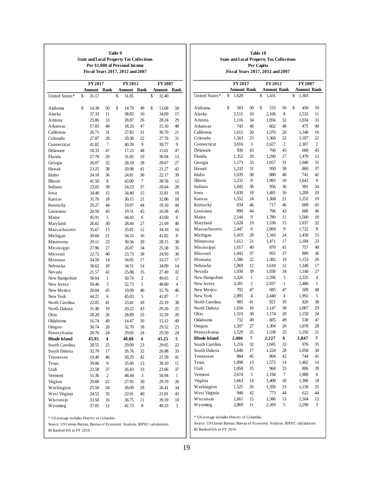|                     | <b>State and Local Property Tax Collections</b><br>Fiscal Years 2017, 2012 and 2007 |                         | Table 9<br>Per \$1,000 of Personal Income |                |             |              |
|---------------------|-------------------------------------------------------------------------------------|-------------------------|-------------------------------------------|----------------|-------------|--------------|
|                     | FY 2017                                                                             |                         |                                           | FY 2012        | FY 2007     |              |
|                     | Amount                                                                              | Rank                    | Amount                                    | Rank           | Amount      | Rank         |
| United States*      | \$<br>31.17                                                                         |                         | \$<br>31.85                               |                | \$<br>32.40 |              |
| Alabama             | \$<br>14.38                                                                         | 50                      | \$<br>14.79                               | 49             | \$<br>13.68 | 50           |
| Alaska              | 37.33                                                                               | 11                      | 38.83                                     | 10             | 34.69       | 15           |
| Arizona             | 25.86                                                                               | 33                      | 28.87                                     | 26             | 28.24       | 29           |
| Arkansas            | 17.83                                                                               | 48                      | 18.20                                     | 47             | 15.16       | 48           |
| California          | 26.71                                                                               | 31                      | 27.83                                     | 31             | 30.70       | 21           |
| Colorado            | 27.87                                                                               | 28                      | 29.38                                     | 22             | 27.76       | 31           |
| Connecticut         | 41.82                                                                               | 7                       | 40.39                                     | 9              | 39.77       | 9            |
| Delaware            |                                                                                     |                         |                                           |                |             |              |
|                     | 18.33                                                                               | 47                      | 17.23                                     | 48             | 15.61       | 47           |
| Florida             | 27.78                                                                               | 29                      | 31.05                                     | 19             | 36.94       | 13           |
| Georgia             | 26.07                                                                               | 32                      | 28.10                                     | 28             | 28.67       | 27           |
| Hawaii              | 23.25                                                                               | 38                      | 20.98                                     | 41             | 21.27       | 42           |
| Idaho               | 24.18                                                                               | 36                      | 24.81                                     | 36             | 22.17       | 39           |
| Illinois            | 41.50                                                                               | 8                       | 43.00                                     | 7              | 38.58       | 12           |
| Indiana             | 23.02                                                                               | 39                      | 24.23                                     | 37             | 28.64       | 28           |
| Iowa                | 34.40                                                                               | 15                      | 34.40                                     | 15             | 32.81       | 19           |
| Kansas              | 31.76                                                                               | 18                      | 30.15                                     | 21             | 32.86       | 18           |
| Kentucky            | 20.27                                                                               | 44                      | 19.97                                     | 44             | 19.10       | 44           |
| Louisiana           | 20.50                                                                               | 43                      | 19.51                                     | 45             | 16.58       | 45           |
| Maine               | 45.91                                                                               | 5                       | 44.43                                     | 6              | 43.60       | 6            |
| Maryland            | 26.82                                                                               | 30                      | 28.44                                     | 27             | 21.69       | 40           |
| Massachusetts       | 35.67                                                                               | 13                      | 35.81                                     | 12             | 34.16       | 16           |
| Michigan            | 30.60                                                                               | 21                      | 34.33                                     | 16             | 41.82       | 8            |
| Minnesota           | 29.11                                                                               | 23                      | 30.56                                     | 20             | 28.15       | 30           |
| Mississippi         | 27.96                                                                               | 27                      | 26.07                                     | 34             | 25.58       | 35           |
| Missouri            | 22.72                                                                               | 40                      | 23.73                                     | 38             | 24.93       | 36           |
| Montana             | 34.59                                                                               | 14                      | 34.05                                     | 17             | 33.57       | 17           |
| Nebraska            | 38.62                                                                               | 10                      | 34.51                                     | 14             | 34.89       | 14           |
| Nevada              | 21.57                                                                               | 42                      | 25.88                                     | 35             | 27.49       | 32           |
| New Hampshire       | 56.64                                                                               | $\mathbf{1}$            | 50.74                                     | $\overline{2}$ | 49.65       | 2            |
| New Jersey          | 50.46                                                                               | 3                       | 52.73                                     | 1              | 48.80       | 4            |
| New Mexico          |                                                                                     |                         |                                           |                |             |              |
|                     | 20.04                                                                               | 45                      | 19.09                                     | 46             | 15.76       | 46           |
| New York            | 44.21                                                                               | 6                       | 45.03                                     | 5              | 41.87       | 7            |
| North Carolina      | 22.05                                                                               | 41                      | 23.41                                     | 39             | 22.19       | 38           |
| North Dakota        | 31.40                                                                               | 19                      | 20.22                                     | 43             | 29.26       | 25           |
| Ohio                | 28.20                                                                               | 26                      | 28.89                                     | 25             | 32.59       | 20           |
| Oklahoma            | 16.74                                                                               | 49                      | 14.47                                     | 50             | 15.12       | 49           |
| Oregon              | 30.74                                                                               | 20                      | 32.70                                     | 18             | 29.52       | 23           |
| Pennsylvania        | 28.76                                                                               | 24                      | 29.02                                     | 24             | 29.50       | 24           |
| <b>Rhode Island</b> | 45.95                                                                               | $\overline{\mathbf{4}}$ | 48.08                                     | 4              | 45.25       | 5            |
| South Carolina      | 28.55                                                                               | 25                      | 29.09                                     | 23             | 29.65       | 22           |
| South Dakota        | 32.70                                                                               | 17                      | 26.76                                     | 32             | 26.88       | 33           |
| Tennessee           | 19.49                                                                               | 46                      | 20.29                                     | 42             | 21.59       | 41           |
| Texas               | 39.06                                                                               | 9                       | 35.60                                     | 13             | 39.10       | 11           |
| Utah                | 23.58                                                                               | 37                      | 26.43                                     | 33             | 23.66       | 37           |
| Vermont             | 51.36                                                                               | 2                       | 48.44                                     | 3              | 50.94       | $\mathbf{1}$ |
| Virginia            | 29.88                                                                               | 22                      | 27.95                                     | 30             | 29.19       | 26           |
| Washington          | 25.58                                                                               | 34                      | 28.09                                     | 29             | 26.41       | 34           |
| West Virginia       | 24.52                                                                               | 35                      | 22.01                                     | 40             | 21.01       | 43           |
| Wisconsin           | 33.58                                                                               | 16                      | 36.75                                     | 11             | 39.59       | 10           |
|                     |                                                                                     |                         |                                           |                |             |              |

| Source: US Census Bureau, Bureau of Economic Analysis, RIPEC calculations |  |  |
|---------------------------------------------------------------------------|--|--|
|---------------------------------------------------------------------------|--|--|

RI Ranked 4th in FY 2016

| Fiscal Years 2017, 2012 and 2007<br>FY 2017<br>FY 2012<br>FY 2007<br>Amount Rank<br><b>Amount Rank</b><br>Amount Rank<br>United States*<br>1,431<br>\$<br>1,628<br>\$<br>\$<br>1,303<br>\$<br>583<br>50<br>\$<br>50<br>\$<br>450<br>50<br>Alabama<br>533<br>8<br>1,533<br>Alaska<br>2,115<br>10<br>2,106<br>11<br>32<br>33<br>Arizona<br>1,116<br>34<br>1,056<br>1,034<br>743<br>48<br>48<br>475<br>49<br>Arkansas<br>662<br>California<br>1,370<br>20<br>1,615<br>20<br>1,348<br>16<br>Colorado<br>23<br>22<br>22<br>1,563<br>1,360<br>1,187<br>Connecticut<br>3<br>$\overline{c}$<br>$\overline{c}$<br>3,016<br>2,307<br>2,627<br>Delaware<br>930<br>43<br>766<br>45<br>660<br>43<br>Florida<br>29<br>27<br>1,352<br>1,290<br>1,479<br>13<br>33<br>31<br>31<br>Georgia<br>1,173<br>1,057<br>1,040<br>Hawaii<br>37<br>1,232<br>31<br>950<br>38<br>868<br>Idaho<br>40<br>42<br>1,039<br>38<br>880<br>741<br>9<br>Illinois<br>2,232<br>8<br>1,983<br>10<br>1,642<br>Indiana<br>1,045<br>36<br>956<br>36<br>981<br>34<br>18<br>20<br>Iowa<br>1,639<br>1,481<br>16<br>1,209<br>Kansas<br>24<br>21<br>19<br>1,552<br>1,368<br>1,252<br>Kentucky<br>834<br>46<br>717<br>46<br>609<br>45<br>Louisiana<br>899<br>44<br>43<br>796<br>606<br>46<br>Maine<br>2,144<br>9<br>10<br>1,789<br>11<br>1,560<br>Maryland<br>1,628<br>19<br>1,536<br>15<br>1,037<br>32<br>Massachusetts<br>6<br>9<br>1,722<br>8<br>2,447<br>2,069<br>Michigan<br>1,419<br>28<br>1,343<br>24<br>1,450<br>15<br>Minnesota<br>21<br>17<br>1,612<br>1,184<br>23<br>1,471<br>40<br>Mississippi<br>40<br>870<br>41<br>757<br>1,017<br>Missouri<br>37<br>1,043<br>37<br>955<br>889<br>36<br>19<br>26<br>Montana<br>1,586<br>22<br>1,382<br>1,153<br>12<br>12<br>17<br>Nebraska<br>1,969<br>1,348<br>1,618<br>39<br>Nevada<br>1,030<br>1,038<br>34<br>1,140<br>27<br>New Hampshire<br>3<br>4<br>3,326<br>1<br>2,596<br>2,225<br>New Jersey<br>2<br>1<br>3,281<br>2,937<br>2,480<br>1<br>New Mexico<br>47<br>47<br>792<br>685<br>509<br>48<br>New York<br>4<br>$\overline{4}$<br>5<br>2,895<br>2,440<br>1,992<br>North Carolina<br>985<br>41<br>921<br>39<br>820<br>38<br>North Dakota<br>30<br>29<br>1,656<br>16<br>1,067<br>1,147<br>Ohio<br>30<br>29<br>24<br>1,319<br>1,174<br>1,159<br>49<br>Oklahoma<br>732<br>49<br>538<br>47<br>605<br>1,507<br>27<br>28<br>Oregon<br>1,304<br>26<br>1,078<br>25<br>1,529<br>1,338<br>25<br>21<br>Pennsylvania<br>1,192<br>7<br>Rhode Island<br>2,406<br>2,227<br>6<br>1,847<br>7<br>South Carolina<br>33<br>1,216<br>32<br>1,045<br>976<br>35<br>South Dakota<br>17<br>28<br>1,640<br>1,224<br>1,050<br>30<br>45<br>42<br>744<br>41<br>Tennessee<br>884<br>804<br>Texas<br>1,898<br>13<br>1,572<br>14<br>1,462<br>14<br>Utah<br>35<br>35<br>39<br>1,058<br>968<br>806<br>5<br>7<br>6<br>Vermont<br>2,194<br>1,989<br>2,674<br>Virginia<br>14<br>18<br>18<br>1,663<br>1,400<br>1,306<br>25<br>Washington<br>1,525<br>26<br>1,356<br>23<br>1,156<br>West Virginia<br>42<br>44<br>44<br>940<br>773<br>622<br>Wisconsin<br>1,661<br>15<br>13<br>1,504<br>12<br>1,586 | <b>State and Local Property Tax Collections</b><br>Per Capita |  |  |  |  |  |  |  |  |  |  |  |  |  |
|----------------------------------------------------------------------------------------------------------------------------------------------------------------------------------------------------------------------------------------------------------------------------------------------------------------------------------------------------------------------------------------------------------------------------------------------------------------------------------------------------------------------------------------------------------------------------------------------------------------------------------------------------------------------------------------------------------------------------------------------------------------------------------------------------------------------------------------------------------------------------------------------------------------------------------------------------------------------------------------------------------------------------------------------------------------------------------------------------------------------------------------------------------------------------------------------------------------------------------------------------------------------------------------------------------------------------------------------------------------------------------------------------------------------------------------------------------------------------------------------------------------------------------------------------------------------------------------------------------------------------------------------------------------------------------------------------------------------------------------------------------------------------------------------------------------------------------------------------------------------------------------------------------------------------------------------------------------------------------------------------------------------------------------------------------------------------------------------------------------------------------------------------------------------------------------------------------------------------------------------------------------------------------------------------------------------------------------------------------------------------------------------------------------------------------------------------------------------------------------------------------------------------------------------------------------------------------------------------------------------------------------------------------------------------------------------------------------------------------------------------------------------------------------------------------------------------------------------------------------------------------------------------------------------------------------------------------------------------------------------------------------------------------------------------------------|---------------------------------------------------------------|--|--|--|--|--|--|--|--|--|--|--|--|--|
|                                                                                                                                                                                                                                                                                                                                                                                                                                                                                                                                                                                                                                                                                                                                                                                                                                                                                                                                                                                                                                                                                                                                                                                                                                                                                                                                                                                                                                                                                                                                                                                                                                                                                                                                                                                                                                                                                                                                                                                                                                                                                                                                                                                                                                                                                                                                                                                                                                                                                                                                                                                                                                                                                                                                                                                                                                                                                                                                                                                                                                                                |                                                               |  |  |  |  |  |  |  |  |  |  |  |  |  |
|                                                                                                                                                                                                                                                                                                                                                                                                                                                                                                                                                                                                                                                                                                                                                                                                                                                                                                                                                                                                                                                                                                                                                                                                                                                                                                                                                                                                                                                                                                                                                                                                                                                                                                                                                                                                                                                                                                                                                                                                                                                                                                                                                                                                                                                                                                                                                                                                                                                                                                                                                                                                                                                                                                                                                                                                                                                                                                                                                                                                                                                                |                                                               |  |  |  |  |  |  |  |  |  |  |  |  |  |
|                                                                                                                                                                                                                                                                                                                                                                                                                                                                                                                                                                                                                                                                                                                                                                                                                                                                                                                                                                                                                                                                                                                                                                                                                                                                                                                                                                                                                                                                                                                                                                                                                                                                                                                                                                                                                                                                                                                                                                                                                                                                                                                                                                                                                                                                                                                                                                                                                                                                                                                                                                                                                                                                                                                                                                                                                                                                                                                                                                                                                                                                |                                                               |  |  |  |  |  |  |  |  |  |  |  |  |  |
|                                                                                                                                                                                                                                                                                                                                                                                                                                                                                                                                                                                                                                                                                                                                                                                                                                                                                                                                                                                                                                                                                                                                                                                                                                                                                                                                                                                                                                                                                                                                                                                                                                                                                                                                                                                                                                                                                                                                                                                                                                                                                                                                                                                                                                                                                                                                                                                                                                                                                                                                                                                                                                                                                                                                                                                                                                                                                                                                                                                                                                                                |                                                               |  |  |  |  |  |  |  |  |  |  |  |  |  |
|                                                                                                                                                                                                                                                                                                                                                                                                                                                                                                                                                                                                                                                                                                                                                                                                                                                                                                                                                                                                                                                                                                                                                                                                                                                                                                                                                                                                                                                                                                                                                                                                                                                                                                                                                                                                                                                                                                                                                                                                                                                                                                                                                                                                                                                                                                                                                                                                                                                                                                                                                                                                                                                                                                                                                                                                                                                                                                                                                                                                                                                                |                                                               |  |  |  |  |  |  |  |  |  |  |  |  |  |
|                                                                                                                                                                                                                                                                                                                                                                                                                                                                                                                                                                                                                                                                                                                                                                                                                                                                                                                                                                                                                                                                                                                                                                                                                                                                                                                                                                                                                                                                                                                                                                                                                                                                                                                                                                                                                                                                                                                                                                                                                                                                                                                                                                                                                                                                                                                                                                                                                                                                                                                                                                                                                                                                                                                                                                                                                                                                                                                                                                                                                                                                |                                                               |  |  |  |  |  |  |  |  |  |  |  |  |  |
|                                                                                                                                                                                                                                                                                                                                                                                                                                                                                                                                                                                                                                                                                                                                                                                                                                                                                                                                                                                                                                                                                                                                                                                                                                                                                                                                                                                                                                                                                                                                                                                                                                                                                                                                                                                                                                                                                                                                                                                                                                                                                                                                                                                                                                                                                                                                                                                                                                                                                                                                                                                                                                                                                                                                                                                                                                                                                                                                                                                                                                                                |                                                               |  |  |  |  |  |  |  |  |  |  |  |  |  |
|                                                                                                                                                                                                                                                                                                                                                                                                                                                                                                                                                                                                                                                                                                                                                                                                                                                                                                                                                                                                                                                                                                                                                                                                                                                                                                                                                                                                                                                                                                                                                                                                                                                                                                                                                                                                                                                                                                                                                                                                                                                                                                                                                                                                                                                                                                                                                                                                                                                                                                                                                                                                                                                                                                                                                                                                                                                                                                                                                                                                                                                                |                                                               |  |  |  |  |  |  |  |  |  |  |  |  |  |
|                                                                                                                                                                                                                                                                                                                                                                                                                                                                                                                                                                                                                                                                                                                                                                                                                                                                                                                                                                                                                                                                                                                                                                                                                                                                                                                                                                                                                                                                                                                                                                                                                                                                                                                                                                                                                                                                                                                                                                                                                                                                                                                                                                                                                                                                                                                                                                                                                                                                                                                                                                                                                                                                                                                                                                                                                                                                                                                                                                                                                                                                |                                                               |  |  |  |  |  |  |  |  |  |  |  |  |  |
|                                                                                                                                                                                                                                                                                                                                                                                                                                                                                                                                                                                                                                                                                                                                                                                                                                                                                                                                                                                                                                                                                                                                                                                                                                                                                                                                                                                                                                                                                                                                                                                                                                                                                                                                                                                                                                                                                                                                                                                                                                                                                                                                                                                                                                                                                                                                                                                                                                                                                                                                                                                                                                                                                                                                                                                                                                                                                                                                                                                                                                                                |                                                               |  |  |  |  |  |  |  |  |  |  |  |  |  |
|                                                                                                                                                                                                                                                                                                                                                                                                                                                                                                                                                                                                                                                                                                                                                                                                                                                                                                                                                                                                                                                                                                                                                                                                                                                                                                                                                                                                                                                                                                                                                                                                                                                                                                                                                                                                                                                                                                                                                                                                                                                                                                                                                                                                                                                                                                                                                                                                                                                                                                                                                                                                                                                                                                                                                                                                                                                                                                                                                                                                                                                                |                                                               |  |  |  |  |  |  |  |  |  |  |  |  |  |
|                                                                                                                                                                                                                                                                                                                                                                                                                                                                                                                                                                                                                                                                                                                                                                                                                                                                                                                                                                                                                                                                                                                                                                                                                                                                                                                                                                                                                                                                                                                                                                                                                                                                                                                                                                                                                                                                                                                                                                                                                                                                                                                                                                                                                                                                                                                                                                                                                                                                                                                                                                                                                                                                                                                                                                                                                                                                                                                                                                                                                                                                |                                                               |  |  |  |  |  |  |  |  |  |  |  |  |  |
|                                                                                                                                                                                                                                                                                                                                                                                                                                                                                                                                                                                                                                                                                                                                                                                                                                                                                                                                                                                                                                                                                                                                                                                                                                                                                                                                                                                                                                                                                                                                                                                                                                                                                                                                                                                                                                                                                                                                                                                                                                                                                                                                                                                                                                                                                                                                                                                                                                                                                                                                                                                                                                                                                                                                                                                                                                                                                                                                                                                                                                                                |                                                               |  |  |  |  |  |  |  |  |  |  |  |  |  |
|                                                                                                                                                                                                                                                                                                                                                                                                                                                                                                                                                                                                                                                                                                                                                                                                                                                                                                                                                                                                                                                                                                                                                                                                                                                                                                                                                                                                                                                                                                                                                                                                                                                                                                                                                                                                                                                                                                                                                                                                                                                                                                                                                                                                                                                                                                                                                                                                                                                                                                                                                                                                                                                                                                                                                                                                                                                                                                                                                                                                                                                                |                                                               |  |  |  |  |  |  |  |  |  |  |  |  |  |
|                                                                                                                                                                                                                                                                                                                                                                                                                                                                                                                                                                                                                                                                                                                                                                                                                                                                                                                                                                                                                                                                                                                                                                                                                                                                                                                                                                                                                                                                                                                                                                                                                                                                                                                                                                                                                                                                                                                                                                                                                                                                                                                                                                                                                                                                                                                                                                                                                                                                                                                                                                                                                                                                                                                                                                                                                                                                                                                                                                                                                                                                |                                                               |  |  |  |  |  |  |  |  |  |  |  |  |  |
|                                                                                                                                                                                                                                                                                                                                                                                                                                                                                                                                                                                                                                                                                                                                                                                                                                                                                                                                                                                                                                                                                                                                                                                                                                                                                                                                                                                                                                                                                                                                                                                                                                                                                                                                                                                                                                                                                                                                                                                                                                                                                                                                                                                                                                                                                                                                                                                                                                                                                                                                                                                                                                                                                                                                                                                                                                                                                                                                                                                                                                                                |                                                               |  |  |  |  |  |  |  |  |  |  |  |  |  |
|                                                                                                                                                                                                                                                                                                                                                                                                                                                                                                                                                                                                                                                                                                                                                                                                                                                                                                                                                                                                                                                                                                                                                                                                                                                                                                                                                                                                                                                                                                                                                                                                                                                                                                                                                                                                                                                                                                                                                                                                                                                                                                                                                                                                                                                                                                                                                                                                                                                                                                                                                                                                                                                                                                                                                                                                                                                                                                                                                                                                                                                                |                                                               |  |  |  |  |  |  |  |  |  |  |  |  |  |
|                                                                                                                                                                                                                                                                                                                                                                                                                                                                                                                                                                                                                                                                                                                                                                                                                                                                                                                                                                                                                                                                                                                                                                                                                                                                                                                                                                                                                                                                                                                                                                                                                                                                                                                                                                                                                                                                                                                                                                                                                                                                                                                                                                                                                                                                                                                                                                                                                                                                                                                                                                                                                                                                                                                                                                                                                                                                                                                                                                                                                                                                |                                                               |  |  |  |  |  |  |  |  |  |  |  |  |  |
|                                                                                                                                                                                                                                                                                                                                                                                                                                                                                                                                                                                                                                                                                                                                                                                                                                                                                                                                                                                                                                                                                                                                                                                                                                                                                                                                                                                                                                                                                                                                                                                                                                                                                                                                                                                                                                                                                                                                                                                                                                                                                                                                                                                                                                                                                                                                                                                                                                                                                                                                                                                                                                                                                                                                                                                                                                                                                                                                                                                                                                                                |                                                               |  |  |  |  |  |  |  |  |  |  |  |  |  |
|                                                                                                                                                                                                                                                                                                                                                                                                                                                                                                                                                                                                                                                                                                                                                                                                                                                                                                                                                                                                                                                                                                                                                                                                                                                                                                                                                                                                                                                                                                                                                                                                                                                                                                                                                                                                                                                                                                                                                                                                                                                                                                                                                                                                                                                                                                                                                                                                                                                                                                                                                                                                                                                                                                                                                                                                                                                                                                                                                                                                                                                                |                                                               |  |  |  |  |  |  |  |  |  |  |  |  |  |
|                                                                                                                                                                                                                                                                                                                                                                                                                                                                                                                                                                                                                                                                                                                                                                                                                                                                                                                                                                                                                                                                                                                                                                                                                                                                                                                                                                                                                                                                                                                                                                                                                                                                                                                                                                                                                                                                                                                                                                                                                                                                                                                                                                                                                                                                                                                                                                                                                                                                                                                                                                                                                                                                                                                                                                                                                                                                                                                                                                                                                                                                |                                                               |  |  |  |  |  |  |  |  |  |  |  |  |  |
|                                                                                                                                                                                                                                                                                                                                                                                                                                                                                                                                                                                                                                                                                                                                                                                                                                                                                                                                                                                                                                                                                                                                                                                                                                                                                                                                                                                                                                                                                                                                                                                                                                                                                                                                                                                                                                                                                                                                                                                                                                                                                                                                                                                                                                                                                                                                                                                                                                                                                                                                                                                                                                                                                                                                                                                                                                                                                                                                                                                                                                                                |                                                               |  |  |  |  |  |  |  |  |  |  |  |  |  |
|                                                                                                                                                                                                                                                                                                                                                                                                                                                                                                                                                                                                                                                                                                                                                                                                                                                                                                                                                                                                                                                                                                                                                                                                                                                                                                                                                                                                                                                                                                                                                                                                                                                                                                                                                                                                                                                                                                                                                                                                                                                                                                                                                                                                                                                                                                                                                                                                                                                                                                                                                                                                                                                                                                                                                                                                                                                                                                                                                                                                                                                                |                                                               |  |  |  |  |  |  |  |  |  |  |  |  |  |
|                                                                                                                                                                                                                                                                                                                                                                                                                                                                                                                                                                                                                                                                                                                                                                                                                                                                                                                                                                                                                                                                                                                                                                                                                                                                                                                                                                                                                                                                                                                                                                                                                                                                                                                                                                                                                                                                                                                                                                                                                                                                                                                                                                                                                                                                                                                                                                                                                                                                                                                                                                                                                                                                                                                                                                                                                                                                                                                                                                                                                                                                |                                                               |  |  |  |  |  |  |  |  |  |  |  |  |  |
|                                                                                                                                                                                                                                                                                                                                                                                                                                                                                                                                                                                                                                                                                                                                                                                                                                                                                                                                                                                                                                                                                                                                                                                                                                                                                                                                                                                                                                                                                                                                                                                                                                                                                                                                                                                                                                                                                                                                                                                                                                                                                                                                                                                                                                                                                                                                                                                                                                                                                                                                                                                                                                                                                                                                                                                                                                                                                                                                                                                                                                                                |                                                               |  |  |  |  |  |  |  |  |  |  |  |  |  |
|                                                                                                                                                                                                                                                                                                                                                                                                                                                                                                                                                                                                                                                                                                                                                                                                                                                                                                                                                                                                                                                                                                                                                                                                                                                                                                                                                                                                                                                                                                                                                                                                                                                                                                                                                                                                                                                                                                                                                                                                                                                                                                                                                                                                                                                                                                                                                                                                                                                                                                                                                                                                                                                                                                                                                                                                                                                                                                                                                                                                                                                                |                                                               |  |  |  |  |  |  |  |  |  |  |  |  |  |
|                                                                                                                                                                                                                                                                                                                                                                                                                                                                                                                                                                                                                                                                                                                                                                                                                                                                                                                                                                                                                                                                                                                                                                                                                                                                                                                                                                                                                                                                                                                                                                                                                                                                                                                                                                                                                                                                                                                                                                                                                                                                                                                                                                                                                                                                                                                                                                                                                                                                                                                                                                                                                                                                                                                                                                                                                                                                                                                                                                                                                                                                |                                                               |  |  |  |  |  |  |  |  |  |  |  |  |  |
|                                                                                                                                                                                                                                                                                                                                                                                                                                                                                                                                                                                                                                                                                                                                                                                                                                                                                                                                                                                                                                                                                                                                                                                                                                                                                                                                                                                                                                                                                                                                                                                                                                                                                                                                                                                                                                                                                                                                                                                                                                                                                                                                                                                                                                                                                                                                                                                                                                                                                                                                                                                                                                                                                                                                                                                                                                                                                                                                                                                                                                                                |                                                               |  |  |  |  |  |  |  |  |  |  |  |  |  |
|                                                                                                                                                                                                                                                                                                                                                                                                                                                                                                                                                                                                                                                                                                                                                                                                                                                                                                                                                                                                                                                                                                                                                                                                                                                                                                                                                                                                                                                                                                                                                                                                                                                                                                                                                                                                                                                                                                                                                                                                                                                                                                                                                                                                                                                                                                                                                                                                                                                                                                                                                                                                                                                                                                                                                                                                                                                                                                                                                                                                                                                                |                                                               |  |  |  |  |  |  |  |  |  |  |  |  |  |
|                                                                                                                                                                                                                                                                                                                                                                                                                                                                                                                                                                                                                                                                                                                                                                                                                                                                                                                                                                                                                                                                                                                                                                                                                                                                                                                                                                                                                                                                                                                                                                                                                                                                                                                                                                                                                                                                                                                                                                                                                                                                                                                                                                                                                                                                                                                                                                                                                                                                                                                                                                                                                                                                                                                                                                                                                                                                                                                                                                                                                                                                |                                                               |  |  |  |  |  |  |  |  |  |  |  |  |  |
|                                                                                                                                                                                                                                                                                                                                                                                                                                                                                                                                                                                                                                                                                                                                                                                                                                                                                                                                                                                                                                                                                                                                                                                                                                                                                                                                                                                                                                                                                                                                                                                                                                                                                                                                                                                                                                                                                                                                                                                                                                                                                                                                                                                                                                                                                                                                                                                                                                                                                                                                                                                                                                                                                                                                                                                                                                                                                                                                                                                                                                                                |                                                               |  |  |  |  |  |  |  |  |  |  |  |  |  |
|                                                                                                                                                                                                                                                                                                                                                                                                                                                                                                                                                                                                                                                                                                                                                                                                                                                                                                                                                                                                                                                                                                                                                                                                                                                                                                                                                                                                                                                                                                                                                                                                                                                                                                                                                                                                                                                                                                                                                                                                                                                                                                                                                                                                                                                                                                                                                                                                                                                                                                                                                                                                                                                                                                                                                                                                                                                                                                                                                                                                                                                                |                                                               |  |  |  |  |  |  |  |  |  |  |  |  |  |
|                                                                                                                                                                                                                                                                                                                                                                                                                                                                                                                                                                                                                                                                                                                                                                                                                                                                                                                                                                                                                                                                                                                                                                                                                                                                                                                                                                                                                                                                                                                                                                                                                                                                                                                                                                                                                                                                                                                                                                                                                                                                                                                                                                                                                                                                                                                                                                                                                                                                                                                                                                                                                                                                                                                                                                                                                                                                                                                                                                                                                                                                |                                                               |  |  |  |  |  |  |  |  |  |  |  |  |  |
|                                                                                                                                                                                                                                                                                                                                                                                                                                                                                                                                                                                                                                                                                                                                                                                                                                                                                                                                                                                                                                                                                                                                                                                                                                                                                                                                                                                                                                                                                                                                                                                                                                                                                                                                                                                                                                                                                                                                                                                                                                                                                                                                                                                                                                                                                                                                                                                                                                                                                                                                                                                                                                                                                                                                                                                                                                                                                                                                                                                                                                                                |                                                               |  |  |  |  |  |  |  |  |  |  |  |  |  |
|                                                                                                                                                                                                                                                                                                                                                                                                                                                                                                                                                                                                                                                                                                                                                                                                                                                                                                                                                                                                                                                                                                                                                                                                                                                                                                                                                                                                                                                                                                                                                                                                                                                                                                                                                                                                                                                                                                                                                                                                                                                                                                                                                                                                                                                                                                                                                                                                                                                                                                                                                                                                                                                                                                                                                                                                                                                                                                                                                                                                                                                                |                                                               |  |  |  |  |  |  |  |  |  |  |  |  |  |
|                                                                                                                                                                                                                                                                                                                                                                                                                                                                                                                                                                                                                                                                                                                                                                                                                                                                                                                                                                                                                                                                                                                                                                                                                                                                                                                                                                                                                                                                                                                                                                                                                                                                                                                                                                                                                                                                                                                                                                                                                                                                                                                                                                                                                                                                                                                                                                                                                                                                                                                                                                                                                                                                                                                                                                                                                                                                                                                                                                                                                                                                |                                                               |  |  |  |  |  |  |  |  |  |  |  |  |  |
|                                                                                                                                                                                                                                                                                                                                                                                                                                                                                                                                                                                                                                                                                                                                                                                                                                                                                                                                                                                                                                                                                                                                                                                                                                                                                                                                                                                                                                                                                                                                                                                                                                                                                                                                                                                                                                                                                                                                                                                                                                                                                                                                                                                                                                                                                                                                                                                                                                                                                                                                                                                                                                                                                                                                                                                                                                                                                                                                                                                                                                                                |                                                               |  |  |  |  |  |  |  |  |  |  |  |  |  |
|                                                                                                                                                                                                                                                                                                                                                                                                                                                                                                                                                                                                                                                                                                                                                                                                                                                                                                                                                                                                                                                                                                                                                                                                                                                                                                                                                                                                                                                                                                                                                                                                                                                                                                                                                                                                                                                                                                                                                                                                                                                                                                                                                                                                                                                                                                                                                                                                                                                                                                                                                                                                                                                                                                                                                                                                                                                                                                                                                                                                                                                                |                                                               |  |  |  |  |  |  |  |  |  |  |  |  |  |
|                                                                                                                                                                                                                                                                                                                                                                                                                                                                                                                                                                                                                                                                                                                                                                                                                                                                                                                                                                                                                                                                                                                                                                                                                                                                                                                                                                                                                                                                                                                                                                                                                                                                                                                                                                                                                                                                                                                                                                                                                                                                                                                                                                                                                                                                                                                                                                                                                                                                                                                                                                                                                                                                                                                                                                                                                                                                                                                                                                                                                                                                |                                                               |  |  |  |  |  |  |  |  |  |  |  |  |  |
|                                                                                                                                                                                                                                                                                                                                                                                                                                                                                                                                                                                                                                                                                                                                                                                                                                                                                                                                                                                                                                                                                                                                                                                                                                                                                                                                                                                                                                                                                                                                                                                                                                                                                                                                                                                                                                                                                                                                                                                                                                                                                                                                                                                                                                                                                                                                                                                                                                                                                                                                                                                                                                                                                                                                                                                                                                                                                                                                                                                                                                                                |                                                               |  |  |  |  |  |  |  |  |  |  |  |  |  |
|                                                                                                                                                                                                                                                                                                                                                                                                                                                                                                                                                                                                                                                                                                                                                                                                                                                                                                                                                                                                                                                                                                                                                                                                                                                                                                                                                                                                                                                                                                                                                                                                                                                                                                                                                                                                                                                                                                                                                                                                                                                                                                                                                                                                                                                                                                                                                                                                                                                                                                                                                                                                                                                                                                                                                                                                                                                                                                                                                                                                                                                                |                                                               |  |  |  |  |  |  |  |  |  |  |  |  |  |
|                                                                                                                                                                                                                                                                                                                                                                                                                                                                                                                                                                                                                                                                                                                                                                                                                                                                                                                                                                                                                                                                                                                                                                                                                                                                                                                                                                                                                                                                                                                                                                                                                                                                                                                                                                                                                                                                                                                                                                                                                                                                                                                                                                                                                                                                                                                                                                                                                                                                                                                                                                                                                                                                                                                                                                                                                                                                                                                                                                                                                                                                |                                                               |  |  |  |  |  |  |  |  |  |  |  |  |  |
|                                                                                                                                                                                                                                                                                                                                                                                                                                                                                                                                                                                                                                                                                                                                                                                                                                                                                                                                                                                                                                                                                                                                                                                                                                                                                                                                                                                                                                                                                                                                                                                                                                                                                                                                                                                                                                                                                                                                                                                                                                                                                                                                                                                                                                                                                                                                                                                                                                                                                                                                                                                                                                                                                                                                                                                                                                                                                                                                                                                                                                                                |                                                               |  |  |  |  |  |  |  |  |  |  |  |  |  |
|                                                                                                                                                                                                                                                                                                                                                                                                                                                                                                                                                                                                                                                                                                                                                                                                                                                                                                                                                                                                                                                                                                                                                                                                                                                                                                                                                                                                                                                                                                                                                                                                                                                                                                                                                                                                                                                                                                                                                                                                                                                                                                                                                                                                                                                                                                                                                                                                                                                                                                                                                                                                                                                                                                                                                                                                                                                                                                                                                                                                                                                                |                                                               |  |  |  |  |  |  |  |  |  |  |  |  |  |
|                                                                                                                                                                                                                                                                                                                                                                                                                                                                                                                                                                                                                                                                                                                                                                                                                                                                                                                                                                                                                                                                                                                                                                                                                                                                                                                                                                                                                                                                                                                                                                                                                                                                                                                                                                                                                                                                                                                                                                                                                                                                                                                                                                                                                                                                                                                                                                                                                                                                                                                                                                                                                                                                                                                                                                                                                                                                                                                                                                                                                                                                |                                                               |  |  |  |  |  |  |  |  |  |  |  |  |  |
|                                                                                                                                                                                                                                                                                                                                                                                                                                                                                                                                                                                                                                                                                                                                                                                                                                                                                                                                                                                                                                                                                                                                                                                                                                                                                                                                                                                                                                                                                                                                                                                                                                                                                                                                                                                                                                                                                                                                                                                                                                                                                                                                                                                                                                                                                                                                                                                                                                                                                                                                                                                                                                                                                                                                                                                                                                                                                                                                                                                                                                                                |                                                               |  |  |  |  |  |  |  |  |  |  |  |  |  |
|                                                                                                                                                                                                                                                                                                                                                                                                                                                                                                                                                                                                                                                                                                                                                                                                                                                                                                                                                                                                                                                                                                                                                                                                                                                                                                                                                                                                                                                                                                                                                                                                                                                                                                                                                                                                                                                                                                                                                                                                                                                                                                                                                                                                                                                                                                                                                                                                                                                                                                                                                                                                                                                                                                                                                                                                                                                                                                                                                                                                                                                                |                                                               |  |  |  |  |  |  |  |  |  |  |  |  |  |
|                                                                                                                                                                                                                                                                                                                                                                                                                                                                                                                                                                                                                                                                                                                                                                                                                                                                                                                                                                                                                                                                                                                                                                                                                                                                                                                                                                                                                                                                                                                                                                                                                                                                                                                                                                                                                                                                                                                                                                                                                                                                                                                                                                                                                                                                                                                                                                                                                                                                                                                                                                                                                                                                                                                                                                                                                                                                                                                                                                                                                                                                |                                                               |  |  |  |  |  |  |  |  |  |  |  |  |  |
|                                                                                                                                                                                                                                                                                                                                                                                                                                                                                                                                                                                                                                                                                                                                                                                                                                                                                                                                                                                                                                                                                                                                                                                                                                                                                                                                                                                                                                                                                                                                                                                                                                                                                                                                                                                                                                                                                                                                                                                                                                                                                                                                                                                                                                                                                                                                                                                                                                                                                                                                                                                                                                                                                                                                                                                                                                                                                                                                                                                                                                                                |                                                               |  |  |  |  |  |  |  |  |  |  |  |  |  |
|                                                                                                                                                                                                                                                                                                                                                                                                                                                                                                                                                                                                                                                                                                                                                                                                                                                                                                                                                                                                                                                                                                                                                                                                                                                                                                                                                                                                                                                                                                                                                                                                                                                                                                                                                                                                                                                                                                                                                                                                                                                                                                                                                                                                                                                                                                                                                                                                                                                                                                                                                                                                                                                                                                                                                                                                                                                                                                                                                                                                                                                                |                                                               |  |  |  |  |  |  |  |  |  |  |  |  |  |
|                                                                                                                                                                                                                                                                                                                                                                                                                                                                                                                                                                                                                                                                                                                                                                                                                                                                                                                                                                                                                                                                                                                                                                                                                                                                                                                                                                                                                                                                                                                                                                                                                                                                                                                                                                                                                                                                                                                                                                                                                                                                                                                                                                                                                                                                                                                                                                                                                                                                                                                                                                                                                                                                                                                                                                                                                                                                                                                                                                                                                                                                |                                                               |  |  |  |  |  |  |  |  |  |  |  |  |  |
|                                                                                                                                                                                                                                                                                                                                                                                                                                                                                                                                                                                                                                                                                                                                                                                                                                                                                                                                                                                                                                                                                                                                                                                                                                                                                                                                                                                                                                                                                                                                                                                                                                                                                                                                                                                                                                                                                                                                                                                                                                                                                                                                                                                                                                                                                                                                                                                                                                                                                                                                                                                                                                                                                                                                                                                                                                                                                                                                                                                                                                                                |                                                               |  |  |  |  |  |  |  |  |  |  |  |  |  |
|                                                                                                                                                                                                                                                                                                                                                                                                                                                                                                                                                                                                                                                                                                                                                                                                                                                                                                                                                                                                                                                                                                                                                                                                                                                                                                                                                                                                                                                                                                                                                                                                                                                                                                                                                                                                                                                                                                                                                                                                                                                                                                                                                                                                                                                                                                                                                                                                                                                                                                                                                                                                                                                                                                                                                                                                                                                                                                                                                                                                                                                                |                                                               |  |  |  |  |  |  |  |  |  |  |  |  |  |
|                                                                                                                                                                                                                                                                                                                                                                                                                                                                                                                                                                                                                                                                                                                                                                                                                                                                                                                                                                                                                                                                                                                                                                                                                                                                                                                                                                                                                                                                                                                                                                                                                                                                                                                                                                                                                                                                                                                                                                                                                                                                                                                                                                                                                                                                                                                                                                                                                                                                                                                                                                                                                                                                                                                                                                                                                                                                                                                                                                                                                                                                |                                                               |  |  |  |  |  |  |  |  |  |  |  |  |  |
|                                                                                                                                                                                                                                                                                                                                                                                                                                                                                                                                                                                                                                                                                                                                                                                                                                                                                                                                                                                                                                                                                                                                                                                                                                                                                                                                                                                                                                                                                                                                                                                                                                                                                                                                                                                                                                                                                                                                                                                                                                                                                                                                                                                                                                                                                                                                                                                                                                                                                                                                                                                                                                                                                                                                                                                                                                                                                                                                                                                                                                                                |                                                               |  |  |  |  |  |  |  |  |  |  |  |  |  |
| Wyoming<br>5<br>3<br>2,069<br>11<br>2,269<br>2,290                                                                                                                                                                                                                                                                                                                                                                                                                                                                                                                                                                                                                                                                                                                                                                                                                                                                                                                                                                                                                                                                                                                                                                                                                                                                                                                                                                                                                                                                                                                                                                                                                                                                                                                                                                                                                                                                                                                                                                                                                                                                                                                                                                                                                                                                                                                                                                                                                                                                                                                                                                                                                                                                                                                                                                                                                                                                                                                                                                                                             |                                                               |  |  |  |  |  |  |  |  |  |  |  |  |  |

**Table 10**

 $\,^*$  US average includes District of Columbia

RI Ranked 6th in FY 2016 Source: US Census Bureau, Bureau of Economic Analysis, RIPEC calculations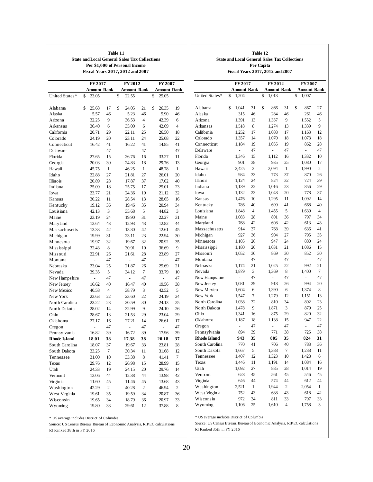|                             | <b>State and Local General Sales Tax Collections</b><br>Per \$1,000 of Personal Income<br>Fiscal Years 2017, 2012 and 2007 | Table 11       |                    |                |                |          |
|-----------------------------|----------------------------------------------------------------------------------------------------------------------------|----------------|--------------------|----------------|----------------|----------|
|                             | FY 2017                                                                                                                    |                | FY 2012            |                | FY 2007        |          |
|                             | <b>Amount Rank</b>                                                                                                         |                | <b>Amount Rank</b> |                | Amount Rank    |          |
| United States*              | \$<br>23.05                                                                                                                |                | \$<br>22.55        |                | \$<br>25.05    |          |
| Alabama                     | \$<br>25.68                                                                                                                | 17             | \$<br>24.05        | 21             | \$<br>26.35    | 19       |
| Alaska                      | 5.57                                                                                                                       | 46             | 5.23               | 46             | 5.90           | 46       |
| Arizona                     | 32.25                                                                                                                      | 9              | 36.53              | $\overline{4}$ | 42.39          | 6        |
| Arkansas                    | 36.40                                                                                                                      | 6              | 35.00              | 6              | 42.69          | 4        |
| California                  | 20.71                                                                                                                      | 29             | 22.11              | 25             | 26.50          | 18       |
| Colorado                    | 24.19                                                                                                                      | 20             | 23.11              | 24             | 25.08          | 22       |
| Connecticut                 | 16.42                                                                                                                      | 41             | 16.22              | 41             | 14.85          | 41       |
| Delaware                    | $\frac{1}{2}$                                                                                                              | 47             | $\overline{a}$     | 47             | $\overline{a}$ | 47       |
| Florida                     | 27.65                                                                                                                      | 15             | 26.76              | 16             | 33.27          | 11       |
| Georgia                     | 20.03                                                                                                                      | 30             | 24.83              | 18             | 29.76          | 13       |
| Hawaii                      | 45.75                                                                                                                      | 1              | 46.25              | 1              | 48.78          | 1        |
| Idaho                       | 22.88                                                                                                                      | 27             | 21.81              | 27             | 26.01          | 20       |
| Illinois                    | 20.89                                                                                                                      | 28             | 17.87              | 37             | 17.02          | 40       |
| Indiana                     | 25.09                                                                                                                      | 18             | 25.75              | 17             | 25.01          | 23       |
| Iowa                        | 23.77                                                                                                                      | 21             | 24.36              | 19             | 21.12          | 32       |
| Kansas                      | 30.22                                                                                                                      | 11             | 28.54              | 13             | 28.65          | 16       |
| Kentucky                    | 19.12                                                                                                                      | 36             | 19.46              | 35             | 20.94          | 34       |
| Louisiana                   | 42.13                                                                                                                      | 3              | 35.68              | 5              | 44.82          | 3        |
| Maine                       | 23.19                                                                                                                      | 24             | 19.90              | 31             |                | 31       |
| Maryland                    | 12.64                                                                                                                      | 43             | 12.93              | 43             | 22.27<br>12.82 | 44       |
| Massachusetts               | 13.33                                                                                                                      | 42             | 13.30              | 42             | 12.61          | 45       |
|                             |                                                                                                                            | 31             |                    | 23             |                |          |
| Michigan<br>Minnesota       | 19.99<br>19.97                                                                                                             | 32             | 23.11<br>19.67     | 32             | 22.94<br>20.92 | 30<br>35 |
| Mississippi                 | 32.43                                                                                                                      | 8              | 30.91              | 10             | 36.69          | 9        |
| Missouri                    | 22.91                                                                                                                      | 26             | 21.61              | 28             | 23.89          | 27       |
| Montana                     | $\overline{a}$                                                                                                             | 47             | $\overline{a}$     | 47             |                | 47       |
| Nebraska                    | 23.04                                                                                                                      | 25             | 21.87              | 26             | 25.69          | 21       |
| Nevada                      | 39.35                                                                                                                      | 5              | 34.12              | 7              | 33.79          | 10       |
| New Hampshire               | $\frac{1}{2}$                                                                                                              | 47             | $\overline{a}$     | 47             | $\overline{a}$ | 47       |
| New Jersey                  | 16.62                                                                                                                      | 40             | 16.47              | 40             | 19.56          | 38       |
| New Mexico                  |                                                                                                                            | $\overline{4}$ | 38.79              | 3              | 42.52          | 5        |
| New York                    | 40.58<br>23.63                                                                                                             | 22             | 23.60              | 22             | 24.19          | 24       |
| North Carolina              | 23.22                                                                                                                      | 23             | 20.59              | 30             | 24.13          | 25       |
| North Dakota                | 28.02                                                                                                                      | 14             | 32.99              | 9              | 24.10          | 26       |
| Ohio                        | 28.67                                                                                                                      | 13             | 21.53              | 29             | 23.04          | 29       |
| Oklahoma                    | 27.17                                                                                                                      | 16             | 27.21              | 14             | 26.61          | 17       |
| Oregon                      |                                                                                                                            | 47             | $\overline{a}$     | 47             | $\overline{a}$ | 47       |
| Pennsylvania                | 16.82                                                                                                                      | 39             | 16.72              | 39             | 17.96          | 39       |
| <b>Rhode Island</b>         | 18.01                                                                                                                      | 38             | 17.38              | 38             | 20.18          | 37       |
| South Carolina              | 18.07                                                                                                                      | 37             | 19.67              |                | 23.81          | 28       |
| South Dakota                | 33.25                                                                                                                      | 7              | 30.34              | 33<br>11       | 31.68          | 12       |
| Tennessee                   | 31.00                                                                                                                      | 10             | 33.38              | 8              | 41.41          | 7        |
| Texas                       | 29.76                                                                                                                      | 12             | 26.98              | 15             | 28.99          | 15       |
| Utah                        | 24.33                                                                                                                      | 19             | 24.15              | 20             | 29.76          | 14       |
| Vermont                     | 12.06                                                                                                                      | 44             | 12.38              | 44             | 13.98          | 42       |
| Virginia                    |                                                                                                                            | 45             |                    | 45             |                | 43       |
|                             | 11.60                                                                                                                      |                | 11.46              | 2              | 13.68<br>46.94 | 2        |
| Washington<br>West Virginia | 42.29                                                                                                                      | 2<br>35        | 40.28              | 34             |                |          |
|                             | 19.61                                                                                                                      | 34             | 19.59              |                | 20.87          | 36       |
| Wisconsin<br>Wyoming        | 19.65                                                                                                                      |                | 18.79              | 36<br>12       | 20.97          | 33       |
|                             | 19.80                                                                                                                      | 33             | 29.61              |                | 37.88          | 8        |

|                           | Source: US Census Bureau, Bureau of Economic Analysis, RIPEC calculations |  |
|---------------------------|---------------------------------------------------------------------------|--|
| RI Ranked 38th in FY 2016 |                                                                           |  |

| Table 12                                      |
|-----------------------------------------------|
| State and Local General Sales Tax Collections |
| Per Capita                                    |
| Fiscal Years 2017, 2012 and 2007              |

|                     | <b>FY2017</b> |                    |                | FY 2012 |                    |                  |    | FY 2007            |              |  |  |
|---------------------|---------------|--------------------|----------------|---------|--------------------|------------------|----|--------------------|--------------|--|--|
|                     |               | <b>Amount Rank</b> |                |         | <b>Amount Rank</b> |                  |    | <b>Amount Rank</b> |              |  |  |
| United States*      | \$            | 1,204              |                | \$      | 1,013              |                  | \$ | 1,007              |              |  |  |
|                     |               |                    |                |         |                    |                  |    |                    |              |  |  |
| Alabama             | \$            | 1,041              | 31             | \$      | 866                | 31               | \$ | 867                | 27           |  |  |
| Alaska              |               | 315                | 46             |         | 284                | 46               |    | 261                | 46           |  |  |
| Arizona             |               | 1,391              | 13             |         | 1,337              | 9                |    | 1,552              | 5            |  |  |
| Arkansas            |               | 1,518              | 8              |         | 1,274              | 13               |    | 1,339              | 9            |  |  |
| California          |               | 1,252              | 17             |         | 1,088              | 17               |    | 1,163              | 12           |  |  |
| Colorado            |               | 1,357              | 14             |         | 1,070              | 18               |    | 1,073              | 18           |  |  |
| Connecticut         |               | 1,184              | 19             |         | 1,055              | 19               |    | 862                | 28           |  |  |
| Delaware            |               | $\overline{a}$     | 47             |         | $\overline{a}$     | 47               |    | $\overline{a}$     | 47           |  |  |
| Florida             |               | 1,346              | 15             |         | 1,112              | 16               |    | 1,332              | 10           |  |  |
| Georgia             |               | 901                | 38             |         | 935                | 25               |    | 1,080              | 17           |  |  |
| Hawaii              |               | 2,425              | $\overline{c}$ |         | 2,094              | 1                |    | 1,990              | 2            |  |  |
| Idaho               |               | 984                | 33             |         | 773                | 37               |    | 870                | 26           |  |  |
| Illinois            |               | 1,124              | 24             |         | 824                | 32               |    | 724                | 39           |  |  |
| Indiana             |               | 1,139              | 22             |         | 1,016              | 23               |    | 856                | 29           |  |  |
| Iowa                |               | 1,132              | 23             |         | 1,048              | 20               |    | 778                | 37           |  |  |
| Kansas              |               | 1,476              | 10             |         | 1,295              | 11               |    | 1,092              | 14           |  |  |
| Kentucky            |               | 786                | 40             |         | 699                | 41               |    | 668                | 40           |  |  |
| Louisiana           |               | 1,848              | $\overline{4}$ |         | 1,455              | 5                |    | 1,639              | 4            |  |  |
| Maine               |               | 1,083              | 28             |         | 801                | 36               |    | 797                | 34           |  |  |
| Maryland            |               | 768                | 42             |         | 698                | 42               |    | 613                | 43           |  |  |
| Massachusetts       |               | 914                | 37             |         | 768                | 39               |    | 636                | 41           |  |  |
| Michigan            |               | 927                | 36             |         | 904                | 27               |    | 795                | 35           |  |  |
| Minnesota           |               | 1,105              | 26             |         | 947                | 24               |    | 880                | 24           |  |  |
| Mississippi         |               | 1,180              | 20             |         | 1,031              | 21               |    | 1,086              | 15           |  |  |
| Missouri            |               | 1,052              | 30             |         | 869                | 30               |    | 852                | 30           |  |  |
| Montana             |               | -                  | 47             |         | $\overline{a}$     | 47               |    | $\overline{a}$     | 47           |  |  |
| Nebraska            |               | 1,174              | 21             |         | 1,025              | 22               |    | 992                | 21           |  |  |
| Nevada              |               | 1,879              | 3              |         | 1,369              | 8                |    | 1,400              | 7            |  |  |
| New Hampshire       |               | $\overline{a}$     | 47             |         | $\overline{a}$     | 47               |    | $\overline{a}$     | 47           |  |  |
| New Jersey          |               | 1,081              | 29             |         | 918                | 26               |    | 994                | 20           |  |  |
| New Mexico          |               | 1,604              | 6              |         | 1,390              | 6                |    | 1,374              | 8            |  |  |
| New York            |               | 1,547              | 7              |         | 1,279              | 12               |    | 1,151              | 13           |  |  |
| North Carolina      |               | 1,038              | 32             |         | 810                | 34               |    | 892                | 23           |  |  |
| North Dakota        |               | 1,478              | 9              |         | 1,871              | 3                |    | 879                | 25           |  |  |
| Ohio                |               | 1,341              | 16             |         | 875                | 29               |    | 820                | 32           |  |  |
| Oklahoma            |               | 1,187              | 18             |         | 1,138              | 15               |    | 947                | 22           |  |  |
| Oregon              |               | $\overline{a}$     | 47             |         |                    | 47               |    | $\overline{a}$     | 47           |  |  |
| Pennsylvania        |               | 894                | 39             |         | 771                | 38               |    | 725                | 38           |  |  |
| <b>Rhode Island</b> |               | 943                | 35             |         | 805                | 35               |    | 824                | 31           |  |  |
| South Carolina      |               | 770                | 41             |         | 706                | 40               |    | 783                | 36           |  |  |
| South Dakota        |               | 1,667              | 5              |         | 1,388              | 7                |    | 1,238              | 11           |  |  |
| Tennessee           |               | 1,407              | 12             |         | 1,323              | 10               |    | 1,428              | 6            |  |  |
| Texas               |               | 1,446              | 11             |         | 1,191              | 14               |    | 1,084              | 16           |  |  |
| Utah                |               | 1,092              | 27             |         | 885                | 28               |    | 1,014              | 19           |  |  |
| Vermont             |               | 628                | 45             |         | 561                | 45               |    | 546                | 45           |  |  |
| Virginia            |               | 646                | 44             |         | 574                | 44               |    | 612                | 44           |  |  |
| Washington          |               | 2,521              | $\mathbf{1}$   |         | 1,944              | $\boldsymbol{2}$ |    | 2,054              | $\mathbf{1}$ |  |  |
| West Virginia       |               | 752                | 43             |         | 688                | 43               |    | 618                | 42           |  |  |
| Wisconsin           |               | 972                | 34             |         | 811                | 33               |    | 797                | 33           |  |  |
| Wyoming             |               | 1,106              | 25             |         | 1,610              | 4                |    | 1,758              | 3            |  |  |

 $\,^*$  US average includes District of Columbia

RI Ranked 35th in FY 2016 Source: US Census Bureau, Bureau of Economic Analysis, RIPEC calculations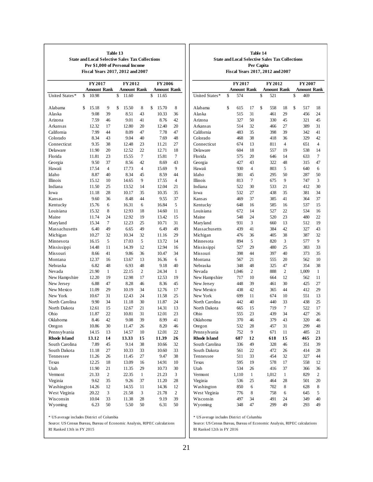|                     | <b>State and Local Selective Sales Tax Collections</b><br>Fiscal Years 2017, 2012 and 2007 |                | Table 13<br>Per \$1,000 of Personal Income |                |                    |                |
|---------------------|--------------------------------------------------------------------------------------------|----------------|--------------------------------------------|----------------|--------------------|----------------|
|                     | <b>FY2017</b>                                                                              |                | FY 2012                                    |                | FY 2006            |                |
|                     | <b>Amount Rank</b>                                                                         |                | <b>Amount Rank</b>                         |                | <b>Amount Rank</b> |                |
| United States*      | \$<br>10.98                                                                                |                | \$<br>11.60                                |                | \$<br>11.65        |                |
| Alabama             | \$<br>15.18                                                                                | 9              | \$<br>15.50                                | 8              | \$<br>15.70        | 8              |
| Alaska              | 9.08                                                                                       | 39             | 8.51                                       | 43             | 10.33              | 36             |
| Arizona             | 7.59                                                                                       | 46             | 9.01                                       | 41             | 8.76               | 42             |
| Arkansas            | 12.32                                                                                      | 17             | 12.80                                      | 20             | 12.40              | 20             |
| California          | 7.99                                                                                       | 44             | 8.09                                       | 47             | 7.78               | 47             |
| Colorado            | 8.34                                                                                       | 43             | 9.04                                       | 40             | 7.69               | 48             |
| Connecticut         | 9.35                                                                                       | 38             | 12.48                                      | 23             | 11.21              | 27             |
| Delaware            | 11.90                                                                                      | 20             | 12.52                                      | 22             | 12.71              | 18             |
| Florida             | 11.81                                                                                      | 23             | 15.55                                      | 7              | 15.81              | 7              |
| Georgia             | 9.50                                                                                       | 37             | 8.56                                       | 42             | 8.69               | 43             |
| Hawaii              | 17.54                                                                                      | $\overline{4}$ | 17.73                                      | $\overline{4}$ | 15.69              | 9              |
| Idaho               | 8.87                                                                                       | 40             | 8.34                                       | 45             | 8.59               | 44             |
| Illinois            | 15.12                                                                                      | 10             | 14.65                                      | 9              | 17.55              | $\overline{4}$ |
| Indiana             | 11.50                                                                                      | 25             | 13.52                                      | 14             | 12.04              | 21             |
| Iowa                | 11.18                                                                                      | 28             | 10.17                                      | 35             | 10.35              | 35             |
| Kansas              | 9.60                                                                                       | 36             | 8.48                                       | 44             | 9.55               | 37             |
| Kentucky            | 15.76                                                                                      | 6              | 16.31                                      | 6              | 16.84              | 5              |
| Louisiana           | 15.32                                                                                      | 8              | 12.93                                      | 18             | 14.60              | 11             |
| Maine               | 11.74                                                                                      | 24             | 12.92                                      | 19             | 13.42              | 15             |
| Maryland            | 15.34                                                                                      | 7              | 12.23                                      | 25             | 10.71              | 31             |
| Massachusetts       | 6.40                                                                                       | 49             | 6.65                                       | 49             | 6.49               | 49             |
| Michigan            | 10.27                                                                                      | 32             | 10.34                                      | 32             | 11.16              | 29             |
| Minnesota           | 16.15                                                                                      | 5              | 17.03                                      | 5              | 13.72              | 14             |
| Mississippi         | 14.48                                                                                      | 11             | 14.39                                      | 12             | 12.94              | 16             |
| Missouri            | 8.66                                                                                       | 41             | 9.86                                       | 36             | 10.47              | 34             |
| Montana             | 12.37                                                                                      | 16             | 13.67                                      | 13             | 16.36              | 6              |
| Nebraska            | 6.82                                                                                       | 48             | 6.93                                       | 48             | 9.18               | 40             |
| Nevada              | 21.90                                                                                      | $\mathbf{1}$   | 22.15                                      | $\overline{c}$ | 24.34              | 1              |
| New Hampshire       | 12.20                                                                                      | 19             | 12.98                                      | 17             | 12.53              | 19             |
| New Jersey          | 6.88                                                                                       | 47             | 8.28                                       | 46             | 8.36               | 45             |
| New Mexico          | 11.09                                                                                      | 29             | 10.19                                      | 34             | 12.76              | 17             |
| New York            | 10.67                                                                                      | 31             | 12.43                                      | 24             | 11.58              | 25             |
| North Carolina      | 9.90                                                                                       | 34             | 11.18                                      | 30             | 11.87              | 24             |
| North Dakota        | 12.61                                                                                      | 15             | 12.67                                      | 21             | 14.31              | 13             |
| Ohio                | 11.87                                                                                      | 22             | 10.81                                      | 31             | 12.01              | 23             |
| Oklahoma            | 8.46                                                                                       | 42             | 9.08                                       | 39             | 8.99               | 41             |
| Oregon              | 10.86                                                                                      | 30             | 11.47                                      | 26             | 8.20               | 46             |
| Pennsylvania        | 14.15                                                                                      | 13             | 14.57                                      | 10             | 12.01              | 22             |
| <b>Rhode Island</b> | 13.12                                                                                      | 14             | 13.33                                      | 15             | 11.39              | 26             |
| South Carolina      | 7.89                                                                                       | 45             | 9.14                                       | 38             | 10.66              | 32             |
| South Dakota        | 11.18                                                                                      | 27             | 10.33                                      | 33             | 10.60              | 33             |
| Tennessee           | 11.26                                                                                      | 26             | 11.45                                      | 27             | 9.47               | 38             |
| Texas               | 12.25                                                                                      | 18             | 13.09                                      | 16             | 14.91              | 10             |
| Utah                | 11.90                                                                                      | 21             | 11.35                                      | 29             | 10.73              | 30             |
| Vermont             | 21.33                                                                                      | 2              | 22.35                                      | $\mathbf{1}$   | 21.23              | 3              |
| Virginia            | 9.62                                                                                       | 35             | 9.26                                       | 37             | 11.20              | 28             |
| Washington          | 14.26                                                                                      | 12             | 14.55                                      | 11             | 14.36              | 12             |
| West Virginia       | 20.22                                                                                      | 3              | 21.58                                      | 3              | 21.78              | 2              |
| Wisconsin           | 10.04                                                                                      | 33             | 11.38                                      | 28             | 9.19               | 39             |
| Wyoming             | 6.23                                                                                       | 50             | 5.50                                       | 50             | 6.31               | 50             |

RI Ranked 13th in FY 2015

 $\mathsf{r}$ 

|                          |                                  | Per Capita     |                    |                |                    |    |
|--------------------------|----------------------------------|----------------|--------------------|----------------|--------------------|----|
|                          | Fiscal Years 2017, 2012 and 2007 |                |                    |                |                    |    |
|                          | <b>FY2017</b>                    |                | FY 2012            |                | FY 2007            |    |
|                          | <b>Amount Rank</b>               |                | <b>Amount Rank</b> |                | <b>Amount Rank</b> |    |
| United States*           | \$<br>574                        |                | \$<br>521          |                | \$<br>469          |    |
| Alabama                  | \$<br>615                        | 17             | \$<br>558          | 18             | \$<br>517          | 18 |
| Alaska                   | 515                              | 31             | 461                | 29             | 456                | 24 |
| Arizona                  | 327                              | 50             | 330                | 45             | 321                | 45 |
| Arkansas                 | 514                              | 32             | 466                | 27             | 389                | 31 |
| California               | 483                              | 35             | 398                | 39             | 342                | 41 |
| Colorado                 | 468                              | 38             | 418                | 36             | 329                | 42 |
| Connecticut              | 674                              | 13             | 811                | 4              | 651                | 4  |
| Delaware                 | 604                              | 18             | 557                | 19             | 538                | 14 |
| Florida                  | 575                              | 20             | 646                | 14             | 633                | 7  |
| Georgia                  | 427                              | 43             | 322                | 48             | 315                | 47 |
| Hawaii                   | 930                              | $\overline{4}$ | 803                | 5              | 640                | 6  |
| Idaho                    | 381                              | 45             | 295                | 50             | 287                | 50 |
| Illinois                 | 813                              | 7              | 675                | 9              | 747                | 3  |
| Indiana                  | 522                              | 30             | 533                | 21             | 412                | 30 |
| Iowa                     | 532                              | 27             | 438                | 35             | 381                | 34 |
| Kansas                   | 469                              | 37             | 385                | 41             | 364                | 37 |
| Kentucky                 | 648                              | 16             | 585                | 16             | 537                | 15 |
| Louisiana                | 672                              | 14             | 527                | 22             | 534                | 16 |
| Maine                    | 548                              | 24             | 520                | 23             | 480                | 22 |
| Maryland                 | 931                              | 3              | 660                | 13             | 512                | 19 |
| Massachusetts            | 439                              | 41             | 384                | 42             | 327                | 43 |
| Michigan                 | 476                              | 36             | 405                | 38             | 387                | 32 |
| Minnesota                | 894                              | 5              | 820                | 3              | 577                | 9  |
| Mississippi              | 527                              | 29             | 480                | 25             | 383                | 33 |
| Missouri                 | 398                              | 44             | 397                | 40             | 373                | 35 |
| Montana                  | 567                              | 21             | 555                | 20             | 562                | 10 |
| Nebraska                 | 348                              | 48             | 325                | 47             | 354                | 38 |
| Nevada                   |                                  | $\overline{c}$ | 888                | $\overline{c}$ | 1,009              | 1  |
|                          | 1,046<br>717                     | 10             | 664                | 12             | 562                | 11 |
| New Hampshire            |                                  |                |                    |                |                    |    |
| New Jersey<br>New Mexico | 448                              | 39<br>42       | 461                | 30<br>44       | 425                | 27 |
|                          | 438                              |                | 365                |                | 412                | 29 |
| New York                 | 699                              | 11             | 674                | 10             | 551                | 13 |
| North Carolina           | 442                              | 40             | 440                | 33             | 438                | 25 |
| North Dakota             | 665                              | 15             | 719                | 7              | 522                | 17 |
| Ohio                     | 555                              | 23             | 439                | 34             | 427                | 26 |
| Oklahoma                 | 370                              | 46             | 379                | 43             | 320                | 46 |
| Oregon                   | 532                              | 28             | 457                | 31             | 299                | 48 |
| Pennsylvania             | 752                              | 9              | 671                | 11             | 485                | 21 |
| <b>Rhode Island</b>      | 687                              | 12             | 618                | 15             | 465                | 23 |
| South Carolina           | 336                              | 49             | 328                | 46             | 351                | 39 |
| South Dakota             | 561                              | 22             | 472                | 26             | 414                | 28 |
| Tennessee                | 511                              | 33             | 454                | 32             | 327                | 44 |
| Texas                    | 595                              | 19             | 578                | 17             | 558                | 12 |
| Utah                     | 534                              | 26             | 416                | 37             | 366                | 36 |
| Vermont                  | 1,110                            | 1              | 1,012              | 1              | 829                | 2  |
| Virginia                 | 536                              | 25             | 464                | 28             | 501                | 20 |
| Washington               | 850                              | 6              | 702                | 8              | 628                | 8  |
| West Virginia            | 776                              | 8              | 758                | 6              | 645                | 5  |
| Wisconsin                | 497                              | 34             | 491                | 24             | 349                | 40 |
| Wyoming                  | 348                              | 47             | 299                | 49             | 293                | 49 |
|                          |                                  |                |                    |                |                    |    |

**Table 14**

**State and Local Selective Sales Tax Collections**

 $\,^*$  US average includes District of Columbia

RI Ranked 12th in FY 2016 Source: US Census Bureau, Bureau of Economic Analysis, RIPEC calculations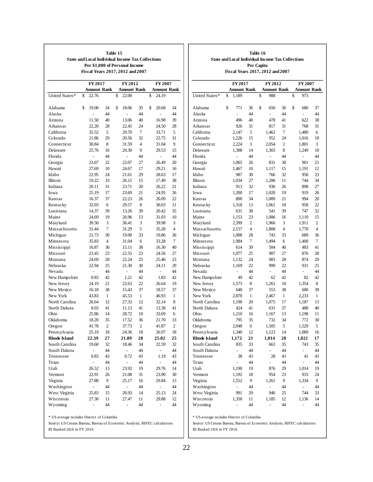| <b>State and Local Individual Income Tax Collections</b><br>Per \$1,000 of Personal Income<br>Fiscal Years 2017, 2012 and 2007 |                |    |                    |                |                    |    |  |  |  |  |  |  |
|--------------------------------------------------------------------------------------------------------------------------------|----------------|----|--------------------|----------------|--------------------|----|--|--|--|--|--|--|
|                                                                                                                                | FY 2017        |    | FY 2012            |                | FY 2007            |    |  |  |  |  |  |  |
|                                                                                                                                | Amount Rank    |    | <b>Amount Rank</b> |                | <b>Amount Rank</b> |    |  |  |  |  |  |  |
| United States*                                                                                                                 | \$<br>22.76    |    | \$<br>22.00        |                | 24.19<br>\$        |    |  |  |  |  |  |  |
| Alabama                                                                                                                        | \$<br>19.00    | 34 | \$<br>18.06        | 35             | \$<br>20.68        | 34 |  |  |  |  |  |  |
| Alaska                                                                                                                         | $\overline{a}$ | 44 | $\overline{a}$     | 44             | $\overline{a}$     | 44 |  |  |  |  |  |  |
| Arizona                                                                                                                        | 11.50          | 40 | 13.06              | 40             | 16.98              | 39 |  |  |  |  |  |  |
| Arkansas                                                                                                                       | 22.20          | 28 | 22.45              | 24             | 24.50              | 28 |  |  |  |  |  |  |
| California                                                                                                                     | 35.52          | 5  | 29.70              | 7              | 33.71              | 5  |  |  |  |  |  |  |
| Colorado                                                                                                                       | 21.86          | 29 | 20.56              | 32             | 23.75              | 31 |  |  |  |  |  |  |
| Connecticut                                                                                                                    | 30.84          | 8  | 31.59              | $\overline{4}$ | 31.04              | 9  |  |  |  |  |  |  |
| Delaware                                                                                                                       | 25.76          | 16 | 29.30              | 9              | 29.53              | 15 |  |  |  |  |  |  |
| Florida                                                                                                                        | $\overline{a}$ | 44 | $\overline{a}$     | 44             | $\overline{a}$     | 44 |  |  |  |  |  |  |
| Georgia                                                                                                                        | 23.67          | 22 | 22.07              | 27             | 26.49              | 20 |  |  |  |  |  |  |
| Hawaii                                                                                                                         | 27.69          | 10 | 24.67              | 17             | 29.21              | 16 |  |  |  |  |  |  |
| Idaho                                                                                                                          | 22.95          | 24 | 21.61              | 29             | 28.63              | 17 |  |  |  |  |  |  |
| Illinois                                                                                                                       | 19.22          | 33 | 26.15              | 15             | 17.49              | 38 |  |  |  |  |  |  |
| Indiana                                                                                                                        | 20.11          | 31 | 23.71              | 20             | 26.22              | 21 |  |  |  |  |  |  |
| Iowa                                                                                                                           | 25.19          | 17 | 23.69              | 21             | 24.95              | 26 |  |  |  |  |  |  |
| Kansas                                                                                                                         | 16.37          | 37 | 22.23              | 26             | 26.09              | 22 |  |  |  |  |  |  |
| Kentucky                                                                                                                       | 32.03          | 6  | 29.57              | 8              | 30.03              | 11 |  |  |  |  |  |  |
| Louisiana                                                                                                                      | 14.37          | 39 | 13.26              | 39             | 20.42              | 35 |  |  |  |  |  |  |
| Maine                                                                                                                          | 24.69          | 19 | 26.96              | 13             | 31.03              | 10 |  |  |  |  |  |  |
| Maryland                                                                                                                       | 39.50          | 3  | 36.41              | 3              | 39.98              | 3  |  |  |  |  |  |  |
| Massachusetts                                                                                                                  | 31.44          | 7  | 31.29              | 5              | 35.28              | 4  |  |  |  |  |  |  |
| Michigan                                                                                                                       | 21.73          | 30 | 19.00              | 33             | 19.86              | 36 |  |  |  |  |  |  |
| Minnesota                                                                                                                      | 35.83          | 4  | 31.04              | 6              | 33.28              | 7  |  |  |  |  |  |  |
| Mississippi                                                                                                                    | 16.87          | 36 | 15.11              | 38             | 16.30              | 40 |  |  |  |  |  |  |
| Missouri                                                                                                                       |                |    |                    | 23             |                    | 27 |  |  |  |  |  |  |
|                                                                                                                                | 23.45          | 23 | 22.55              |                | 24.56              |    |  |  |  |  |  |  |
| Montana                                                                                                                        | 24.69          | 20 | 22.24              | 25             | 25.46              | 23 |  |  |  |  |  |  |
| Nebraska                                                                                                                       | 22.94          | 25 | 21.30              | 30             | 24.11              | 29 |  |  |  |  |  |  |
| Nevada                                                                                                                         | $\overline{a}$ | 44 | $\overline{a}$     | 44             | $\overline{a}$     | 44 |  |  |  |  |  |  |
| New Hampshire                                                                                                                  | 0.83           | 42 | 1.21               | 42             | 1.83               | 42 |  |  |  |  |  |  |
| New Jersey                                                                                                                     | 24.19          | 21 | 22.63              | 22             | 26.64              | 19 |  |  |  |  |  |  |
| New Mexico                                                                                                                     | 16.18          | 38 | 15.43              | 37             | 18.57              | 37 |  |  |  |  |  |  |
| New York                                                                                                                       | 43.83          | 1  | 45.53              | 1              | 46.93              | 1  |  |  |  |  |  |  |
| North Carolina                                                                                                                 | 26.64          | 12 | 27.33              | 12             | 32.14              | 8  |  |  |  |  |  |  |
| North Dakota                                                                                                                   | 8.03           | 41 | 11.13              | 41             | 13.38              | 41 |  |  |  |  |  |  |
| Ohio                                                                                                                           | 25.86          | 14 | 28.72              | 10             | 33.69              | 6  |  |  |  |  |  |  |
| Oklahoma                                                                                                                       | 18.20          | 35 | 17.52              | 36             | 21.70              | 33 |  |  |  |  |  |  |
| Oregon                                                                                                                         | 41.78          | 2  | 37.73              | 2              | 41.87              | 2  |  |  |  |  |  |  |
| Pennsylvania                                                                                                                   | 25.19          | 18 | 24.36              | 18             | 26.97              | 18 |  |  |  |  |  |  |
| <b>Rhode Island</b>                                                                                                            | 22.39          | 27 | 21.89              | 28             | 25.02              | 25 |  |  |  |  |  |  |
| South Carolina                                                                                                                 | 19.60          | 32 | 18.46              | 34             | 22.59              | 32 |  |  |  |  |  |  |
| South Dakota                                                                                                                   | $\overline{a}$ | 44 | $\overline{a}$     | 44             |                    | 44 |  |  |  |  |  |  |
| Tennessee                                                                                                                      | 0.83           | 43 | 0.72               | 43             | 1.19               | 43 |  |  |  |  |  |  |
| Texas                                                                                                                          | -              | 44 | $\overline{a}$     | 44             | $\overline{a}$     | 44 |  |  |  |  |  |  |
| Utah                                                                                                                           | 26.52          | 13 | 23.92              | 19             | 29.76              | 14 |  |  |  |  |  |  |
| Vermont                                                                                                                        | 22.91          | 26 | 21.08              | 31             | 23.90              | 30 |  |  |  |  |  |  |
| Virginia                                                                                                                       | 27.88          | 9  | 25.17              | 16             | 29.84              | 13 |  |  |  |  |  |  |
| Washington                                                                                                                     | $\overline{a}$ | 44 | $\overline{a}$     | 44             | $\overline{a}$     | 44 |  |  |  |  |  |  |
| West Virginia                                                                                                                  | 25.83          | 15 | 26.93              | 14             | 25.13              | 24 |  |  |  |  |  |  |
| Wisconsin                                                                                                                      | 27.30          | 11 | 27.47              | 11             | 29.88              | 12 |  |  |  |  |  |  |
| Wyoming                                                                                                                        |                | 44 |                    | 44             |                    | 44 |  |  |  |  |  |  |

|                     | FY 2017                  |                         | FY 2012                  |    | <b>FY2007</b>      |                |  |  |
|---------------------|--------------------------|-------------------------|--------------------------|----|--------------------|----------------|--|--|
|                     | <b>Amount Rank</b>       |                         | <b>Amount Rank</b>       |    | <b>Amount Rank</b> |                |  |  |
| United States*      | \$<br>1,189              |                         | \$<br>988                |    | \$<br>973          |                |  |  |
| Alabama             | \$<br>771                | 36                      | \$<br>650                | 36 | \$<br>680          | 37             |  |  |
| Alaska              | $\overline{a}$           | 44                      | $\overline{a}$           | 44 | $\overline{a}$     | 44             |  |  |
| Arizona             | 496                      | 40                      | 478                      | 41 | 622                | 38             |  |  |
| Arkansas            | 926                      | 31                      | 817                      | 31 | 768                | 31             |  |  |
| California          | 2,147                    | 5                       | 1,462                    | 7  | 1,480              | 6              |  |  |
| Colorado            | 1,226                    | 15                      | 952                      | 24 | 1,016              | 18             |  |  |
| Connecticut         | 2,224                    | 3                       | 2,054                    | 2  | 1,801              | 3              |  |  |
| Delaware            | 1,308                    | 14                      | 1,303                    | 8  | 1,249              | 10             |  |  |
| Florida             | $\overline{a}$           | 44                      | $\overline{a}$           | 44 | $\overline{a}$     | 44             |  |  |
| Georgia             | 1,065                    | 26                      | 831                      | 30 | 961                | 21             |  |  |
| Hawaii              | 1,467                    | 10                      | 1,117                    | 15 | 1,191              | 12             |  |  |
| Idaho               | 987                      | 30                      | 766                      | 32 | 958                | 23             |  |  |
| Illinois            | 1,034                    | 27                      | 1,206                    | 11 | 744                | 34             |  |  |
| Indiana             | 913                      | 32                      | 936                      | 26 | 898                | 27             |  |  |
| Iowa                | 1,200                    | 17                      | 1,020                    | 19 | 919                | 26             |  |  |
| Kansas              | 800                      | 34                      | 1,009                    | 21 | 994                | 20             |  |  |
| Kentucky            | 1,318                    | 13                      | 1,061                    | 18 | 958                | 22             |  |  |
| Louisiana           | 631                      | 38                      | 541                      | 39 | 747                | 32             |  |  |
| Maine               | 1,153                    | 23                      | 1,086                    | 16 | 1,110              | 15             |  |  |
| Maryland            | 2,399                    | $\overline{c}$          | 1,966                    | 3  | 1,911              | $\overline{c}$ |  |  |
| Massachusetts       | 2,157                    | $\overline{\mathbf{4}}$ | 1,808                    | 4  | 1,778              | 4              |  |  |
| Michigan            | 1,008                    | 28                      | 743                      | 33 | 689                | 36             |  |  |
| Minnesota           | 1,984                    | 7                       | 1,494                    | 6  | 1,400              | 7              |  |  |
| Mississippi         | 614                      | 39                      | 504                      | 40 | 483                | 41             |  |  |
| Missouri            | 1,077                    | 25                      | 907                      | 27 | 876                | 28             |  |  |
| Montana             | 1,132                    | 24                      | 903                      | 28 | 874                | 29             |  |  |
| Nebraska            | 1,169                    | 22                      | 999                      | 22 | 931                | 25             |  |  |
| Nevada              | -                        | 44                      | -                        | 44 | -                  | 44             |  |  |
| New Hampshire       | 49                       | 42                      | 62                       | 42 | 82                 | 42             |  |  |
| New Jersey          | 1,573                    | 8                       | 1,261                    | 10 | 1,354              | 8              |  |  |
| New Mexico          | 640                      | 37                      | 553                      | 38 | 600                | 39             |  |  |
| New York            | 2,870                    | 1                       | 2,467                    | 1  | 2,233              | 1              |  |  |
| North Carolina      | 1,190                    | 20                      | 1,075                    | 17 | 1,187              | 13             |  |  |
| North Dakota        | 424                      | 41                      | 631                      | 37 | 488                | 40             |  |  |
| Ohio                | 1,210                    | 16                      | 1,167                    | 13 | 1,198              | 11             |  |  |
| Oklahoma            | 795                      | 35                      | 732                      | 34 | 772                | 30             |  |  |
| Oregon              | 2,048                    | 6                       | 1,505                    | 5  | 1,529              | 5              |  |  |
| Pennsylvania        | 1,340                    | 12                      | 1,123                    | 14 | 1,089              | 16             |  |  |
| <b>Rhode Island</b> | 1,172                    | 21                      | 1,014                    | 20 | 1,021              | 17             |  |  |
| South Carolina      | 835                      | 33                      | 663                      | 35 | 743                | 35             |  |  |
| South Dakota        |                          | 44                      | $\overline{\phantom{0}}$ | 44 |                    | 44             |  |  |
| Tennessee           | 38                       | 43                      | 28                       | 43 | 41                 | 43             |  |  |
| Texas               | $\overline{a}$           | 44                      | -                        | 44 | $\overline{a}$     | 44             |  |  |
| Utah                | 1,190                    | 19                      | 876                      | 29 | 1,014              | 19             |  |  |
| Vermont             | 1,192                    | 18                      | 954                      | 23 | 933                | 24             |  |  |
| Virginia            | 1,552                    | 9                       | 1,261                    | 9  | 1,334              | 9              |  |  |
| Washington          |                          | 44                      | -                        | 44 |                    | 44             |  |  |
| West Virginia       | 991                      | 29                      | 946                      | 25 | 744                | 33             |  |  |
| Wisconsin           | 1,350                    | 11                      | 1,185                    | 12 | 1,136              | 14             |  |  |
| Wyoming             | $\overline{\phantom{0}}$ | 44                      | -                        | 44 |                    | 44             |  |  |

**Table 16 State and Local Individual Income Tax Collections Per Capita**

٦

RI Ranked 26th in FY 2016 Source: US Census Bureau, Bureau of Economic Analysis, RIPEC calculations US average includes District of Col

RI Ranked 19th in FY 2016 Source: US Census Bureau, Bureau of Economic Analysis, RIPEC calculations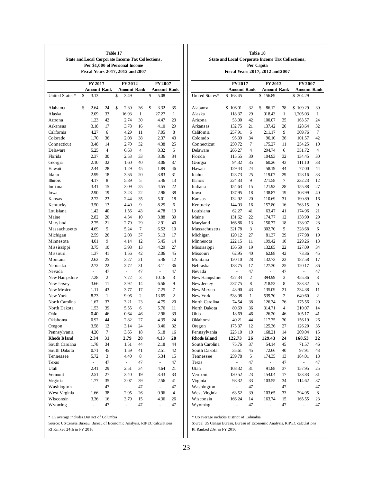| <b>State and Local Corporate Income Tax Collections,</b>                  |                                  | <b>State</b>   |                                  |                |                                  |                |                     |
|---------------------------------------------------------------------------|----------------------------------|----------------|----------------------------------|----------------|----------------------------------|----------------|---------------------|
|                                                                           | FY 2017                          |                | FY 2012                          |                | FY 2007                          |                |                     |
| United States*                                                            | \$<br><b>Amount Rank</b><br>3.13 |                | \$<br><b>Amount Rank</b><br>3.49 |                | \$<br><b>Amount Rank</b><br>5.08 |                | United States*      |
| Alabama                                                                   | \$<br>2.64                       | 24             | \$<br>2.39                       | 36             | \$<br>3.32                       | 35             | Alabama             |
| Alaska                                                                    | 2.09                             | 33             | 16.93                            | $\mathbf{1}$   | 27.27                            | $\mathbf{1}$   | Alaska              |
| Arizona                                                                   | 1.23                             | 42             | 2.74                             | 30             | 4.47                             | 23             | Arizona             |
| Arkansas                                                                  | 3.18                             | 17             | 3.78                             | 16             | 4.10                             | 29             | Arkansas            |
| California                                                                | 4.27                             | 6              | 4.29                             | 11             | 7.05                             | 8              | California          |
| Colorado                                                                  | 1.70                             | 36             | 2.08                             | 38             | 2.37                             | 43             | Colorado            |
| Connecticut                                                               | 3.48                             | 14             | 2.70                             | 32             | 4.38                             | 25             | Connecticut         |
| Delaware                                                                  | 5.25                             | $\overline{4}$ | 6.63                             | $\overline{4}$ | 8.32                             | 5              | Delaware            |
| Florida                                                                   | 2.37                             | 30             | 2.53                             | 33             | 3.36                             | 34             | Florida             |
| Georgia                                                                   | 2.10                             | 32             | 1.60                             | 40             | 3.06                             | 37             | Georgia             |
| Hawaii                                                                    | 2.44                             | 28             | 1.29                             | 45             | 1.89                             | 46             | Hawaii              |
| Idaho                                                                     | 2.99                             | 18             | 3.36                             | 20             | 3.83                             | 31             | Idaho               |
| Illinois                                                                  | 4.17                             | 8              | 5.89                             | 5              | 5.46                             | 13             | Illinois            |
| Indiana                                                                   | 3.41                             | 15             | 3.09                             | 25             | 4.55                             | 22             | Indiana             |
| Iowa                                                                      |                                  | 19             |                                  | 22             | 2.96                             | 38             | <b>I</b> owa        |
|                                                                           | 2.90                             | 23             | 3.23<br>2.44                     | 35             |                                  | 18             |                     |
| Kansas                                                                    | 2.72                             |                |                                  |                | 5.01                             |                | Kansas              |
| Kentucky                                                                  | 3.50                             | 13             | 4.40                             | 9              | 8.25                             | 6              | Kentucky            |
| Louisiana                                                                 | 1.42                             | 40             | 1.56                             | 43             | 4.78                             | 19             | Louisiana           |
| Maine                                                                     | 2.82                             | 20             | 4.34                             | 10             | 3.88                             | 30             | Maine               |
| Maryland                                                                  | 2.75                             | 21             | 2.79                             | 29             | 2.91                             | 40             | Maryland            |
| Massachusetts                                                             | 4.69                             | 5              | 5.24                             | 7              | 6.52                             | 10             | Massachusett        |
| Michigan                                                                  | 2.59                             | 26             | 2.08                             | 37             | 5.13                             | 17             | Michigan            |
| Minnesota                                                                 | 4.01                             | 9              | 4.14                             | 12             | 5.45                             | 14             | Minnesota           |
| Mississippi                                                               | 3.75                             | 10             | 3.98                             | 13             | 4.29                             | 27             | Mississippi         |
| Missouri                                                                  | 1.37                             | 41             | 1.56                             | 42             | 2.06                             | 45             | Missouri            |
| Montana                                                                   | 2.62                             | 25             | 3.27                             | 21             | 5.46                             | 12             | Montana             |
| Nebraska                                                                  | 2.72                             | 22             | 2.72                             | 31             | 3.11                             | 36             | Nebraska            |
| Nevada                                                                    | $\frac{1}{2}$                    | 47             | $\overline{a}$                   | 47             | $\overline{a}$                   | 47             | Nevada              |
| New Hampshire                                                             | 7.28                             | $\overline{c}$ | 7.72                             | 3              | 10.16                            | 3              | New Hampshi         |
| New Jersey                                                                | 3.66                             | 11             | 3.92                             | 14             | 6.56                             | 9              | New Jersey          |
| New Mexico                                                                | 1.11                             | 43             | 3.77                             | 17             | 7.25                             | 7              | New Mexico          |
| New York                                                                  | 8.23                             | $\mathbf{1}$   | 9.96                             | $\overline{c}$ | 13.65                            | $\overline{2}$ | New York            |
| North Carolina                                                            | 1.67                             | 37             | 3.21                             | 23             | 4.75                             | 20             | North Carolina      |
| North Dakota                                                              | 1.53                             | 39             | 5.55                             | 6              | 5.76                             | 11             | North Dakota        |
| Ohio                                                                      | 0.40                             | 46             | 0.64                             | 46             | 2.96                             | 39             | Ohio                |
| Oklahoma                                                                  | 0.92                             | 44             | 2.82                             | 27             | 4.39                             | 24             | Oklahoma            |
| Oregon                                                                    | 3.58                             | 12             | 3.14                             | 24             | 3.46                             | 32             | Oregon              |
| Pennsylvania                                                              | 4.20                             | 7              | 3.65                             | 18             | 5.18                             | 16             | Pennsylvania        |
| <b>Rhode Island</b>                                                       | 2.34                             | 31             | 2.79                             | 28             | 4.13                             | 28             | <b>Rhode Island</b> |
| South Carolina                                                            | 1.78                             | 34             | 1.51                             | 44             | 2.18                             | 44             | South Carolina      |
| South Dakota                                                              | 0.71                             | 45             | 1.59                             | 41             | 2.51                             | 42             | South Dakota        |
| Tennessee                                                                 | 5.72                             | 3              | 4.40                             | 8              | 5.34                             | 15             | Tennessee           |
| Texas                                                                     | $\overline{a}$                   | 47             | ÷.                               | 47             | $\overline{\phantom{0}}$         | 47             | Texas               |
| Utah                                                                      | 2.41                             | 29             | 2.51                             | 34             | 4.64                             | 21             | Utah                |
| Vermont                                                                   | 2.51                             | 27             | 3.40                             | 19             | 3.43                             | 33             | Vermont             |
| Virginia                                                                  | 1.77                             | 35             | 2.07                             | 39             | 2.56                             | 41             | Virginia            |
| Washington                                                                | $\overline{a}$                   | 47             | $\frac{1}{2}$                    | 47             | $\overline{\phantom{0}}$         | 47             | Washington          |
| West Virginia                                                             | 1.66                             | 38             | 2.95                             | 26             | 9.96                             | $\overline{4}$ | West Virginia       |
| Wisconsin                                                                 | 3.36                             | 16             | 3.79                             | 15             | 4.36                             | 26             | Wisconsin           |
| Wyoming                                                                   | $\overline{a}$                   | 47             | $\overline{a}$                   | 47             |                                  | 47             | Wyoming             |
| * US average includes District of Columbia                                |                                  |                |                                  |                |                                  |                | * US average inc    |
| Source: US Census Bureau, Bureau of Economic Analysis, RIPEC calculations |                                  |                |                                  |                |                                  |                | Source: US Cens     |

|                     |                |                | Per Capita<br>Fiscal Years 2017, 2012 and 2007 |                |                    |                |
|---------------------|----------------|----------------|------------------------------------------------|----------------|--------------------|----------------|
|                     | FY 2017        |                | FY 2012                                        |                | FY 2007            |                |
|                     | Amount Rank    |                | <b>Amount Rank</b>                             |                | <b>Amount Rank</b> |                |
| United States*      | \$<br>163.45   |                | \$<br>156.89                                   |                | 204.29<br>\$       |                |
| Alabama             | \$<br>106.91   | 32             | \$<br>86.12                                    | 38             | \$109.29           | 39             |
| Alaska              | 118.37         | 29             | 918.43                                         | 1              | 1,205.03           | 1              |
| Arizona             | 53.00          | 42             | 100.07                                         | 35             | 163.57             | 24             |
| Arkansas            | 132.75         | 21             | 137.42                                         | 20             | 128.64             | 32             |
| California          | 257.91         | 6              | 211.17                                         | 9              | 309.76             | 7              |
| Colorado            | 95.39          | 34             | 96.10                                          | 36             | 101.57             | 42             |
| Connecticut         | 250.72         | 7              | 175.27                                         | 11             | 254.25             | 10             |
| Delaware            | 266.27         | $\overline{4}$ | 294.74                                         | 6              | 351.72             | $\overline{4}$ |
| Florida             | 115.55         | 30             | 104.93                                         | 32             | 134.45             | 30             |
| Georgia             | 94.32          | 35             | 60.26                                          | 43             | 111.10             | 38             |
| Hawaii              | 129.43         | 24             | 58.19                                          | 44             | 77.00              | 44             |
| Idaho               | 128.73         | 25             | 119.07                                         | 29             | 128.16             | 33             |
| Illinois            | 224.33         | 9              | 271.58                                         | 7              | 232.23             | 12             |
| Indiana             | 154.63         | 15             | 121.93                                         | 28             | 155.88             | 27             |
| Iowa                | 137.95         | 18             | 138.87                                         | 19             | 108.99             | 40             |
| Kansas              | 132.92         | 20             | 110.69                                         | 31             | 190.89             | 16             |
| Kentucky            | 144.03         | 16             | 157.80                                         | 16             | 263.15             | 9              |
| Louisiana           | 62.27          | 41             | 63.47                                          | 41             | 174.96             | 21             |
| Maine               | 131.62         | 22             | 174.77                                         | 12             | 138.90             | 29             |
| Maryland            | 166.86         | 13             | 150.77                                         | 18             | 138.97             | 28             |
| Massachusetts       | 321.78         | 3              | 302.70                                         | 5              | 328.68             | 6              |
| Michigan            | 120.12         | 27             | 81.37                                          | 39             | 177.98             | 19             |
| Minnesota           | 222.15         | 11             | 199.42                                         | 10             | 229.26             | 13             |
| Mississippi         | 136.50         | 19             | 132.85                                         | 22             | 127.09             | 34             |
| Missouri            | 62.95          | 40             | 62.88                                          | 42             | 73.36              | 45             |
| Montana             | 120.10         | 28             | 132.73                                         | 23             | 187.58             | 17             |
| Nebraska            | 138.75         | 17             | 127.30                                         | 25             | 120.17             | 36             |
| Nevada              | $\overline{a}$ | 47             |                                                | 47             | $\overline{a}$     | 47             |
| New Hampshire       | 427.34         | $\overline{c}$ | 394.99                                         | 3              | 455.36             | 3              |
| New Jersey          | 237.75         | 8              | 218.53                                         | 8              | 333.32             | 5              |
| New Mexico          | 43.90          | 43             | 135.09                                         | 21             | 234.38             | 11             |
| New York            | 538.98         | 1              | 539.70                                         | $\overline{c}$ | 649.60             | $\overline{c}$ |
| North Carolina      | 74.54          | 38             | 126.34                                         | 26             | 175.56             | 20             |
| North Dakota        | 80.69          | 36             | 314.71                                         | $\overline{4}$ | 210.07             | 14             |
| Ohio                | 18.69          | 46             | 26.20                                          | 46             | 105.17             | 41             |
| Oklahoma            | 40.21          | 44             | 117.75                                         | 30             | 156.19             | 26             |
| Oregon              | 175.37         | 12             | 125.36                                         | 27             | 126.20             | 35             |
| Pennsylvania        | 223.10         | 10             | 168.21                                         | 14             | 209.04             | 15             |
| <b>Rhode Island</b> | 122.73         | 26             | 129.43                                         | 24             | 168.53             | 22             |
| South Carolina      | 75.76          | 37             | 54.14                                          | 45             | 71.57              | 46             |
| South Dakota        | 35.61          | 45             | 72.66                                          | 40             | 97.91              | 43             |
| Tennessee           | 259.78         | 5              | 174.35                                         | 13             | 184.01             | 18             |
| Texas               | -              | 47             | -                                              | 47             |                    | 47             |
| Utah                | 108.32         | 31             | 91.88                                          | 37             | 157.95             | 25             |
| Vermont             | 130.52         | 23             | 154.04                                         | 17             | 133.83             | 31             |
| Virginia            | 98.32          | 33             | 103.55                                         | 34             | 114.62             | 37             |
| Washington          | $\overline{a}$ | 47             | $\overline{a}$                                 | 47             | $\overline{a}$     | 47             |
| West Virginia       | 63.52          | 39             | 103.65                                         | 33             | 294.95             | 8              |
| Wisconsin           | 166.24         | 14             | 163.74                                         | 15             | 165.55             | 23             |
| Wyoming             | $\overline{a}$ | 47             |                                                | 47             |                    | 47             |
|                     |                |                | -                                              |                | $\overline{a}$     |                |

**Table 18** and Local Corporate Income Tax Collections,

cludes District of Columbia

 $red 23st$  in FY 2016 sus Bureau, Bureau of Economic Analysis, RIPEC calculations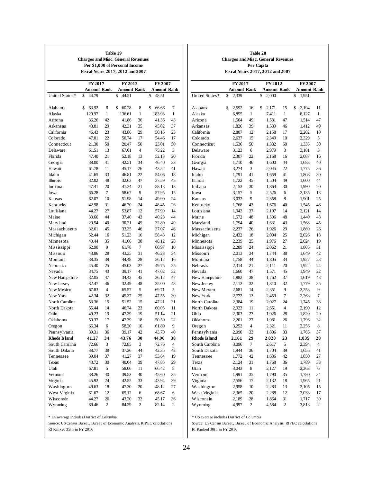|                     | <b>Charges and Misc. General Revenues</b> |              | Table 19<br>Per \$1,000 of Personal Income<br>Fiscal Years 2017, 2012 and 2007 |              |                                   |              |                     |             | Table 20<br><b>Charges and Misc. General Revenues</b><br>Per Capita<br>Fiscal Years 2017, 2012 and 2007 |                                   |                |                                  |              |
|---------------------|-------------------------------------------|--------------|--------------------------------------------------------------------------------|--------------|-----------------------------------|--------------|---------------------|-------------|---------------------------------------------------------------------------------------------------------|-----------------------------------|----------------|----------------------------------|--------------|
|                     | FY 2017                                   |              | FY 2012                                                                        |              | FY 2007                           |              |                     |             | FY 2017                                                                                                 | FY 2012                           |                | FY 2007                          |              |
| United States*      | <b>Amount Rank</b><br>\$<br>44.79         |              | <b>Amount Rank</b><br>\$<br>44.51                                              |              | <b>Amount Rank</b><br>\$<br>48.51 |              | United States*      | 2,339<br>\$ | <b>Amount Rank</b>                                                                                      | \$<br><b>Amount Rank</b><br>2,000 |                | \$<br><b>Amount Ran</b><br>1,951 |              |
| Alabama             | 63.92<br>\$                               | 8            | \$<br>60.28                                                                    | 8            | \$<br>66.66                       | 7            | Alabama             | 2,592<br>\$ | 16                                                                                                      | \$<br>2,171                       | 15             | \$<br>2,194                      | 11           |
| Alaska              | 120.97                                    | $\mathbf{1}$ | 136.61                                                                         | $\mathbf{1}$ | 183.93                            | $\mathbf{1}$ | Alaska              | 6,855       | $\mathbf{1}$                                                                                            | 7,411                             | $\mathbf{1}$   | 8,127                            | $\mathbf{1}$ |
| Arizona             | 36.26                                     | 42           | 41.86                                                                          | 36           | 41.36                             | 43           | Arizona             | 1,564       | 49                                                                                                      | 1,531                             | 47             | 1,514                            | 47           |
| Arkansas            | 43.81                                     | 29           | 42.31                                                                          | 35           | 45.02                             | 37           | Arkansas            | 1,826       | 39                                                                                                      | 1,539                             | 46             | 1,412                            | 49           |
| California          | 46.43                                     | 23           | 43.86                                                                          | 29           | 50.16                             | 23           | California          | 2,807       | 12                                                                                                      | 2,158                             | 17             | 2,202                            | 10           |
| Colorado            | 47.01                                     | 22           | 50.74                                                                          | 17           | 54.46                             | 17           | Colorado            | 2,637       | 15                                                                                                      | 2,349                             | 10             | 2,329                            | 5            |
| Connecticut         | 21.30                                     | 50           | 20.47                                                                          | 50           | 23.01                             | 50           | Connecticut         | 1,536       | 50                                                                                                      | 1,332                             | 50             | 1,335                            | 50           |
| Delaware            | 61.51                                     | 13           | 67.01                                                                          | 4            | 75.22                             | 3            | Delaware            | 3,123       | 6                                                                                                       | 2,979                             | 3              | 3,181                            | 3            |
| Florida             | 47.40                                     | 21           | 52.18                                                                          | 13           | 52.13                             | 20           | Florida             | 2,307       | 22                                                                                                      | 2,168                             | 16             | 2,087                            | 16           |
| Georgia             | 38.00                                     | 41           | 42.51                                                                          | 34           | 46.40                             | 33           | Georgia             | 1,710       | 46                                                                                                      | 1,600                             | 44             | 1,683                            | 40           |
| Hawaii              | 61.78                                     | 11           | 45.17                                                                          | 26           | 43.52                             | 41           | Hawaii              | 3,274       | 3                                                                                                       | 2,045                             | 22             | 1,775                            | 36           |
| Idaho               | 41.65                                     | 33           | 46.81                                                                          | 22           | 54.06                             | 18           | Idaho               | 1,791       | 41                                                                                                      | 1,659                             | 41             | 1,808                            | 30           |
| Illinois            | 32.02                                     | 48           | 32.63                                                                          | 47           | 37.59                             | 45           | Illinois            | 1,722       | 45                                                                                                      | 1,504                             | 49             | 1,600                            | 44           |
| Indiana             | 47.41                                     | 20           | 47.24                                                                          | 21           | 58.13                             | 13           | Indiana             | 2,153       | 30                                                                                                      | 1,864                             | 30             | 1,990                            | 20           |
| Iowa                | 66.28                                     | $\tau$       | 58.67                                                                          | 9            | 57.95                             | 15           | Iowa                | 3,157       | 5                                                                                                       | 2,526                             | 6              | 2,135                            | 13           |
| Kansas              | 62.07                                     | 10           | 51.98                                                                          | 14           | 49.90                             | 24           | Kansas              | 3,032       | 9                                                                                                       | 2,358                             | 8              | 1,901                            | 25           |
| Kentucky            | 42.98                                     | 31           | 46.70                                                                          | 24           | 48.45                             | 26           | Kentucky            | 1,768       | 43                                                                                                      | 1,676                             | 40             | 1,545                            | 46           |
| Louisiana           | 44.27                                     | 27           | 53.87                                                                          | 12           | 57.99                             | 14           | Louisiana           | 1,942       | 37                                                                                                      | 2,197                             | 14             | 2,121                            | 14           |
| Maine               | 33.66                                     | 44           | 37.40                                                                          | 43           | 40.23                             | 44           | Maine               | 1,572       | 48                                                                                                      | 1,506                             | 48             | 1,440                            | 48           |
| Maryland            | 29.54                                     | 49           | 30.21                                                                          | 49           | 32.80                             | 49           | Maryland            | 1,794       | 40                                                                                                      | 1,631                             | 43             | 1,568                            | 45           |
| Massachusetts       | 32.61                                     | 45           | 33.35                                                                          | 46           | 37.07                             | 46           | Massachusetts       | 2,237       | 26                                                                                                      | 1,926                             | 29             | 1,869                            | 26           |
| Michigan            | 52.44                                     | 16           | 51.23                                                                          | 16           | 58.43                             | 12           | Michigan            | 2,432       | 18                                                                                                      | 2,004                             | 25             | 2,026                            | 18           |
| Minnesota           | 40.44                                     | 35           | 41.06                                                                          | 38           | 48.12                             | 28           | Minnesota           | 2,239       | 25                                                                                                      | 1,976                             | 27             | 2,024                            | 19           |
| Mississippi         | 62.90                                     | 9            | 61.78                                                                          | 7            | 60.97                             | 10           | Mississippi         | 2,289       | 24                                                                                                      | 2,062                             | 21             | 1,805                            | 31           |
| Missouri            | 43.86                                     | 28           | 43.35                                                                          | 31           | 46.23                             | 34           | Missouri            | 2,013       | 34                                                                                                      | 1,744                             | 38             | 1,649                            | 42           |
| Montana             | 38.35                                     | 39           | 44.48                                                                          | 28           | 56.12                             | 16           | Montana             | 1,758       | 44                                                                                                      | 1,805                             | 34             | 1,927                            | 23           |
| Nebraska            | 45.40                                     | 25           | 45.03                                                                          | 27           | 49.75                             | 25           | Nebraska            | 2,314       | 21                                                                                                      | 2,111                             | 20             | 1,922                            | 24           |
| Nevada              | 34.75                                     | 43           | 39.17                                                                          | 41           | 47.02                             | 32           | Nevada              | 1,660       | 47                                                                                                      | 1,571                             | 45             | 1,949                            | 22           |
| New Hampshire       | 32.05                                     | 47           | 34.43                                                                          | 45           | 36.12                             | 47           | New Hampshire       | 1,882       | 38                                                                                                      | 1,762                             | 37             | 1,619                            | 43           |
| New Jersey          | 32.47                                     | 46           | 32.49                                                                          | 48           | 35.00                             | 48           | New Jersey          | 2,112       | 32                                                                                                      | 1,810                             | 32             | 1,779                            | 35           |
| New Mexico          | 67.83                                     | 4            | 65.57                                                                          | 5            | 69.71                             | 5            | New Mexico          | 2,681       | 14                                                                                                      | 2,351                             | 9              | 2,253                            | 9            |
| New York            | 42.34                                     | 32           | 45.37                                                                          | 25           | 47.55                             | 30           | New York            | 2,772       | 13                                                                                                      | 2,459                             | 7              | 2,263                            | $\tau$       |
| North Carolina      | 53.36                                     | 15           | 51.52                                                                          | 15           | 47.21                             | 31           | North Carolina      | 2,384       | 19                                                                                                      | 2,027                             | 24             | 1,745                            | 38           |
| North Dakota        | 55.44                                     | 14           | 46.74                                                                          | 23           | 60.05                             | 11           | North Dakota        | 2,923       | 11                                                                                                      | 2,651                             | $\overline{4}$ | 2,190                            | 12           |
| Ohio                | 49.23                                     | 19           | 47.39                                                                          | 19           | 51.14                             | 21           | Ohio                | 2,303       | 23                                                                                                      | 1,926                             | 28             | 1,820                            | 29           |
| Oklahoma            | 50.37                                     | 17           | 47.39                                                                          | 18           | 50.50                             | 22           | Oklahoma            | 2,201       | $27\,$                                                                                                  | 1,981                             | 26             | 1,796                            | 32           |
| Oregon              | 66.34                                     | 6            | 58.20                                                                          | 10           | 61.80                             | 9            | Oregon              | 3,252       | 4                                                                                                       | 2,321                             | 11             | 2,256                            | 8            |
| Pennsylvania        | 39.31                                     | 36           | 39.17                                                                          | 42           | 43.70                             | 40           | Pennsylvania        | 2,090       | 33                                                                                                      | 1,806                             | 33             | 1,765                            | 37           |
| <b>Rhode Island</b> | 41.27                                     | 34           | 43.76                                                                          | 30           | 44.96                             | 38           | <b>Rhode Island</b> | 2,161       | 29                                                                                                      | 2,028                             | 23             | 1,835                            | 28           |
| South Carolina      | 72.66                                     | 3            | 72.85                                                                          | 3            | 72.76                             | 4            | South Carolina      | 3,096       | 7                                                                                                       | 2,617                             | 5              | 2,394                            | 4            |
| South Dakota        | 38.77                                     | 38           | 37.26                                                                          | 44           | 42.35                             | 42           | South Dakota        | 1,944       | 36                                                                                                      | 1,704                             | 39             | 1,655                            | 41           |
| Tennessee           | 39.04                                     | 37           | 41.27                                                                          | 37           | 53.64                             | 19           | Tennessee           | 1,772       | 42                                                                                                      | 1,636                             | 42             | 1,850                            | 27           |
| Texas               | 43.72                                     | 30           | 40.04                                                                          | 39           | 47.85                             | 29           | Texas               | 2,124       | 31                                                                                                      | 1,768                             | 36             | 1,789                            | 33           |
| Utah                | 67.81                                     | 5            | 58.06                                                                          | 11           | 66.42                             | 8            | Utah                | 3,043       | $\,8\,$                                                                                                 | 2,127                             | 19             | 2,263                            | 6            |
| Vermont             | 38.26                                     | 40           | 39.53                                                                          | 40           | 45.60                             | 35           | Vermont             | 1,991       | 35                                                                                                      | 1,790                             | 35             | 1,780                            | 34           |
| Virginia            | 45.92                                     | 24           | 42.55                                                                          | 33           | 43.94                             | 39           | Virginia            | 2,556       | 17                                                                                                      | 2,132                             | 18             | 1,965                            | 21           |
| Washington          | 49.63                                     | 18           | 47.30                                                                          | 20           | 48.12                             | 27           | Washington          | 2,958       | 10                                                                                                      | 2,283                             | 13             | 2,105                            | 15           |
| West Virginia       | 61.67                                     | 12           | 65.12                                                                          | 6            | 68.67                             | 6            | West Virginia       | 2,365       | 20                                                                                                      | 2,288                             | 12             | 2,033                            | 17           |
|                     |                                           |              |                                                                                |              |                                   |              |                     |             |                                                                                                         |                                   |                |                                  | 39           |
| Wisconsin           | 44.27                                     | 26           | 43.20                                                                          | 32           | 45.17                             | 36           | Wisconsin           | 2,189       | 28                                                                                                      | 1,864                             | 31             | 1,717                            |              |

| Washington    | 2.958 | 10 | 2.283 | 13            | 2.105 | 15 |
|---------------|-------|----|-------|---------------|-------|----|
|               |       |    |       |               |       |    |
| West Virginia | 2.365 | 20 | 2.288 | 12            | 2.033 | 17 |
| Wisconsin     | 2.189 | 28 | 1.864 | -31           | 1.717 | 39 |
| Wyoming       | 4.997 |    | 4.584 | $\mathcal{P}$ | 3.813 | 2  |
|               |       |    |       |               |       |    |

\* US average includes District of Columbia

RI Ranked 35th in FY 2016 Source: US Census Bureau, Bureau of Economic Analysis, RIPEC calculations \* US average includes District of Columbia

RI Ranked 30th in FY 2016 Source: US Census Bureau, Bureau of Economic Analysis, RIPEC calculations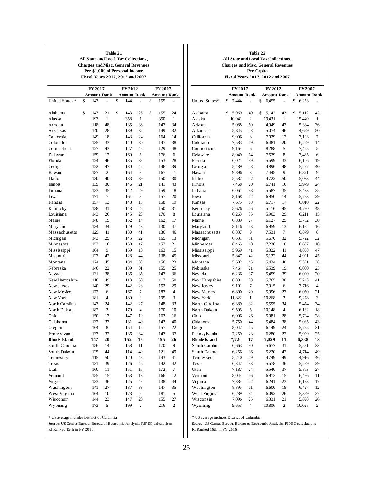#### **Table 21**

**All State and Local Tax Collections, Charges and Misc. General Revenues Per \$1,000 of Personal Income Fiscal Years 2017, 2012 and 2007**

Source: US Census Bureau, Bureau of Economic Analysis, RIPEC calculations

RI Ranked 15th in FY 2016

\* US average includes District of Columbia

#### **Table 22 All State and Local Tax Collections, Charges and Misc. General Revenues Per Capita Fiscal Years 2017, 2012 and 2007**

|                     | FY 2017            |                | FY 2012            |                | FY 2007            |                |  |
|---------------------|--------------------|----------------|--------------------|----------------|--------------------|----------------|--|
|                     | <b>Amount Rank</b> |                | <b>Amount Rank</b> |                | <b>Amount Rank</b> |                |  |
| United States*      | 7,444<br>\$        |                | \$<br>6,455        |                | 6,253<br>\$        |                |  |
|                     |                    |                |                    |                |                    |                |  |
| Alabama             | \$<br>5,969        | 40             | \$<br>5,142        | 43             | \$<br>5,112        | 42             |  |
| Alaska              | 10,941             | $\overline{2}$ | 19,431             | 1              | 15,449             | $\mathbf{1}$   |  |
| Arizona             | 5,088              | 50             | 4,949              | 47             | 5.384              | 36             |  |
| Arkansas            | 5,845              | 43             | 5,074              | 46             | 4,659              | 50             |  |
| California          | 9,006              | 8              | 7,029              | 12             | 7,193              | 7              |  |
| Colorado            | 7,583              | 19             | 6,481              | 20             | 6,269              | 14             |  |
| Connecticut         | 9,164              | 6              | 8,288              | 5              | 7,465              | 5              |  |
| Delaware            | 8,049              | 14             | 7,529              | 8              | 7,435              | 6              |  |
| Florida             | 6,021              | 39             | 5.599              | 33             | 6,106              | 19             |  |
| Georgia             | 5,489              | 48             | 4,896              | 48             | 5,297              | 40             |  |
| Hawaii              | 9,896              | 3              | 7,445              | 9              | 6,821              | 9              |  |
| Idaho               | 5,582              | 47             | 4,722              | 50             | 5,033              | 44             |  |
| Illinois            | 7,468              | 20             | 6,741              | 16             | 5,979              | 24             |  |
| Indiana             | 6,061              | 38             | 5,587              | 35             | 5,433              | 35             |  |
| Iowa                | 8,168              | 12             | 6,950              | 14             | 5,793              | 29             |  |
| Kansas              | 7,675              | 18             | 6,717              | 17             | 6,010              | 22             |  |
| Kentucky            | 5,676              | 46             | 5,116              | 45             | 4,790              | 48             |  |
| Louisiana           | 6,263              | 35             | 5,903              | 29             | 6,211              | 15             |  |
| Maine               | 6,889              | 27             | 6,127              | 25             | 5,782              | 30             |  |
| Maryland            | 8,116              | 13             | 6,959              | 13             | 6,192              | 16             |  |
| Massachusetts       | 8,837              | 9              | 7,531              | 7              | 6,879              | 8              |  |
| Michigan            | 6,631              | 31             | 5,670              | 32             | 5,722              | 32             |  |
| Minnesota           | 8,465              | 10             | 7,236              | 10             | 6,607              | 10             |  |
| Mississippi         | 5,969              | 41             | 5,322              | 41             | 4,838              | 47             |  |
| Missouri            | 5,847              | 42             | 5,132              | 44             | 4,921              | 45             |  |
| Montana             | 5,682              | 45             | 5,434              | 40             | 5,351              | 38             |  |
| Nebraska            | 7,464              | 21             | 6,539              | 19             | 6,000              | 23             |  |
| Nevada              | 6,236              | 37             | 5,459              | 39             | 6,090              | 20             |  |
| New Hampshire       | 6,804              | 28             | 5,765              | 30             | 5,243              | 41             |  |
| New Jersey          | 9,101              | 7              | 7,915              | 6              | 7,716              | $\overline{4}$ |  |
| New Mexico          | 6,800              | 29             | 5,996              | 27             | 6,050              | 21             |  |
| New York            | 11,822             | 1              | 10,268             | 3              | 9,278              | 3              |  |
| North Carolina      | 6,389              | 32             | 5,595              | 34             | 5,474              | 34             |  |
| North Dakota        | 9,595              | 5              | 10,148             | $\overline{4}$ | 6,182              | 18             |  |
| Ohio                | 6,996              | 26             | 5,981              | 28             | 5,794              | 28             |  |
| Oklahoma            | 5,750              | 44             | 5,484              | 38             | 5,085              | 43             |  |
| Oregon              | 8,047              | 15             | 6,149              | 24             | 5,725              | 31             |  |
| Pennsylvania        | 7,259              | 23             | 6,280              | 22             | 5,929              | 25             |  |
| <b>Rhode Island</b> | 7,720              | 17             | 7,029              | 11             | 6,338              | 13             |  |
| South Carolina      | 6,663              | 30             | 5,677              | 31             | 5,581              | 33             |  |
| South Dakota        | 6,256              | 36             | 5,220              | 42             | 4,714              | 49             |  |
| Tennessee           | 5,210              | 49             | 4,749              | 49             | 4,916              | 46             |  |
| Texas               | 6,342              | 33             | 5,578              | 36             | 5,299              | 39             |  |
| Utah                | 7,187              | 24             | 5,540              | 37             | 5,863              | 27             |  |
| Vermont             | 8,044              | 16             | 6,913              | 15             | 6,496              | 11             |  |
| Virginia            | 7,384              | 22             | 6,241              | 23             | 6,183              | 17             |  |
| Washington          | 8,395              | 11             | 6,600              | 18             | 6,427              | 12             |  |
| West Virginia       | 6,289              | 34             | 6,092              | 26             | 5,359              | 37             |  |
| Wisconsin           | 7,096              | 25             | 6,331              | 21             | 5,898              | 26             |  |
| Wyoming             | 9,653              | 4              | 10,806             | 2              | 10,025             | $\mathbf{2}$   |  |

\* US average includes District of Columbia

RI Ranked 16th in FY 2016 Source: US Census Bureau, Bureau of Economic Analysis, RIPEC calculations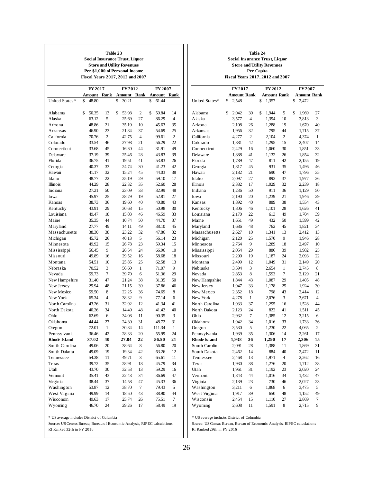#### **Table 23**

**Social Insurance Trust, Liquor Store and Utility Revenues Per \$1,000 of Personal Income Fiscal Years 2017, 2012 and 2007**

|                     | <b>FY 2017</b> |        |                | FY 2012 |        |                |    | FY 2007 |                |
|---------------------|----------------|--------|----------------|---------|--------|----------------|----|---------|----------------|
|                     |                | Amount | Rank           |         | Amount | Rank           |    | Amount  | Rank           |
| United States*      | \$             | 48.80  |                | \$      | 30.21  |                | \$ | 61.44   |                |
|                     |                |        |                |         |        |                |    |         |                |
| Alabama             | \$             | 50.35  | 13             | \$      | 53.98  | $\overline{c}$ | \$ | 59.84   | 14             |
| Alaska              |                | 63.12  | 5              |         | 25.69  | 27             |    | 86.29   | 4              |
| Arizona             |                | 48.86  | 21             |         | 35.19  | 10             |    | 45.63   | 35             |
| Arkansas            |                | 46.90  | 23             |         | 21.84  | 37             |    | 54.69   | 25             |
| California          |                | 70.76  | 2              |         | 42.75  | $\overline{4}$ |    | 99.61   | $\overline{c}$ |
| Colorado            |                | 33.54  | 46             |         | 27.98  | 21             |    | 56.29   | 22             |
| Connecticut         |                | 33.68  | 45             |         | 16.30  | 44             |    | 31.91   | 49             |
| Delaware            |                | 37.19  | 39             |         | 25.46  | 28             |    | 43.83   | 39             |
| Florida             |                | 36.75  | 41             |         | 19.51  | 41             |    | 53.83   | 26             |
| Georgia             |                | 40.37  | 33             |         | 24.74  | 30             |    | 41.23   | 42             |
| Hawaii              |                | 41.17  | 32             |         | 15.24  | 45             |    | 44.03   | 38             |
| Idaho               |                | 48.77  | 22             |         | 25.19  | 29             |    | 59.10   | 17             |
| Illinois            |                | 44.29  | 28             |         | 22.32  | 35             |    | 52.60   | 28             |
| Indiana             |                | 27.21  | 50             |         | 23.09  | 33             |    | 32.99   | 48             |
| Iowa                |                | 45.97  | 25             |         | 28.79  | 19             |    | 52.81   | 27             |
| Kansas              |                | 38.73  | 36             |         | 19.60  | 40             |    | 40.80   | 43             |
| Kentucky            |                | 43.91  | 29             |         | 30.68  | 15             |    | 50.98   | 30             |
| Louisiana           |                | 49.47  | 18             |         | 15.03  | 46             |    | 46.59   | 33             |
| Maine               |                | 35.35  | 44             |         | 10.74  | 50             |    | 44.70   | 37             |
| Maryland            |                | 27.77  | 49             |         | 14.11  | 49             |    | 38.10   | 45             |
| Massachusetts       |                | 38.30  | 38             |         | 23.22  | 32             |    | 47.86   | 32             |
| Michigan            |                | 45.72  | 26             |         | 40.13  | 5              |    | 56.14   | 23             |
| Minnesota           |                | 49.92  | 15             |         | 26.78  | 23             |    | 59.34   | 15             |
| Mississippi         |                | 56.45  | 9              |         | 26.54  | 24             |    | 66.96   | 10             |
| Missouri            |                | 49.89  | 16             |         | 29.52  | 16             |    | 58.68   | 18             |
| Montana             |                | 54.51  | 10             |         | 25.85  | 25             |    | 62.58   | 13             |
| Nebraska            |                | 70.52  | 3              |         | 56.60  | $\mathbf{1}$   |    | 71.07   | 9              |
| Nevada              |                | 59.73  | 7              |         | 39.70  | 6              |    | 51.36   | 29             |
| New Hampshire       |                | 31.40  | 47             |         | 21.24  | 38             |    | 31.35   | 50             |
| New Jersey          |                | 29.94  | 48             |         | 21.15  | 39             |    | 37.86   | 46             |
| New Mexico          |                | 59.50  | 8              |         | 22.25  | 36             |    | 74.69   | 8              |
| New York            |                | 65.34  | $\overline{4}$ |         | 38.32  | 9              |    | 77.14   | 6              |
| North Carolina      |                | 43.26  | 31             |         | 32.92  | 12             |    | 41.34   | 41             |
| North Dakota        |                | 40.26  | 34             |         | 14.49  | 48             |    | 41.42   | 40             |
| Ohio                |                | 62.69  | 6              |         | 34.08  | 11             |    | 90.35   | 3              |
| Oklahoma            |                | 44.44  | 27             |         | 24.30  | 31             |    | 48.72   | 31             |
| Oregon              |                | 72.01  | $\mathbf{1}$   |         | 30.84  | 14             |    | 111.34  | 1              |
| Pennsylvania        |                | 36.46  | 42             |         | 28.33  | 20             |    | 55.99   | 24             |
| <b>Rhode Island</b> |                | 37.02  | 40             |         | 27.84  | 22             |    | 56.50   | 21             |
| South Carolina      |                | 49.06  | 20             |         | 38.64  | 8              |    | 56.80   | 20             |
| South Dakota        |                | 49.09  | 19             |         | 19.34  | 42             |    | 63.26   | 12             |
| Tennessee           |                | 54.38  | 11             |         | 49.71  | 3              |    | 65.61   | 11             |
| Texas               |                | 39.72  | 35             |         | 28.91  | 18             |    | 45.79   | 34             |
| Utah                |                | 43.70  | 30             |         | 32.53  | 13             |    | 59.29   | 16             |
| Vermont             |                | 35.41  | 43             |         | 22.43  | 34             |    | 36.69   | 47             |
| Virginia            |                | 38.44  | 37             |         | 14.58  | 47             |    | 45.33   | 36             |
| Washington          |                | 53.87  | 12             |         | 38.70  | 7              |    | 79.43   | 5              |
| West Virginia       |                | 49.99  | 14             |         | 18.50  | 43             |    | 38.90   | 44             |
| Wisconsin           |                | 49.63  | 17             |         | 25.74  | 26             |    | 75.51   | 7              |
| Wyoming             |                | 46.70  | 24             |         | 29.26  | 17             |    | 58.49   | 19             |
|                     |                |        |                |         |        |                |    |         |                |

#### **Table 24 Social Insurance Trust, Liquor Store and Utility Revenues Per Capita Fiscal Years 2017, 2012 and 2007**

|                     | FY 2017            |                | FY 2012            |                | FY 2007            |                |
|---------------------|--------------------|----------------|--------------------|----------------|--------------------|----------------|
|                     | <b>Amount Rank</b> |                | <b>Amount Rank</b> |                | <b>Amount Rank</b> |                |
| United States*      | 2.548<br>\$        |                | 1,357<br>\$        |                | 2,472<br>\$        |                |
|                     |                    |                |                    |                |                    |                |
| Alabama             | \$<br>2,042        | 30             | \$<br>1,944        | 5              | \$<br>1,969        | 27             |
| Alaska              | 3,577              | 4              | 1,394              | 10             | 3,813              | 3              |
| Arizona             | 2,108              | 26             | 1,288              | 19             | 1,670              | 40             |
| Arkansas            | 1,956              | 32             | 795                | 44             | 1,715              | 37             |
| California          | 4,277              | $\overline{c}$ | 2,104              | $\overline{c}$ | 4,374              | $\mathbf{1}$   |
| Colorado            | 1,881              | 42             | 1,295              | 15             | 2,407              | 14             |
| Connecticut         | 2,429              | 16             | 1,060              | 30             | 1,851              | 33             |
| Delaware            | 1,888              | 41             | 1,132              | 26             | 1,854              | 32             |
| Florida             | 1,789              | 47             | 811                | 42             | 2,155              | 19             |
| Georgia             | 1,817              | 45             | 931                | 35             | 1,496              | 46             |
| Hawaii              | 2,182              | 21             | 690                | 47             | 1,796              | 35             |
| Idaho               | 2,097              | 27             | 893                | 37             | 1,977              | 26             |
| Illinois            | 2,382              | 17             | 1,029              | 32             | 2,239              | 18             |
| Indiana             |                    | 50             | 911                | 36             |                    | 50             |
|                     | 1,236              |                |                    |                | 1,129              |                |
| Iowa                | 2,190              | 20             | 1,239              | 21             | 1,946              | 29             |
| Kansas              | 1,892              | 40             | 889                | 38             | 1,554              | 43             |
| Kentucky            | 1,806              | 46             | 1.101              | 28             | 1,626              | 41             |
| Louisiana           | 2,170              | 22             | 613                | 49             | 1,704              | 39             |
| Maine               | 1,651              | 49             | 432                | 50             | 1,599              | 42             |
| Maryland            | 1,686              | 48             | 762                | 45             | 1,821              | 34             |
| Massachusetts       | 2,627              | 10             | 1.341              | 13             | 2,412              | 13             |
| Michigan            | 2,120              | 25             | 1,570              | 9              | 1,946              | 28             |
| Minnesota           | 2,764              | 9              | 1,289              | 18             | 2,497              | 10             |
| Mississippi         | 2,054              | 29             | 886                | 39             | 1,982              | 25             |
| Missouri            | 2,290              | 19             | 1,187              | 24             | 2,093              | 22             |
| Montana             | 2,499              | 12             | 1,049              | 31             | 2,149              | 20             |
| Nebraska            | 3,594              | 3              | 2,654              | 1              | 2,745              | 8              |
| Nevada              | 2,853              | 8              | 1,593              | 7              | 2,129              | 21             |
| New Hampshire       | 1,844              | 43             | 1,087              | 29             | 1,405              | 48             |
| New Jersey          | 1,947              | 33             | 1,178              | 25             | 1,924              | 30             |
| New Mexico          | 2,352              | 18             | 798                | 43             | 2,414              | 12             |
| New York            | 4,278              | 1              | 2,076              | 3              | 3,671              | $\overline{4}$ |
| North Carolina      | 1,933              | 37             | 1,295              | 16             | 1,528              | 44             |
| North Dakota        | 2,123              | 24             | 822                | 41             | 1,511              | 45             |
| Ohio                | 2,932              | 7              | 1,385              | 12             | 3,215              | 6              |
| Oklahoma            | 1,942              | 34             | 1,016              | 33             | 1,733              | 36             |
| Oregon              | 3,530              | 5              | 1,230              | 22             | 4,065              | $\overline{c}$ |
| Pennsylvania        | 1,939              | 35             | 1,306              | 14             | 2,261              | 17             |
| <b>Rhode Island</b> | 1,938              | 36             | 1,290              | 17             | 2,306              | 15             |
| South Carolina      | 2,091              | 28             | 1,388              | 11             | 1,869              | 31             |
| South Dakota        | 2,462              | 14             | 884                | 40             | 2,472              | 11             |
| Tennessee           | 2,468              | 13             | 1,971              | 4              | 2,262              | 16             |
| Texas               | 1,930              | 38             | 1,276              | $20\,$         | 1,712              | 38             |
| Utah                | 1,961              | 31             | 1,192              | 23             | 2,020              | 24             |
| Vermont             | 1,843              | 44             | 1,016              | 34             | 1,432              | 47             |
| Virginia            | 2,139              | 23             | 730                | 46             | 2,027              | 23             |
| Washington          | 3,211              | 6              | 1,868              | 6              | 3,475              | 5              |
| West Virginia       | 1,917              | 39             | 650                | 48             | 1,152              | 49             |
| Wisconsin           | 2,454              | 15             | 1,110              | 27             | 2,869              | 7              |
| Wyoming             | 2,608              | 11             | 1,591              | 8              | 2,715              | 9              |

\* US average includes District of Columbia

RI Ranked 32th in FY 2016 Source: US Census Bureau, Bureau of Economic Analysis, RIPEC calculations \* US average includes District of Columbia

RI Ranked 29th in FY 2016 Source: US Census Bureau, Bureau of Economic Analysis, RIPEC calculations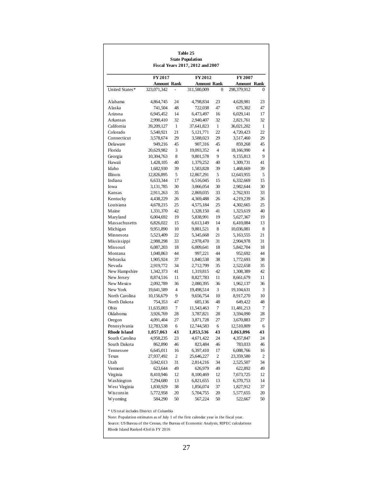| Table 25<br><b>State Population</b><br>Fiscal Years 2017, 2012 and 2007 |                                   |                |                                   |                |                                   |          |
|-------------------------------------------------------------------------|-----------------------------------|----------------|-----------------------------------|----------------|-----------------------------------|----------|
|                                                                         |                                   |                |                                   |                |                                   |          |
|                                                                         |                                   | <b>FY 2017</b> |                                   |                | FY 2007                           |          |
| United States*                                                          | <b>Amount Rank</b><br>323,071,342 |                | <b>Amount Rank</b><br>311,580,009 | 0              | <b>Amount Rank</b><br>298,379,912 | 0        |
|                                                                         |                                   |                |                                   |                |                                   |          |
| Alabama                                                                 | 4,864,745                         | 24             | 4,798,834                         | 23             | 4,628,981                         | 23       |
| Alaska                                                                  | 741,504                           | 48             | 722,038                           | 47             | 675,302                           | 47       |
| Arizona                                                                 | 6,945,452                         | 14             | 6,473,497                         | 16             | 6,029,141                         | 17       |
| Arkansas                                                                | 2,990,410                         | 32             | 2,940,407                         | 32             | 2,821,761                         | 32       |
| California                                                              | 39,209,127                        | 1              | 37,641,823                        | 1              | 36,021,202                        | 1        |
| Colorado                                                                | 5,540,921                         | 21             | 5,121,771                         | 22             | 4,720,423                         | 22       |
| Connecticut                                                             | 3,578,674                         | 29             | 3,588,023                         | 29             | 3,517,460                         | 29       |
| Delaware                                                                | 949,216                           | 45             | 907,316                           | 45             | 859,268                           | 45       |
| Florida                                                                 | 20,629,982                        | 3              | 19,093,352                        | $\overline{4}$ | 18,166,990                        | 4        |
| Georgia                                                                 | 10,304,763                        | 8              | 9,801,578                         | 9              | 9,155,813                         | 9        |
| Hawaii                                                                  | 1,428,105                         | 40             | 1,379,252                         | 40             | 1,309,731                         | 41       |
| Idaho                                                                   | 1,682,930                         | 39             | 1,583,828                         | 39             | 1,468,669                         | 39       |
| Illinois                                                                | 12,826,895                        | 5              | 12,867,291                        | 5              | 12,643,955                        | 5        |
| Indiana                                                                 | 6,633,344                         | 17             | 6,516,045                         | 15             | 6,332,669                         | 15       |
| Iowa                                                                    | 3,131,785                         | 30             | 3,066,054                         | 30             | 2,982,644                         | 30       |
| Kansas                                                                  | 2,911,263                         | 35             | 2,869,035                         | 33             | 2,762,931                         | 33       |
| Kentucky                                                                | 4,438,229                         | 26             | 4,369,488                         | 26             | 4,219,239                         | 26       |
| Louisiana                                                               | 4,678,215                         | 25             | 4,575,184                         | 25             | 4,302,665                         | 25       |
| Maine                                                                   | 1,331,370                         | 42             | 1,328,150                         | 41             | 1,323,619                         | 40       |
| Maryland                                                                | 6,004,692                         | 19             | 5,838,991                         | 19             | 5,627,367                         | 19       |
| Massachusetts                                                           | 6,826,022                         | 15             | 6,613,149                         | 14             | 6,410,084                         | 13       |
| Michigan                                                                | 9,951,890                         | 10             | 9,881,521                         | 8              | 10,036,081                        | 8        |
| Minnesota                                                               | 5,523,409                         | 22             | 5,345,668                         | 21             | 5,163,555                         | 21       |
| Mississippi                                                             | 2,988,298                         | 33             | 2,978,470                         | 31             | 2,904,978                         | 31       |
| Missouri                                                                | 6,087,203                         | 18             | 6,009,641                         | 18             | 5,842,704                         | 18       |
| Montana                                                                 | 1,040,863                         | 44             | 997,221                           | 44             | 952,692                           | 44       |
| Nebraska                                                                | 1,905,924                         | 37             | 1,840,538                         | 38             | 1,772,693                         | 38       |
| Nevada                                                                  | 2,919,772                         | 34             | 2,712,799                         | 35             | 2,522,658                         | 35       |
| New Hampshire                                                           |                                   | 41             |                                   | 42             |                                   | 42       |
| New Jersey                                                              | 1,342,373                         | 11             | 1,319,815                         | 11             | 1,308,389                         | 11       |
| New Mexico                                                              | 8,874,516                         | 36             | 8,827,783                         | 36             | 8,661,679                         | 36       |
| New York                                                                | 2,092,789                         | 4              | 2,080,395                         | 3              | 1,962,137                         | 3        |
| North Carolina                                                          | 19,641,589                        | 9              | 19,498,514                        | 10             | 19,104,631<br>8,917,270           |          |
| North Dakota                                                            | 10,156,679                        | 47             | 9,656,754                         | 48             |                                   | 10<br>48 |
| Ohio                                                                    | 754,353                           | 7              | 685,136                           | 7              | 649,422<br>11,481,213             | 7        |
|                                                                         | 11,635,003                        | 28             | 11,543,463                        | 28             |                                   | 28       |
| Oklahoma                                                                | 3,926,769                         |                | 3,787,821                         |                | 3,594,090                         |          |
| Oregon                                                                  | 4,091,404                         | 27             | 3,871,728                         | 27             | 3,670,883                         | 27       |
| Pennsylvania<br><b>Rhode Island</b>                                     | 12,783,538                        | 6              | 12,744,583                        | 6              | 12,510,809                        | 6        |
|                                                                         | 1,057,063                         | 43             | 1,053,536                         | 43             | 1,063,096                         | 43       |
| South Carolina<br>South Dakota                                          | 4,958,235                         | 23             | 4,671,422                         | 24             | 4,357,847                         | 24       |
|                                                                         | 862,890                           | 46             | 823,484                           | 46             | 783,033                           | 46       |
| Tennessee                                                               | 6,645,011                         | 16             | 6,397,410                         | 17             | 6,088,766                         | 16       |
| Texas                                                                   | 27,937,492                        | $\sqrt{2}$     | 25,646,227                        | 2              | 23,359,580                        | 2        |
| Utah                                                                    | 3,042,613                         | 31             | 2,814,216                         | 34             | 2,525,507                         | 34       |
| Vermont                                                                 | 623,644                           | 49             | 626,979                           | 49             | 622,892                           | 49       |
| Virginia                                                                | 8,410,946                         | 12             | 8,100,469                         | 12             | 7,673,725                         | 12       |
| Washington                                                              | 7,294,680                         | 13             | 6,821,655                         | 13             | 6,370,753                         | 14       |
| West Virginia                                                           | 1,830,929                         | 38             | 1,856,074                         | 37             | 1,827,912                         | 37       |
| Wisconsin                                                               | 5,772,958                         | 20             | 5,704,755                         | 20             | 5,577,655                         | 20       |
| Wyoming                                                                 | 584,290                           | 50             | 567,224                           | 50             | 522,667                           | 50       |

\* US total includes District of Columbia

Note: Population estimates as of July 1 of the first calendar year in the fiscal year.

Source: US Bureau of the Census, the Bureau of Economic Analysis, RIPEC calculations

Rhode Island Ranked 43rd in FY 2016